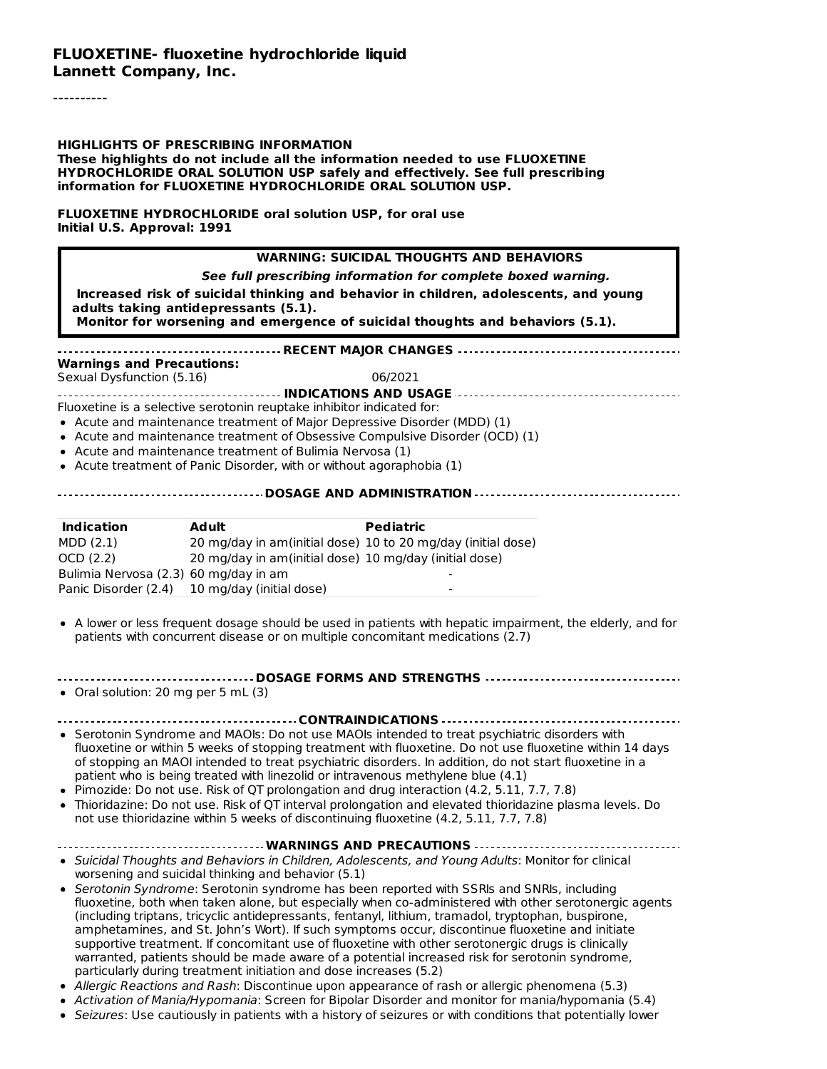#### **FLUOXETINE- fluoxetine hydrochloride liquid Lannett Company, Inc.**

----------

#### **HIGHLIGHTS OF PRESCRIBING INFORMATION**

**These highlights do not include all the information needed to use FLUOXETINE HYDROCHLORIDE ORAL SOLUTION USP safely and effectively. See full prescribing information for FLUOXETINE HYDROCHLORIDE ORAL SOLUTION USP.**

#### **FLUOXETINE HYDROCHLORIDE oral solution USP, for oral use Initial U.S. Approval: 1991**

#### **WARNING: SUICIDAL THOUGHTS AND BEHAVIORS**

**See full prescribing information for complete boxed warning.**

**Increased risk of suicidal thinking and behavior in children, adolescents, and young adults taking antidepressants (5.1).**

**Monitor for worsening and emergence of suicidal thoughts and behaviors (5.1).**

#### **RECENT MAJOR CHANGES Warnings and Precautions:**

Sexual Dysfunction (5.16) 06/2021

**INDICATIONS AND USAGE**

Fluoxetine is a selective serotonin reuptake inhibitor indicated for:

- Acute and maintenance treatment of Major Depressive Disorder (MDD) (1)
- Acute and maintenance treatment of Obsessive Compulsive Disorder (OCD) (1)
- Acute and maintenance treatment of Bulimia Nervosa (1)
- Acute treatment of Panic Disorder, with or without agoraphobia (1)

#### **DOSAGE AND ADMINISTRATION**

| <b>Indication</b>                     | <b>Adult</b>                                           | <b>Pediatric</b>                                             |
|---------------------------------------|--------------------------------------------------------|--------------------------------------------------------------|
| MDD(2.1)                              |                                                        | 20 mg/day in am(initial dose) 10 to 20 mg/day (initial dose) |
| OCD(2.2)                              | 20 mg/day in am(initial dose) 10 mg/day (initial dose) |                                                              |
| Bulimia Nervosa (2.3) 60 mg/day in am |                                                        | -                                                            |
|                                       | Panic Disorder (2.4) 10 mg/day (initial dose)          | $\overline{\phantom{0}}$                                     |

A lower or less frequent dosage should be used in patients with hepatic impairment, the elderly, and for patients with concurrent disease or on multiple concomitant medications (2.7)

#### **DOSAGE FORMS AND STRENGTHS**

Oral solution: 20 mg per 5 mL (3)

**CONTRAINDICATIONS**

- Serotonin Syndrome and MAOIs: Do not use MAOIs intended to treat psychiatric disorders with fluoxetine or within 5 weeks of stopping treatment with fluoxetine. Do not use fluoxetine within 14 days of stopping an MAOI intended to treat psychiatric disorders. In addition, do not start fluoxetine in a patient who is being treated with linezolid or intravenous methylene blue (4.1)
- Pimozide: Do not use. Risk of QT prolongation and drug interaction (4.2, 5.11, 7.7, 7.8)
- Thioridazine: Do not use. Risk of QT interval prolongation and elevated thioridazine plasma levels. Do not use thioridazine within 5 weeks of discontinuing fluoxetine (4.2, 5.11, 7.7, 7.8)

#### **WARNINGS AND PRECAUTIONS**

- Suicidal Thoughts and Behaviors in Children, Adolescents, and Young Adults: Monitor for clinical worsening and suicidal thinking and behavior (5.1)
- Serotonin Syndrome: Serotonin syndrome has been reported with SSRIs and SNRIs, including fluoxetine, both when taken alone, but especially when co-administered with other serotonergic agents (including triptans, tricyclic antidepressants, fentanyl, lithium, tramadol, tryptophan, buspirone, amphetamines, and St. John's Wort). If such symptoms occur, discontinue fluoxetine and initiate supportive treatment. If concomitant use of fluoxetine with other serotonergic drugs is clinically warranted, patients should be made aware of a potential increased risk for serotonin syndrome, particularly during treatment initiation and dose increases (5.2)
- Allergic Reactions and Rash: Discontinue upon appearance of rash or allergic phenomena (5.3)
- Activation of Mania/Hypomania: Screen for Bipolar Disorder and monitor for mania/hypomania (5.4)
- Seizures: Use cautiously in patients with a history of seizures or with conditions that potentially lower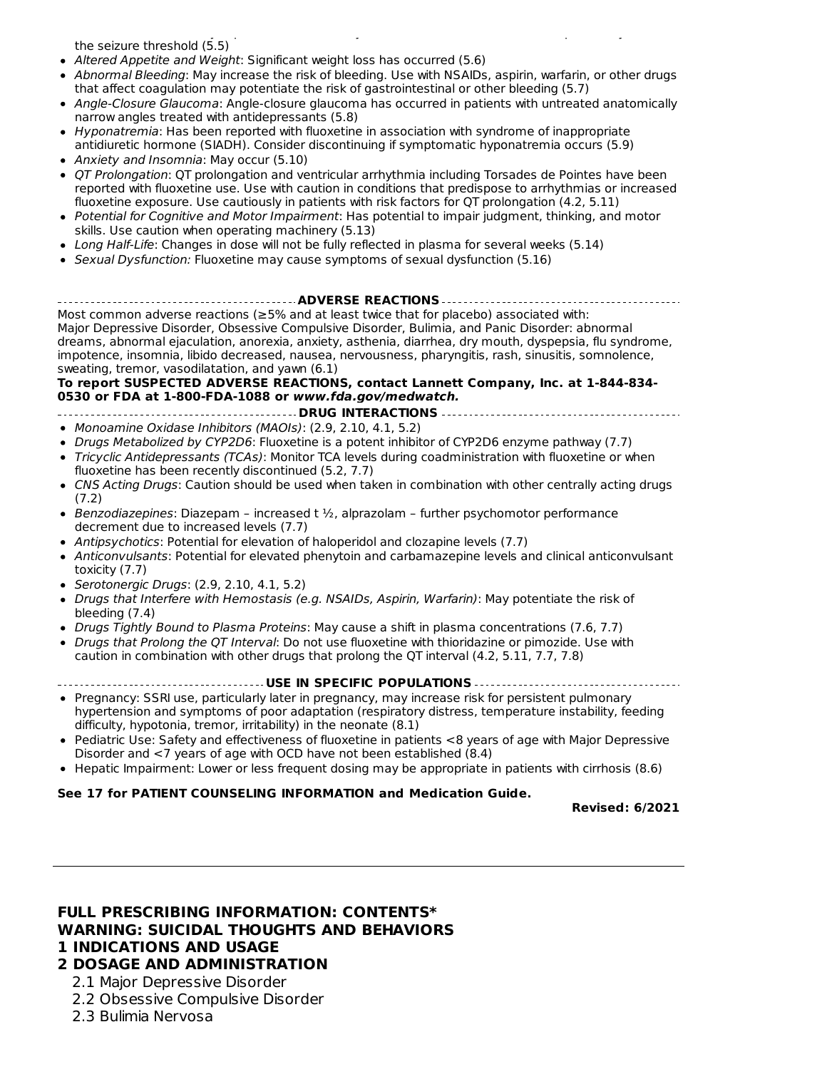Seizures: Use cautiously in patients with a history of seizures or with conditions that potentially lower the seizure threshold (5.5)

- Altered Appetite and Weight: Significant weight loss has occurred (5.6)
- Abnormal Bleeding: May increase the risk of bleeding. Use with NSAIDs, aspirin, warfarin, or other drugs that affect coagulation may potentiate the risk of gastrointestinal or other bleeding (5.7)
- Angle-Closure Glaucoma: Angle-closure glaucoma has occurred in patients with untreated anatomically narrow angles treated with antidepressants (5.8)
- Hyponatremia: Has been reported with fluoxetine in association with syndrome of inappropriate antidiuretic hormone (SIADH). Consider discontinuing if symptomatic hyponatremia occurs (5.9)
- Anxiety and Insomnia: May occur (5.10)
- OT Prolongation: OT prolongation and ventricular arrhythmia including Torsades de Pointes have been reported with fluoxetine use. Use with caution in conditions that predispose to arrhythmias or increased fluoxetine exposure. Use cautiously in patients with risk factors for QT prolongation (4.2, 5.11)
- Potential for Cognitive and Motor Impairment: Has potential to impair judgment, thinking, and motor skills. Use caution when operating machinery (5.13)
- Long Half-Life: Changes in dose will not be fully reflected in plasma for several weeks (5.14)
- Sexual Dysfunction: Fluoxetine may cause symptoms of sexual dysfunction (5.16)

**ADVERSE REACTIONS** Most common adverse reactions ( $\geq$ 5% and at least twice that for placebo) associated with: Major Depressive Disorder, Obsessive Compulsive Disorder, Bulimia, and Panic Disorder: abnormal dreams, abnormal ejaculation, anorexia, anxiety, asthenia, diarrhea, dry mouth, dyspepsia, flu syndrome, impotence, insomnia, libido decreased, nausea, nervousness, pharyngitis, rash, sinusitis, somnolence, sweating, tremor, vasodilatation, and yawn (6.1)

#### **To report SUSPECTED ADVERSE REACTIONS, contact Lannett Company, Inc. at 1-844-834- 0530 or FDA at 1-800-FDA-1088 or www.fda.gov/medwatch.**

**DRUG INTERACTIONS**

- Monoamine Oxidase Inhibitors (MAOIs): (2.9, 2.10, 4.1, 5.2)
- Drugs Metabolized by CYP2D6: Fluoxetine is a potent inhibitor of CYP2D6 enzyme pathway (7.7)
- Tricyclic Antidepressants (TCAs): Monitor TCA levels during coadministration with fluoxetine or when fluoxetine has been recently discontinued (5.2, 7.7)
- CNS Acting Drugs: Caution should be used when taken in combination with other centrally acting drugs (7.2)
- Benzodiazepines: Diazepam increased t  $\frac{1}{2}$ , alprazolam further psychomotor performance decrement due to increased levels (7.7)
- Antipsychotics: Potential for elevation of haloperidol and clozapine levels (7.7)
- Anticonvulsants: Potential for elevated phenytoin and carbamazepine levels and clinical anticonvulsant toxicity (7.7)
- Serotonergic Drugs: (2.9, 2.10, 4.1, 5.2)
- Drugs that Interfere with Hemostasis (e.g. NSAIDs, Aspirin, Warfarin): May potentiate the risk of bleeding (7.4)
- Drugs Tightly Bound to Plasma Proteins: May cause a shift in plasma concentrations (7.6, 7.7)
- Drugs that Prolong the OT Interval: Do not use fluoxetine with thioridazine or pimozide. Use with caution in combination with other drugs that prolong the QT interval (4.2, 5.11, 7.7, 7.8)
- **USE IN SPECIFIC POPULATIONS**
- Pregnancy: SSRI use, particularly later in pregnancy, may increase risk for persistent pulmonary hypertension and symptoms of poor adaptation (respiratory distress, temperature instability, feeding difficulty, hypotonia, tremor, irritability) in the neonate (8.1)
- Pediatric Use: Safety and effectiveness of fluoxetine in patients <8 years of age with Major Depressive Disorder and <7 years of age with OCD have not been established (8.4)
- Hepatic Impairment: Lower or less frequent dosing may be appropriate in patients with cirrhosis (8.6)

#### **See 17 for PATIENT COUNSELING INFORMATION and Medication Guide.**

**Revised: 6/2021**

#### **FULL PRESCRIBING INFORMATION: CONTENTS\* WARNING: SUICIDAL THOUGHTS AND BEHAVIORS 1 INDICATIONS AND USAGE 2 DOSAGE AND ADMINISTRATION**

- 2.1 Major Depressive Disorder
- 2.2 Obsessive Compulsive Disorder

#### 2.3 Bulimia Nervosa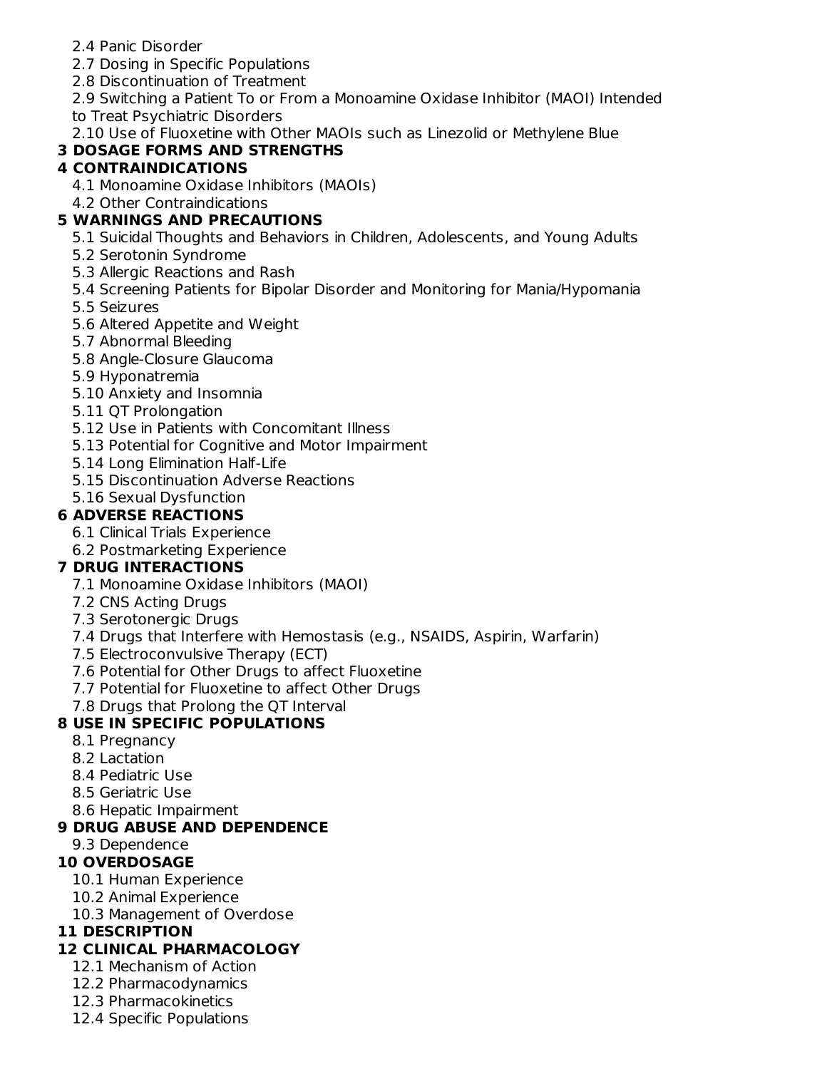- 2.4 Panic Disorder
- 2.7 Dosing in Specific Populations
- 2.8 Discontinuation of Treatment
- 2.9 Switching a Patient To or From a Monoamine Oxidase Inhibitor (MAOI) Intended to Treat Psychiatric Disorders
- 2.10 Use of Fluoxetine with Other MAOIs such as Linezolid or Methylene Blue

# **3 DOSAGE FORMS AND STRENGTHS**

# **4 CONTRAINDICATIONS**

- 4.1 Monoamine Oxidase Inhibitors (MAOIs)
- 4.2 Other Contraindications

# **5 WARNINGS AND PRECAUTIONS**

- 5.1 Suicidal Thoughts and Behaviors in Children, Adolescents, and Young Adults
- 5.2 Serotonin Syndrome
- 5.3 Allergic Reactions and Rash
- 5.4 Screening Patients for Bipolar Disorder and Monitoring for Mania/Hypomania
- 5.5 Seizures
- 5.6 Altered Appetite and Weight
- 5.7 Abnormal Bleeding
- 5.8 Angle-Closure Glaucoma
- 5.9 Hyponatremia
- 5.10 Anxiety and Insomnia
- 5.11 QT Prolongation
- 5.12 Use in Patients with Concomitant Illness
- 5.13 Potential for Cognitive and Motor Impairment
- 5.14 Long Elimination Half-Life
- 5.15 Discontinuation Adverse Reactions
- 5.16 Sexual Dysfunction

# **6 ADVERSE REACTIONS**

- 6.1 Clinical Trials Experience
- 6.2 Postmarketing Experience

# **7 DRUG INTERACTIONS**

- 7.1 Monoamine Oxidase Inhibitors (MAOI)
- 7.2 CNS Acting Drugs
- 7.3 Serotonergic Drugs
- 7.4 Drugs that Interfere with Hemostasis (e.g., NSAIDS, Aspirin, Warfarin)
- 7.5 Electroconvulsive Therapy (ECT)
- 7.6 Potential for Other Drugs to affect Fluoxetine
- 7.7 Potential for Fluoxetine to affect Other Drugs
- 7.8 Drugs that Prolong the QT Interval

# **8 USE IN SPECIFIC POPULATIONS**

- 8.1 Pregnancy
- 8.2 Lactation
- 8.4 Pediatric Use
- 8.5 Geriatric Use
- 8.6 Hepatic Impairment

# **9 DRUG ABUSE AND DEPENDENCE**

9.3 Dependence

## **10 OVERDOSAGE**

- 10.1 Human Experience
- 10.2 Animal Experience
- 10.3 Management of Overdose

# **11 DESCRIPTION**

# **12 CLINICAL PHARMACOLOGY**

- 12.1 Mechanism of Action
- 12.2 Pharmacodynamics
- 12.3 Pharmacokinetics
- 12.4 Specific Populations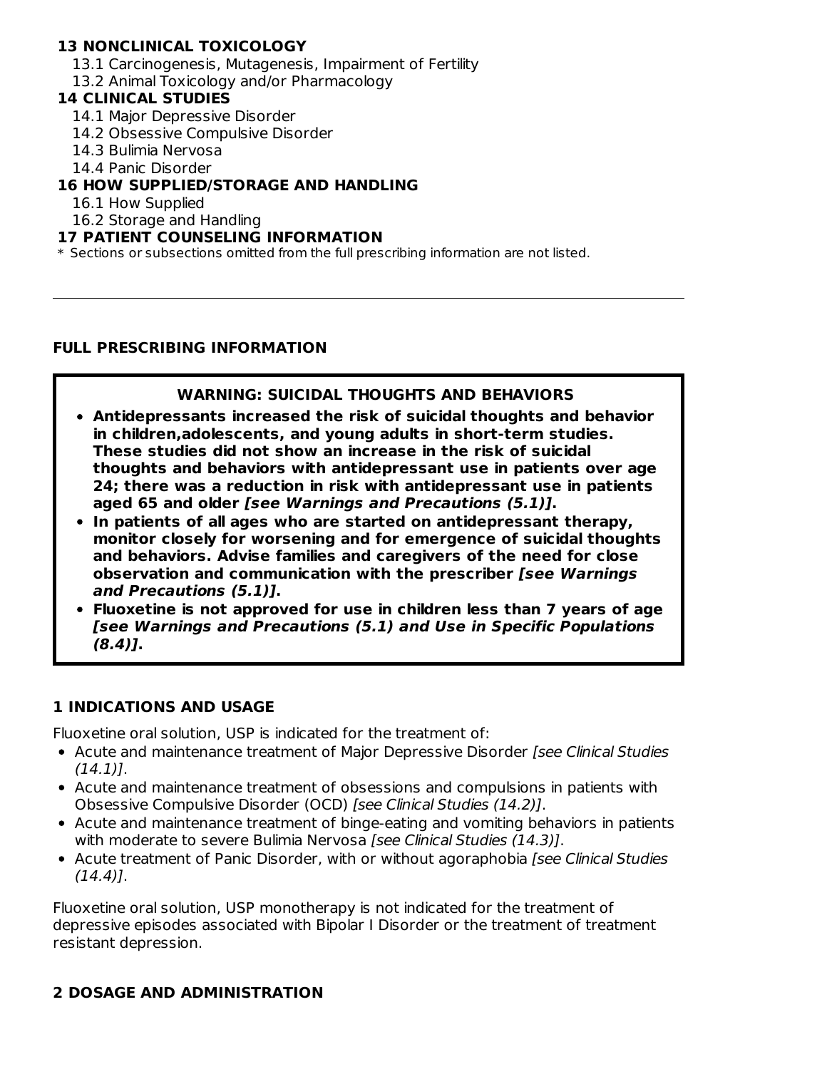### **13 NONCLINICAL TOXICOLOGY**

- 13.1 Carcinogenesis, Mutagenesis, Impairment of Fertility
- 13.2 Animal Toxicology and/or Pharmacology

## **14 CLINICAL STUDIES**

- 14.1 Major Depressive Disorder
- 14.2 Obsessive Compulsive Disorder
- 14.3 Bulimia Nervosa
- 14.4 Panic Disorder

# **16 HOW SUPPLIED/STORAGE AND HANDLING**

- 16.1 How Supplied
- 16.2 Storage and Handling

### **17 PATIENT COUNSELING INFORMATION**

\* Sections or subsections omitted from the full prescribing information are not listed.

## **FULL PRESCRIBING INFORMATION**

## **WARNING: SUICIDAL THOUGHTS AND BEHAVIORS**

- **Antidepressants increased the risk of suicidal thoughts and behavior in children,adolescents, and young adults in short-term studies. These studies did not show an increase in the risk of suicidal thoughts and behaviors with antidepressant use in patients over age 24; there was a reduction in risk with antidepressant use in patients aged 65 and older [see Warnings and Precautions (5.1)].**
- **In patients of all ages who are started on antidepressant therapy, monitor closely for worsening and for emergence of suicidal thoughts and behaviors. Advise families and caregivers of the need for close observation and communication with the prescriber [see Warnings and Precautions (5.1)].**
- **Fluoxetine is not approved for use in children less than 7 years of age [see Warnings and Precautions (5.1) and Use in Specific Populations (8.4)].**

## **1 INDICATIONS AND USAGE**

Fluoxetine oral solution, USP is indicated for the treatment of:

- Acute and maintenance treatment of Major Depressive Disorder [see Clinical Studies (14.1)].
- Acute and maintenance treatment of obsessions and compulsions in patients with Obsessive Compulsive Disorder (OCD) [see Clinical Studies (14.2)].
- Acute and maintenance treatment of binge-eating and vomiting behaviors in patients with moderate to severe Bulimia Nervosa [see Clinical Studies (14.3)].
- Acute treatment of Panic Disorder, with or without agoraphobia [see Clinical Studies  $(14.4)$ .

Fluoxetine oral solution, USP monotherapy is not indicated for the treatment of depressive episodes associated with Bipolar I Disorder or the treatment of treatment resistant depression.

## **2 DOSAGE AND ADMINISTRATION**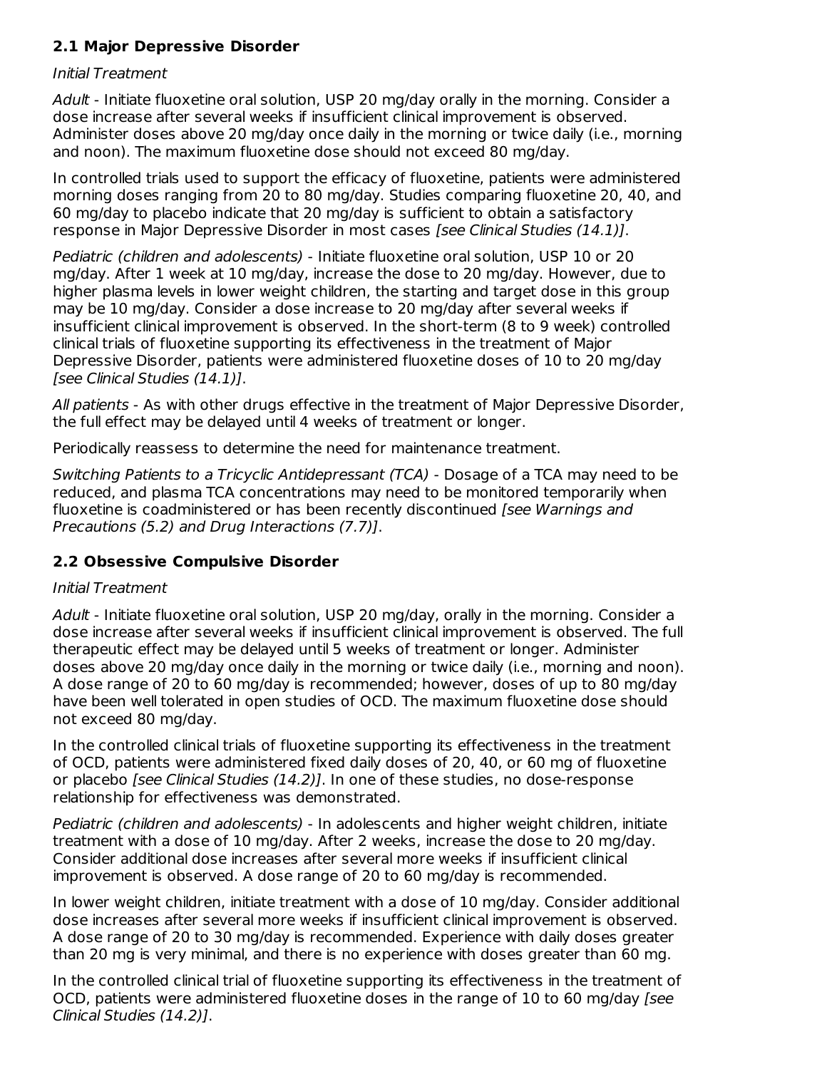## **2.1 Major Depressive Disorder**

#### Initial Treatment

Adult - Initiate fluoxetine oral solution, USP 20 mg/day orally in the morning. Consider a dose increase after several weeks if insufficient clinical improvement is observed. Administer doses above 20 mg/day once daily in the morning or twice daily (i.e., morning and noon). The maximum fluoxetine dose should not exceed 80 mg/day.

In controlled trials used to support the efficacy of fluoxetine, patients were administered morning doses ranging from 20 to 80 mg/day. Studies comparing fluoxetine 20, 40, and 60 mg/day to placebo indicate that 20 mg/day is sufficient to obtain a satisfactory response in Major Depressive Disorder in most cases [see Clinical Studies (14.1)].

Pediatric (children and adolescents) - Initiate fluoxetine oral solution, USP 10 or 20 mg/day. After 1 week at 10 mg/day, increase the dose to 20 mg/day. However, due to higher plasma levels in lower weight children, the starting and target dose in this group may be 10 mg/day. Consider a dose increase to 20 mg/day after several weeks if insufficient clinical improvement is observed. In the short-term (8 to 9 week) controlled clinical trials of fluoxetine supporting its effectiveness in the treatment of Major Depressive Disorder, patients were administered fluoxetine doses of 10 to 20 mg/day [see Clinical Studies (14.1)].

All patients - As with other drugs effective in the treatment of Major Depressive Disorder, the full effect may be delayed until 4 weeks of treatment or longer.

Periodically reassess to determine the need for maintenance treatment.

Switching Patients to a Tricyclic Antidepressant (TCA) - Dosage of a TCA may need to be reduced, and plasma TCA concentrations may need to be monitored temporarily when fluoxetine is coadministered or has been recently discontinued *[see Warnings and* Precautions (5.2) and Drug Interactions (7.7)].

### **2.2 Obsessive Compulsive Disorder**

### Initial Treatment

Adult - Initiate fluoxetine oral solution, USP 20 mg/day, orally in the morning. Consider a dose increase after several weeks if insufficient clinical improvement is observed. The full therapeutic effect may be delayed until 5 weeks of treatment or longer. Administer doses above 20 mg/day once daily in the morning or twice daily (i.e., morning and noon). A dose range of 20 to 60 mg/day is recommended; however, doses of up to 80 mg/day have been well tolerated in open studies of OCD. The maximum fluoxetine dose should not exceed 80 mg/day.

In the controlled clinical trials of fluoxetine supporting its effectiveness in the treatment of OCD, patients were administered fixed daily doses of 20, 40, or 60 mg of fluoxetine or placebo [see Clinical Studies (14.2)]. In one of these studies, no dose-response relationship for effectiveness was demonstrated.

Pediatric (children and adolescents) - In adolescents and higher weight children, initiate treatment with a dose of 10 mg/day. After 2 weeks, increase the dose to 20 mg/day. Consider additional dose increases after several more weeks if insufficient clinical improvement is observed. A dose range of 20 to 60 mg/day is recommended.

In lower weight children, initiate treatment with a dose of 10 mg/day. Consider additional dose increases after several more weeks if insufficient clinical improvement is observed. A dose range of 20 to 30 mg/day is recommended. Experience with daily doses greater than 20 mg is very minimal, and there is no experience with doses greater than 60 mg.

In the controlled clinical trial of fluoxetine supporting its effectiveness in the treatment of OCD, patients were administered fluoxetine doses in the range of 10 to 60 mg/day [see Clinical Studies (14.2)].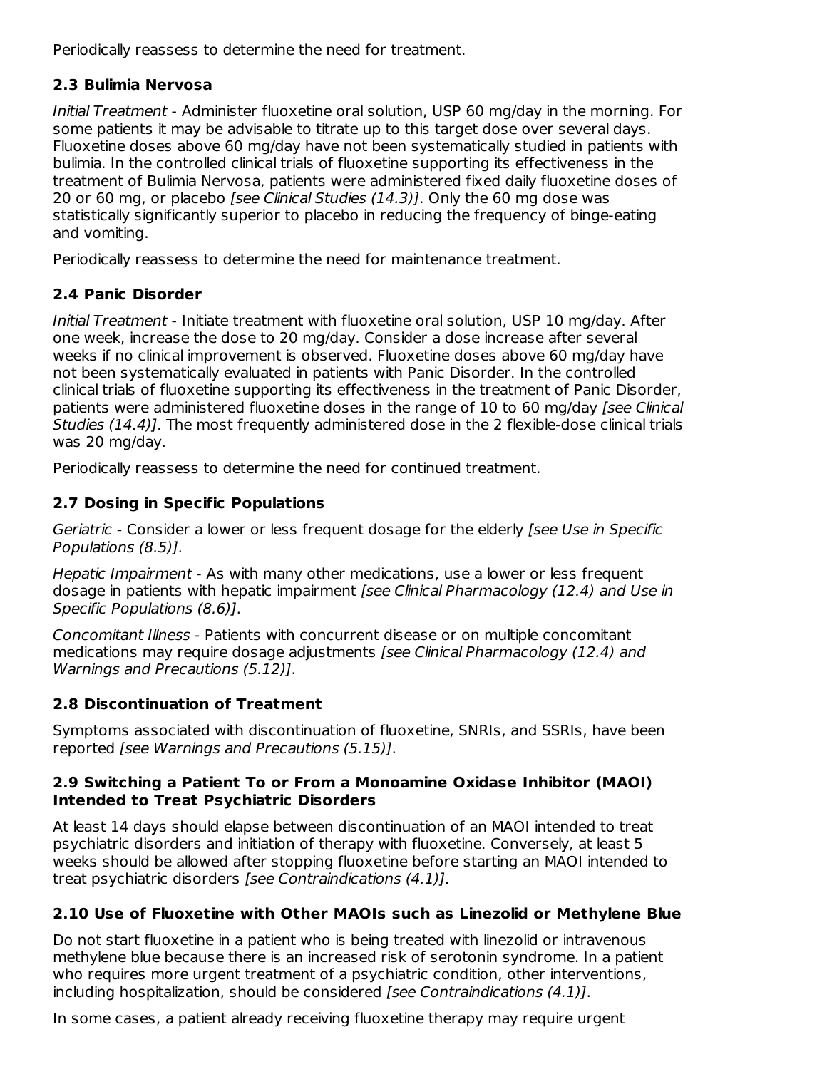Periodically reassess to determine the need for treatment.

### **2.3 Bulimia Nervosa**

Initial Treatment - Administer fluoxetine oral solution, USP 60 mg/day in the morning. For some patients it may be advisable to titrate up to this target dose over several days. Fluoxetine doses above 60 mg/day have not been systematically studied in patients with bulimia. In the controlled clinical trials of fluoxetine supporting its effectiveness in the treatment of Bulimia Nervosa, patients were administered fixed daily fluoxetine doses of 20 or 60 mg, or placebo [see Clinical Studies (14.3)]. Only the 60 mg dose was statistically significantly superior to placebo in reducing the frequency of binge-eating and vomiting.

Periodically reassess to determine the need for maintenance treatment.

## **2.4 Panic Disorder**

Initial Treatment - Initiate treatment with fluoxetine oral solution, USP 10 mg/day. After one week, increase the dose to 20 mg/day. Consider a dose increase after several weeks if no clinical improvement is observed. Fluoxetine doses above 60 mg/day have not been systematically evaluated in patients with Panic Disorder. In the controlled clinical trials of fluoxetine supporting its effectiveness in the treatment of Panic Disorder, patients were administered fluoxetine doses in the range of 10 to 60 mg/day [see Clinical Studies (14.4)]. The most frequently administered dose in the 2 flexible-dose clinical trials was 20 mg/day.

Periodically reassess to determine the need for continued treatment.

# **2.7 Dosing in Specific Populations**

Geriatric - Consider a lower or less frequent dosage for the elderly [see Use in Specific Populations (8.5)].

Hepatic Impairment - As with many other medications, use a lower or less frequent dosage in patients with hepatic impairment [see Clinical Pharmacology (12.4) and Use in Specific Populations (8.6)].

Concomitant Illness - Patients with concurrent disease or on multiple concomitant medications may require dosage adjustments [see Clinical Pharmacology (12.4) and Warnings and Precautions (5.12)].

# **2.8 Discontinuation of Treatment**

Symptoms associated with discontinuation of fluoxetine, SNRIs, and SSRIs, have been reported [see Warnings and Precautions (5.15)].

### **2.9 Switching a Patient To or From a Monoamine Oxidase Inhibitor (MAOI) Intended to Treat Psychiatric Disorders**

At least 14 days should elapse between discontinuation of an MAOI intended to treat psychiatric disorders and initiation of therapy with fluoxetine. Conversely, at least 5 weeks should be allowed after stopping fluoxetine before starting an MAOI intended to treat psychiatric disorders [see Contraindications (4.1)].

## **2.10 Use of Fluoxetine with Other MAOIs such as Linezolid or Methylene Blue**

Do not start fluoxetine in a patient who is being treated with linezolid or intravenous methylene blue because there is an increased risk of serotonin syndrome. In a patient who requires more urgent treatment of a psychiatric condition, other interventions, including hospitalization, should be considered [see Contraindications (4.1)].

In some cases, a patient already receiving fluoxetine therapy may require urgent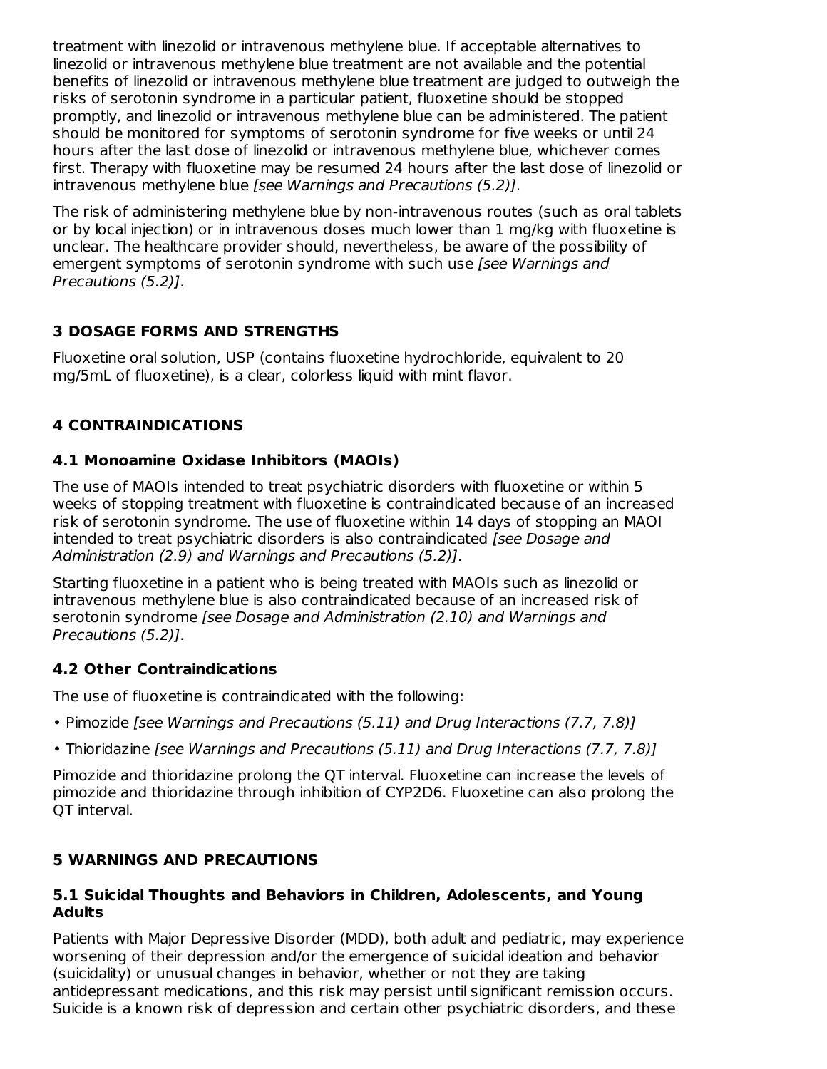treatment with linezolid or intravenous methylene blue. If acceptable alternatives to linezolid or intravenous methylene blue treatment are not available and the potential benefits of linezolid or intravenous methylene blue treatment are judged to outweigh the risks of serotonin syndrome in a particular patient, fluoxetine should be stopped promptly, and linezolid or intravenous methylene blue can be administered. The patient should be monitored for symptoms of serotonin syndrome for five weeks or until 24 hours after the last dose of linezolid or intravenous methylene blue, whichever comes first. Therapy with fluoxetine may be resumed 24 hours after the last dose of linezolid or intravenous methylene blue [see Warnings and Precautions (5.2)].

The risk of administering methylene blue by non-intravenous routes (such as oral tablets or by local injection) or in intravenous doses much lower than 1 mg/kg with fluoxetine is unclear. The healthcare provider should, nevertheless, be aware of the possibility of emergent symptoms of serotonin syndrome with such use [see Warnings and Precautions (5.2)].

## **3 DOSAGE FORMS AND STRENGTHS**

Fluoxetine oral solution, USP (contains fluoxetine hydrochloride, equivalent to 20 mg/5mL of fluoxetine), is a clear, colorless liquid with mint flavor.

## **4 CONTRAINDICATIONS**

## **4.1 Monoamine Oxidase Inhibitors (MAOIs)**

The use of MAOIs intended to treat psychiatric disorders with fluoxetine or within 5 weeks of stopping treatment with fluoxetine is contraindicated because of an increased risk of serotonin syndrome. The use of fluoxetine within 14 days of stopping an MAOI intended to treat psychiatric disorders is also contraindicated [see Dosage and Administration (2.9) and Warnings and Precautions (5.2)].

Starting fluoxetine in a patient who is being treated with MAOIs such as linezolid or intravenous methylene blue is also contraindicated because of an increased risk of serotonin syndrome [see Dosage and Administration (2.10) and Warnings and Precautions (5.2)].

### **4.2 Other Contraindications**

The use of fluoxetine is contraindicated with the following:

- Pimozide [see Warnings and Precautions (5.11) and Drug Interactions (7.7, 7.8)]
- Thioridazine [see Warnings and Precautions (5.11) and Drug Interactions (7.7, 7.8)]

Pimozide and thioridazine prolong the QT interval. Fluoxetine can increase the levels of pimozide and thioridazine through inhibition of CYP2D6. Fluoxetine can also prolong the QT interval.

## **5 WARNINGS AND PRECAUTIONS**

### **5.1 Suicidal Thoughts and Behaviors in Children, Adolescents, and Young Adults**

Patients with Major Depressive Disorder (MDD), both adult and pediatric, may experience worsening of their depression and/or the emergence of suicidal ideation and behavior (suicidality) or unusual changes in behavior, whether or not they are taking antidepressant medications, and this risk may persist until significant remission occurs. Suicide is a known risk of depression and certain other psychiatric disorders, and these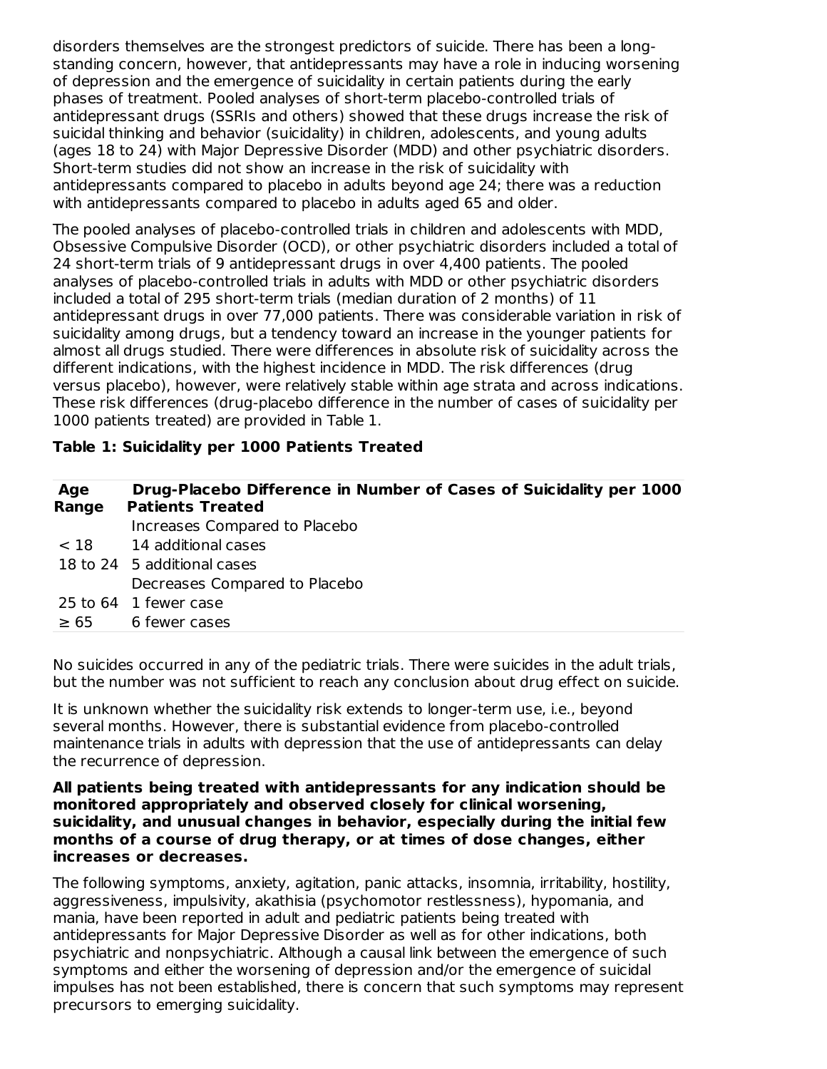disorders themselves are the strongest predictors of suicide. There has been a longstanding concern, however, that antidepressants may have a role in inducing worsening of depression and the emergence of suicidality in certain patients during the early phases of treatment. Pooled analyses of short-term placebo-controlled trials of antidepressant drugs (SSRIs and others) showed that these drugs increase the risk of suicidal thinking and behavior (suicidality) in children, adolescents, and young adults (ages 18 to 24) with Major Depressive Disorder (MDD) and other psychiatric disorders. Short-term studies did not show an increase in the risk of suicidality with antidepressants compared to placebo in adults beyond age 24; there was a reduction with antidepressants compared to placebo in adults aged 65 and older.

The pooled analyses of placebo-controlled trials in children and adolescents with MDD, Obsessive Compulsive Disorder (OCD), or other psychiatric disorders included a total of 24 short-term trials of 9 antidepressant drugs in over 4,400 patients. The pooled analyses of placebo-controlled trials in adults with MDD or other psychiatric disorders included a total of 295 short-term trials (median duration of 2 months) of 11 antidepressant drugs in over 77,000 patients. There was considerable variation in risk of suicidality among drugs, but a tendency toward an increase in the younger patients for almost all drugs studied. There were differences in absolute risk of suicidality across the different indications, with the highest incidence in MDD. The risk differences (drug versus placebo), however, were relatively stable within age strata and across indications. These risk differences (drug-placebo difference in the number of cases of suicidality per 1000 patients treated) are provided in Table 1.

#### **Table 1: Suicidality per 1000 Patients Treated**

| Age<br>Range | Drug-Placebo Difference in Number of Cases of Suicidality per 1000<br><b>Patients Treated</b> |
|--------------|-----------------------------------------------------------------------------------------------|
|              | Increases Compared to Placebo                                                                 |
| < 18         | 14 additional cases                                                                           |
|              | 18 to 24 5 additional cases                                                                   |
|              | Decreases Compared to Placebo                                                                 |
|              | 25 to 64 1 fewer case                                                                         |
|              | $\geq 65$ 6 fewer cases                                                                       |

No suicides occurred in any of the pediatric trials. There were suicides in the adult trials, but the number was not sufficient to reach any conclusion about drug effect on suicide.

It is unknown whether the suicidality risk extends to longer-term use, i.e., beyond several months. However, there is substantial evidence from placebo-controlled maintenance trials in adults with depression that the use of antidepressants can delay the recurrence of depression.

#### **All patients being treated with antidepressants for any indication should be monitored appropriately and observed closely for clinical worsening, suicidality, and unusual changes in behavior, especially during the initial few months of a course of drug therapy, or at times of dose changes, either increases or decreases.**

The following symptoms, anxiety, agitation, panic attacks, insomnia, irritability, hostility, aggressiveness, impulsivity, akathisia (psychomotor restlessness), hypomania, and mania, have been reported in adult and pediatric patients being treated with antidepressants for Major Depressive Disorder as well as for other indications, both psychiatric and nonpsychiatric. Although a causal link between the emergence of such symptoms and either the worsening of depression and/or the emergence of suicidal impulses has not been established, there is concern that such symptoms may represent precursors to emerging suicidality.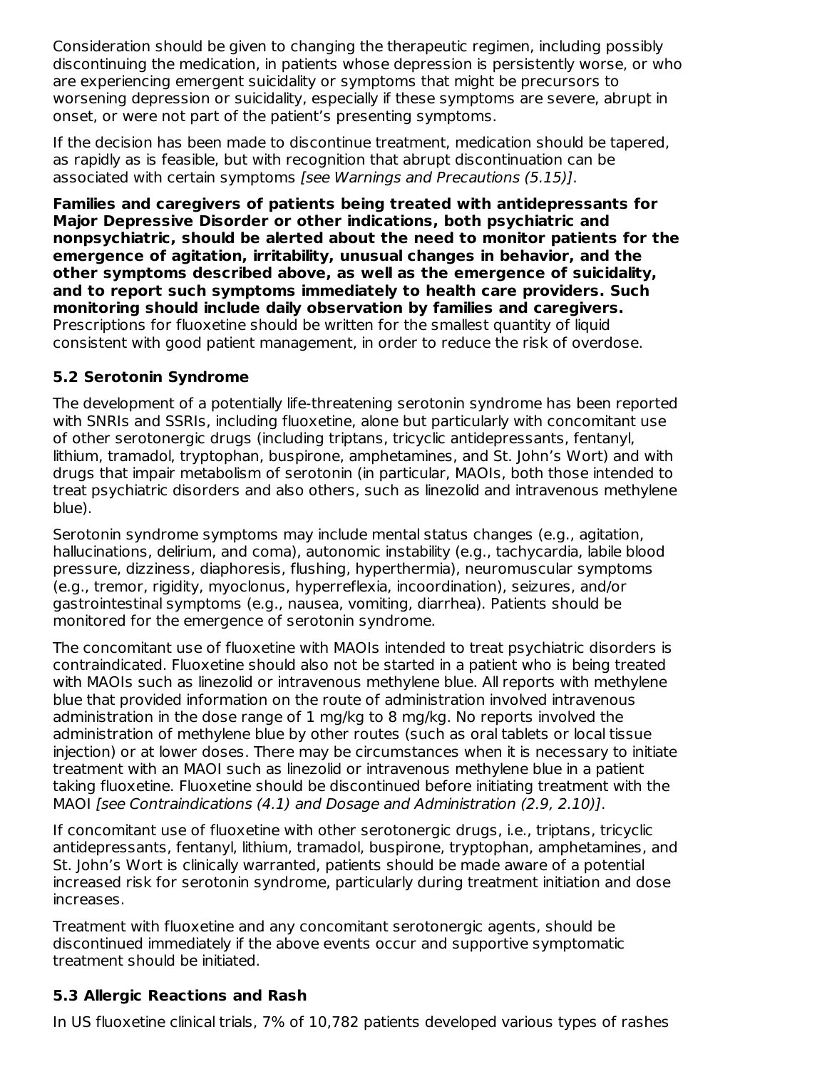Consideration should be given to changing the therapeutic regimen, including possibly discontinuing the medication, in patients whose depression is persistently worse, or who are experiencing emergent suicidality or symptoms that might be precursors to worsening depression or suicidality, especially if these symptoms are severe, abrupt in onset, or were not part of the patient's presenting symptoms.

If the decision has been made to discontinue treatment, medication should be tapered, as rapidly as is feasible, but with recognition that abrupt discontinuation can be associated with certain symptoms [see Warnings and Precautions (5.15)].

**Families and caregivers of patients being treated with antidepressants for Major Depressive Disorder or other indications, both psychiatric and nonpsychiatric, should be alerted about the need to monitor patients for the emergence of agitation, irritability, unusual changes in behavior, and the other symptoms described above, as well as the emergence of suicidality, and to report such symptoms immediately to health care providers. Such monitoring should include daily observation by families and caregivers.** Prescriptions for fluoxetine should be written for the smallest quantity of liquid consistent with good patient management, in order to reduce the risk of overdose.

## **5.2 Serotonin Syndrome**

The development of a potentially life-threatening serotonin syndrome has been reported with SNRIs and SSRIs, including fluoxetine, alone but particularly with concomitant use of other serotonergic drugs (including triptans, tricyclic antidepressants, fentanyl, lithium, tramadol, tryptophan, buspirone, amphetamines, and St. John's Wort) and with drugs that impair metabolism of serotonin (in particular, MAOIs, both those intended to treat psychiatric disorders and also others, such as linezolid and intravenous methylene blue).

Serotonin syndrome symptoms may include mental status changes (e.g., agitation, hallucinations, delirium, and coma), autonomic instability (e.g., tachycardia, labile blood pressure, dizziness, diaphoresis, flushing, hyperthermia), neuromuscular symptoms (e.g., tremor, rigidity, myoclonus, hyperreflexia, incoordination), seizures, and/or gastrointestinal symptoms (e.g., nausea, vomiting, diarrhea). Patients should be monitored for the emergence of serotonin syndrome.

The concomitant use of fluoxetine with MAOIs intended to treat psychiatric disorders is contraindicated. Fluoxetine should also not be started in a patient who is being treated with MAOIs such as linezolid or intravenous methylene blue. All reports with methylene blue that provided information on the route of administration involved intravenous administration in the dose range of 1 mg/kg to 8 mg/kg. No reports involved the administration of methylene blue by other routes (such as oral tablets or local tissue injection) or at lower doses. There may be circumstances when it is necessary to initiate treatment with an MAOI such as linezolid or intravenous methylene blue in a patient taking fluoxetine. Fluoxetine should be discontinued before initiating treatment with the MAOI [see Contraindications (4.1) and Dosage and Administration (2.9, 2.10)].

If concomitant use of fluoxetine with other serotonergic drugs, i.e., triptans, tricyclic antidepressants, fentanyl, lithium, tramadol, buspirone, tryptophan, amphetamines, and St. John's Wort is clinically warranted, patients should be made aware of a potential increased risk for serotonin syndrome, particularly during treatment initiation and dose increases.

Treatment with fluoxetine and any concomitant serotonergic agents, should be discontinued immediately if the above events occur and supportive symptomatic treatment should be initiated.

## **5.3 Allergic Reactions and Rash**

In US fluoxetine clinical trials, 7% of 10,782 patients developed various types of rashes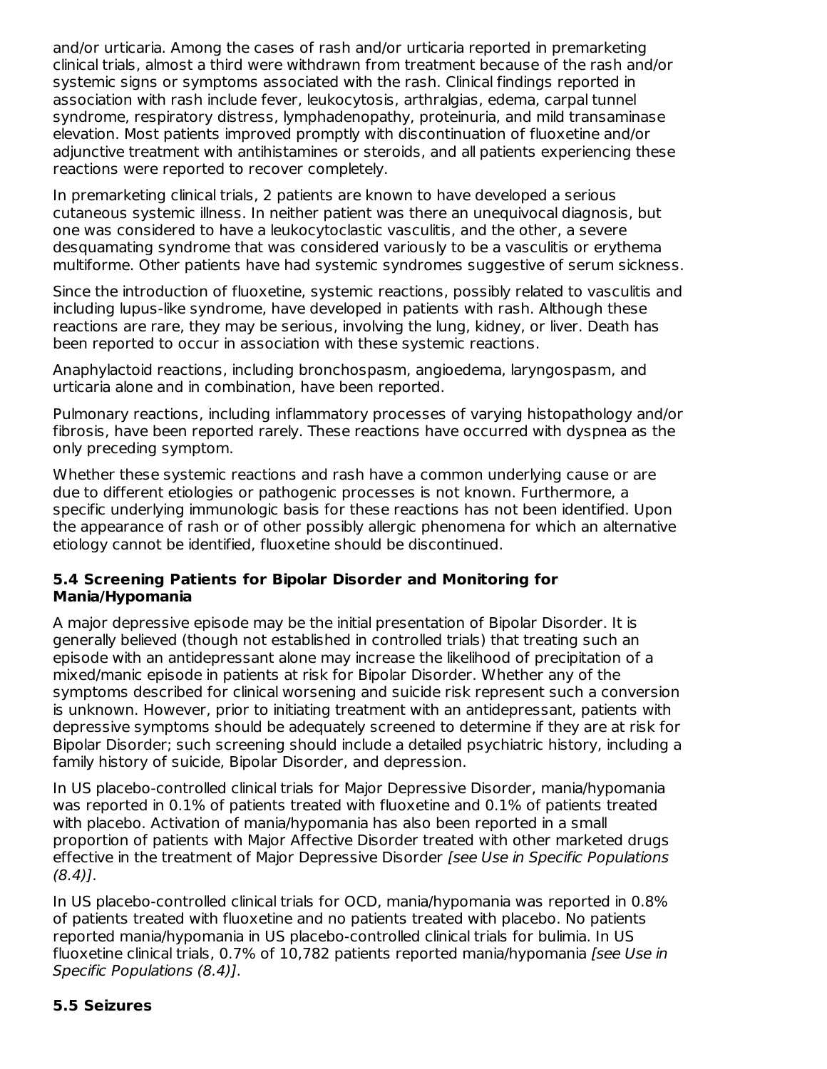and/or urticaria. Among the cases of rash and/or urticaria reported in premarketing clinical trials, almost a third were withdrawn from treatment because of the rash and/or systemic signs or symptoms associated with the rash. Clinical findings reported in association with rash include fever, leukocytosis, arthralgias, edema, carpal tunnel syndrome, respiratory distress, lymphadenopathy, proteinuria, and mild transaminase elevation. Most patients improved promptly with discontinuation of fluoxetine and/or adjunctive treatment with antihistamines or steroids, and all patients experiencing these reactions were reported to recover completely.

In premarketing clinical trials, 2 patients are known to have developed a serious cutaneous systemic illness. In neither patient was there an unequivocal diagnosis, but one was considered to have a leukocytoclastic vasculitis, and the other, a severe desquamating syndrome that was considered variously to be a vasculitis or erythema multiforme. Other patients have had systemic syndromes suggestive of serum sickness.

Since the introduction of fluoxetine, systemic reactions, possibly related to vasculitis and including lupus-like syndrome, have developed in patients with rash. Although these reactions are rare, they may be serious, involving the lung, kidney, or liver. Death has been reported to occur in association with these systemic reactions.

Anaphylactoid reactions, including bronchospasm, angioedema, laryngospasm, and urticaria alone and in combination, have been reported.

Pulmonary reactions, including inflammatory processes of varying histopathology and/or fibrosis, have been reported rarely. These reactions have occurred with dyspnea as the only preceding symptom.

Whether these systemic reactions and rash have a common underlying cause or are due to different etiologies or pathogenic processes is not known. Furthermore, a specific underlying immunologic basis for these reactions has not been identified. Upon the appearance of rash or of other possibly allergic phenomena for which an alternative etiology cannot be identified, fluoxetine should be discontinued.

#### **5.4 Screening Patients for Bipolar Disorder and Monitoring for Mania/Hypomania**

A major depressive episode may be the initial presentation of Bipolar Disorder. It is generally believed (though not established in controlled trials) that treating such an episode with an antidepressant alone may increase the likelihood of precipitation of a mixed/manic episode in patients at risk for Bipolar Disorder. Whether any of the symptoms described for clinical worsening and suicide risk represent such a conversion is unknown. However, prior to initiating treatment with an antidepressant, patients with depressive symptoms should be adequately screened to determine if they are at risk for Bipolar Disorder; such screening should include a detailed psychiatric history, including a family history of suicide, Bipolar Disorder, and depression.

In US placebo-controlled clinical trials for Major Depressive Disorder, mania/hypomania was reported in 0.1% of patients treated with fluoxetine and 0.1% of patients treated with placebo. Activation of mania/hypomania has also been reported in a small proportion of patients with Major Affective Disorder treated with other marketed drugs effective in the treatment of Major Depressive Disorder [see Use in Specific Populations  $(8.4)$ .

In US placebo-controlled clinical trials for OCD, mania/hypomania was reported in 0.8% of patients treated with fluoxetine and no patients treated with placebo. No patients reported mania/hypomania in US placebo-controlled clinical trials for bulimia. In US fluoxetine clinical trials, 0.7% of 10,782 patients reported mania/hypomania [see Use in Specific Populations (8.4)].

### **5.5 Seizures**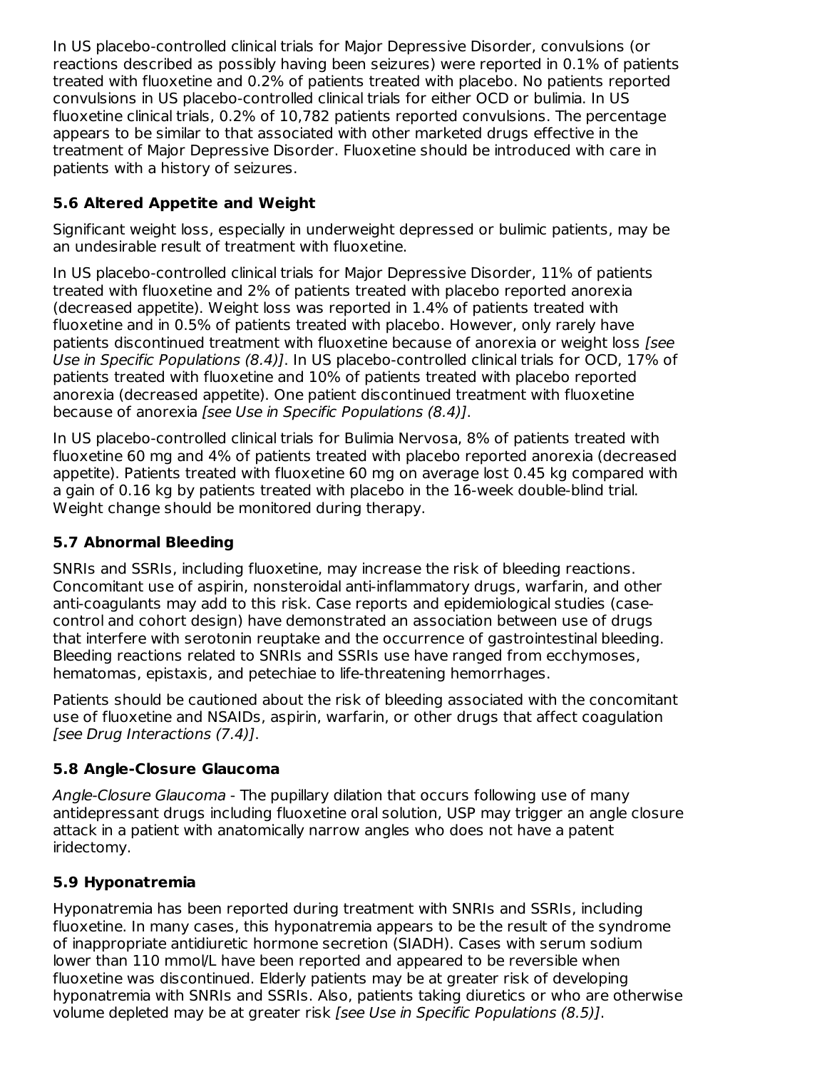In US placebo-controlled clinical trials for Major Depressive Disorder, convulsions (or reactions described as possibly having been seizures) were reported in 0.1% of patients treated with fluoxetine and 0.2% of patients treated with placebo. No patients reported convulsions in US placebo-controlled clinical trials for either OCD or bulimia. In US fluoxetine clinical trials, 0.2% of 10,782 patients reported convulsions. The percentage appears to be similar to that associated with other marketed drugs effective in the treatment of Major Depressive Disorder. Fluoxetine should be introduced with care in patients with a history of seizures.

## **5.6 Altered Appetite and Weight**

Significant weight loss, especially in underweight depressed or bulimic patients, may be an undesirable result of treatment with fluoxetine.

In US placebo-controlled clinical trials for Major Depressive Disorder, 11% of patients treated with fluoxetine and 2% of patients treated with placebo reported anorexia (decreased appetite). Weight loss was reported in 1.4% of patients treated with fluoxetine and in 0.5% of patients treated with placebo. However, only rarely have patients discontinued treatment with fluoxetine because of anorexia or weight loss [see Use in Specific Populations (8.4)]. In US placebo-controlled clinical trials for OCD, 17% of patients treated with fluoxetine and 10% of patients treated with placebo reported anorexia (decreased appetite). One patient discontinued treatment with fluoxetine because of anorexia [see Use in Specific Populations (8.4)].

In US placebo-controlled clinical trials for Bulimia Nervosa, 8% of patients treated with fluoxetine 60 mg and 4% of patients treated with placebo reported anorexia (decreased appetite). Patients treated with fluoxetine 60 mg on average lost 0.45 kg compared with a gain of 0.16 kg by patients treated with placebo in the 16-week double-blind trial. Weight change should be monitored during therapy.

## **5.7 Abnormal Bleeding**

SNRIs and SSRIs, including fluoxetine, may increase the risk of bleeding reactions. Concomitant use of aspirin, nonsteroidal anti-inflammatory drugs, warfarin, and other anti-coagulants may add to this risk. Case reports and epidemiological studies (casecontrol and cohort design) have demonstrated an association between use of drugs that interfere with serotonin reuptake and the occurrence of gastrointestinal bleeding. Bleeding reactions related to SNRIs and SSRIs use have ranged from ecchymoses, hematomas, epistaxis, and petechiae to life-threatening hemorrhages.

Patients should be cautioned about the risk of bleeding associated with the concomitant use of fluoxetine and NSAIDs, aspirin, warfarin, or other drugs that affect coagulation [see Drug Interactions (7.4)].

## **5.8 Angle-Closure Glaucoma**

Angle-Closure Glaucoma - The pupillary dilation that occurs following use of many antidepressant drugs including fluoxetine oral solution, USP may trigger an angle closure attack in a patient with anatomically narrow angles who does not have a patent iridectomy.

## **5.9 Hyponatremia**

Hyponatremia has been reported during treatment with SNRIs and SSRIs, including fluoxetine. In many cases, this hyponatremia appears to be the result of the syndrome of inappropriate antidiuretic hormone secretion (SIADH). Cases with serum sodium lower than 110 mmol/L have been reported and appeared to be reversible when fluoxetine was discontinued. Elderly patients may be at greater risk of developing hyponatremia with SNRIs and SSRIs. Also, patients taking diuretics or who are otherwise volume depleted may be at greater risk [see Use in Specific Populations (8.5)].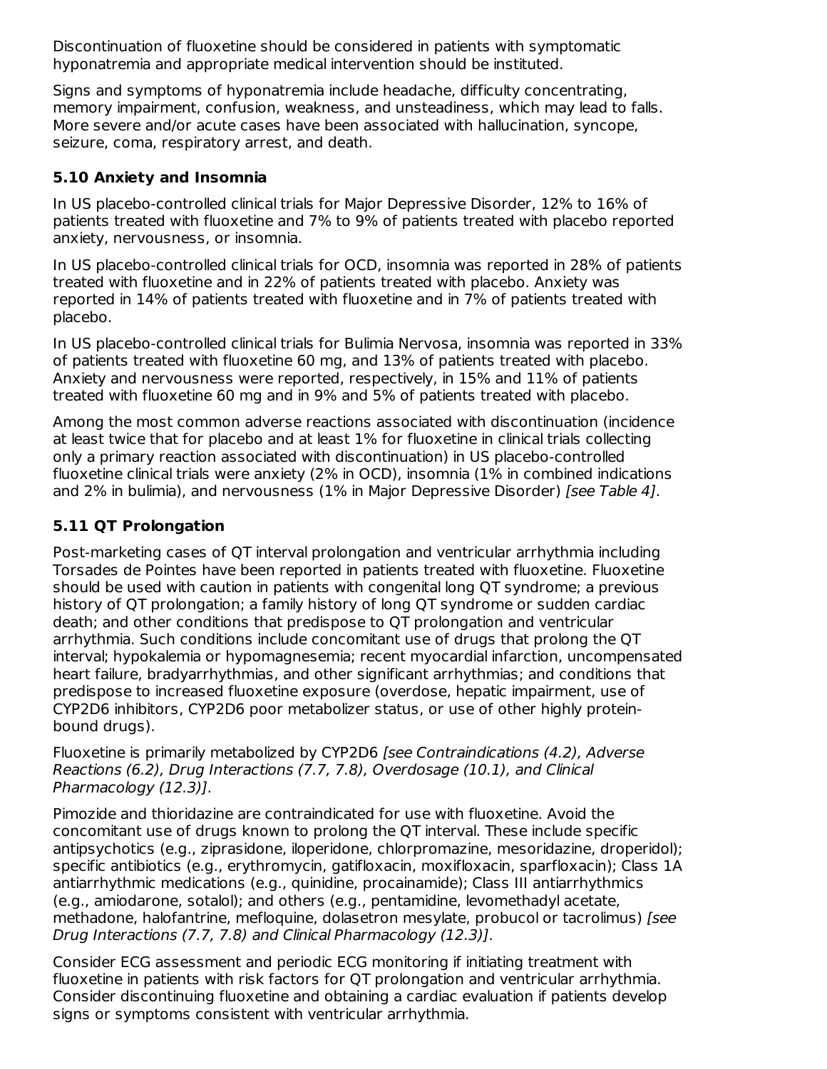Discontinuation of fluoxetine should be considered in patients with symptomatic hyponatremia and appropriate medical intervention should be instituted.

Signs and symptoms of hyponatremia include headache, difficulty concentrating, memory impairment, confusion, weakness, and unsteadiness, which may lead to falls. More severe and/or acute cases have been associated with hallucination, syncope, seizure, coma, respiratory arrest, and death.

### **5.10 Anxiety and Insomnia**

In US placebo-controlled clinical trials for Major Depressive Disorder, 12% to 16% of patients treated with fluoxetine and 7% to 9% of patients treated with placebo reported anxiety, nervousness, or insomnia.

In US placebo-controlled clinical trials for OCD, insomnia was reported in 28% of patients treated with fluoxetine and in 22% of patients treated with placebo. Anxiety was reported in 14% of patients treated with fluoxetine and in 7% of patients treated with placebo.

In US placebo-controlled clinical trials for Bulimia Nervosa, insomnia was reported in 33% of patients treated with fluoxetine 60 mg, and 13% of patients treated with placebo. Anxiety and nervousness were reported, respectively, in 15% and 11% of patients treated with fluoxetine 60 mg and in 9% and 5% of patients treated with placebo.

Among the most common adverse reactions associated with discontinuation (incidence at least twice that for placebo and at least 1% for fluoxetine in clinical trials collecting only a primary reaction associated with discontinuation) in US placebo-controlled fluoxetine clinical trials were anxiety (2% in OCD), insomnia (1% in combined indications and 2% in bulimia), and nervousness (1% in Major Depressive Disorder) [see Table 4].

## **5.11 QT Prolongation**

Post-marketing cases of QT interval prolongation and ventricular arrhythmia including Torsades de Pointes have been reported in patients treated with fluoxetine. Fluoxetine should be used with caution in patients with congenital long QT syndrome; a previous history of QT prolongation; a family history of long QT syndrome or sudden cardiac death; and other conditions that predispose to QT prolongation and ventricular arrhythmia. Such conditions include concomitant use of drugs that prolong the QT interval; hypokalemia or hypomagnesemia; recent myocardial infarction, uncompensated heart failure, bradyarrhythmias, and other significant arrhythmias; and conditions that predispose to increased fluoxetine exposure (overdose, hepatic impairment, use of CYP2D6 inhibitors, CYP2D6 poor metabolizer status, or use of other highly proteinbound drugs).

Fluoxetine is primarily metabolized by CYP2D6 [see Contraindications (4.2), Adverse Reactions (6.2), Drug Interactions (7.7, 7.8), Overdosage (10.1), and Clinical Pharmacology (12.3)].

Pimozide and thioridazine are contraindicated for use with fluoxetine. Avoid the concomitant use of drugs known to prolong the QT interval. These include specific antipsychotics (e.g., ziprasidone, iloperidone, chlorpromazine, mesoridazine, droperidol); specific antibiotics (e.g., erythromycin, gatifloxacin, moxifloxacin, sparfloxacin); Class 1A antiarrhythmic medications (e.g., quinidine, procainamide); Class III antiarrhythmics (e.g., amiodarone, sotalol); and others (e.g., pentamidine, levomethadyl acetate, methadone, halofantrine, mefloquine, dolasetron mesylate, probucol or tacrolimus) [see Drug Interactions (7.7, 7.8) and Clinical Pharmacology (12.3)].

Consider ECG assessment and periodic ECG monitoring if initiating treatment with fluoxetine in patients with risk factors for QT prolongation and ventricular arrhythmia. Consider discontinuing fluoxetine and obtaining a cardiac evaluation if patients develop signs or symptoms consistent with ventricular arrhythmia.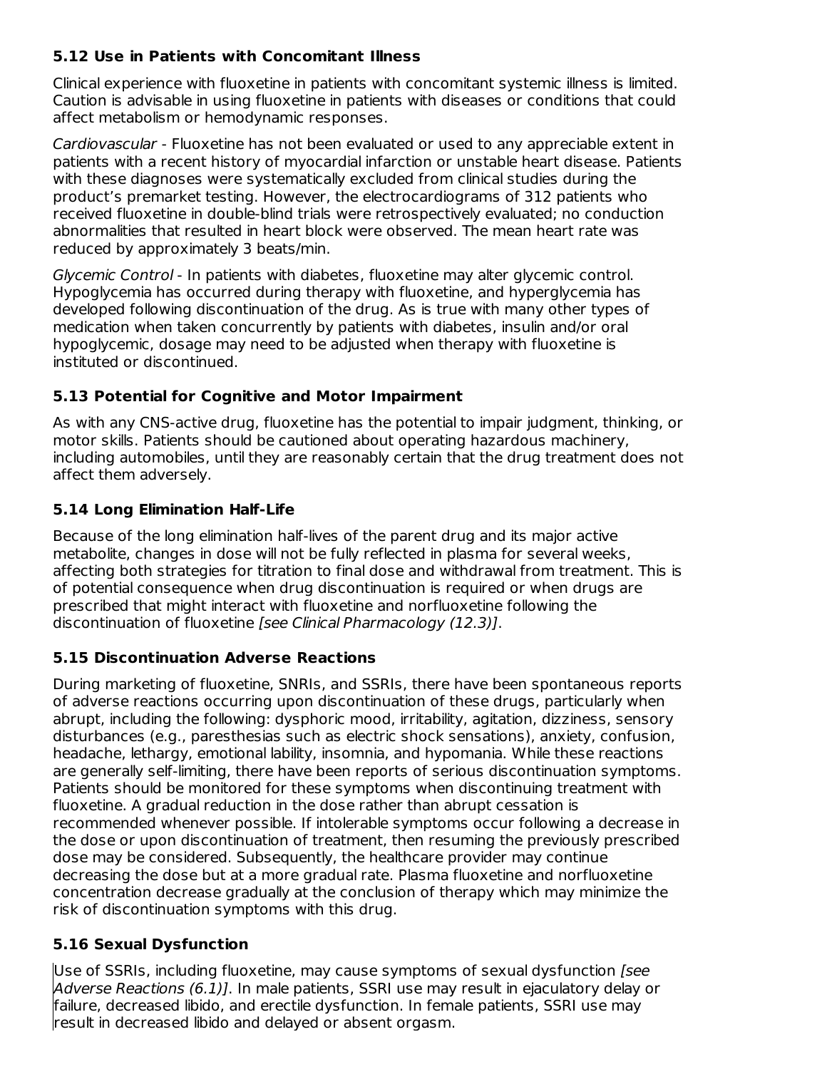## **5.12 Use in Patients with Concomitant Illness**

Clinical experience with fluoxetine in patients with concomitant systemic illness is limited. Caution is advisable in using fluoxetine in patients with diseases or conditions that could affect metabolism or hemodynamic responses.

Cardiovascular - Fluoxetine has not been evaluated or used to any appreciable extent in patients with a recent history of myocardial infarction or unstable heart disease. Patients with these diagnoses were systematically excluded from clinical studies during the product's premarket testing. However, the electrocardiograms of 312 patients who received fluoxetine in double-blind trials were retrospectively evaluated; no conduction abnormalities that resulted in heart block were observed. The mean heart rate was reduced by approximately 3 beats/min.

Glycemic Control - In patients with diabetes, fluoxetine may alter glycemic control. Hypoglycemia has occurred during therapy with fluoxetine, and hyperglycemia has developed following discontinuation of the drug. As is true with many other types of medication when taken concurrently by patients with diabetes, insulin and/or oral hypoglycemic, dosage may need to be adjusted when therapy with fluoxetine is instituted or discontinued.

## **5.13 Potential for Cognitive and Motor Impairment**

As with any CNS-active drug, fluoxetine has the potential to impair judgment, thinking, or motor skills. Patients should be cautioned about operating hazardous machinery, including automobiles, until they are reasonably certain that the drug treatment does not affect them adversely.

## **5.14 Long Elimination Half-Life**

Because of the long elimination half-lives of the parent drug and its major active metabolite, changes in dose will not be fully reflected in plasma for several weeks, affecting both strategies for titration to final dose and withdrawal from treatment. This is of potential consequence when drug discontinuation is required or when drugs are prescribed that might interact with fluoxetine and norfluoxetine following the discontinuation of fluoxetine [see Clinical Pharmacology (12.3)].

## **5.15 Discontinuation Adverse Reactions**

During marketing of fluoxetine, SNRIs, and SSRIs, there have been spontaneous reports of adverse reactions occurring upon discontinuation of these drugs, particularly when abrupt, including the following: dysphoric mood, irritability, agitation, dizziness, sensory disturbances (e.g., paresthesias such as electric shock sensations), anxiety, confusion, headache, lethargy, emotional lability, insomnia, and hypomania. While these reactions are generally self-limiting, there have been reports of serious discontinuation symptoms. Patients should be monitored for these symptoms when discontinuing treatment with fluoxetine. A gradual reduction in the dose rather than abrupt cessation is recommended whenever possible. If intolerable symptoms occur following a decrease in the dose or upon discontinuation of treatment, then resuming the previously prescribed dose may be considered. Subsequently, the healthcare provider may continue decreasing the dose but at a more gradual rate. Plasma fluoxetine and norfluoxetine concentration decrease gradually at the conclusion of therapy which may minimize the risk of discontinuation symptoms with this drug.

## **5.16 Sexual Dysfunction**

Use of SSRIs, including fluoxetine, may cause symptoms of sexual dysfunction [see Adverse Reactions (6.1)1. In male patients, SSRI use may result in ejaculatory delay or failure, decreased libido, and erectile dysfunction. In female patients, SSRI use may result in decreased libido and delayed or absent orgasm.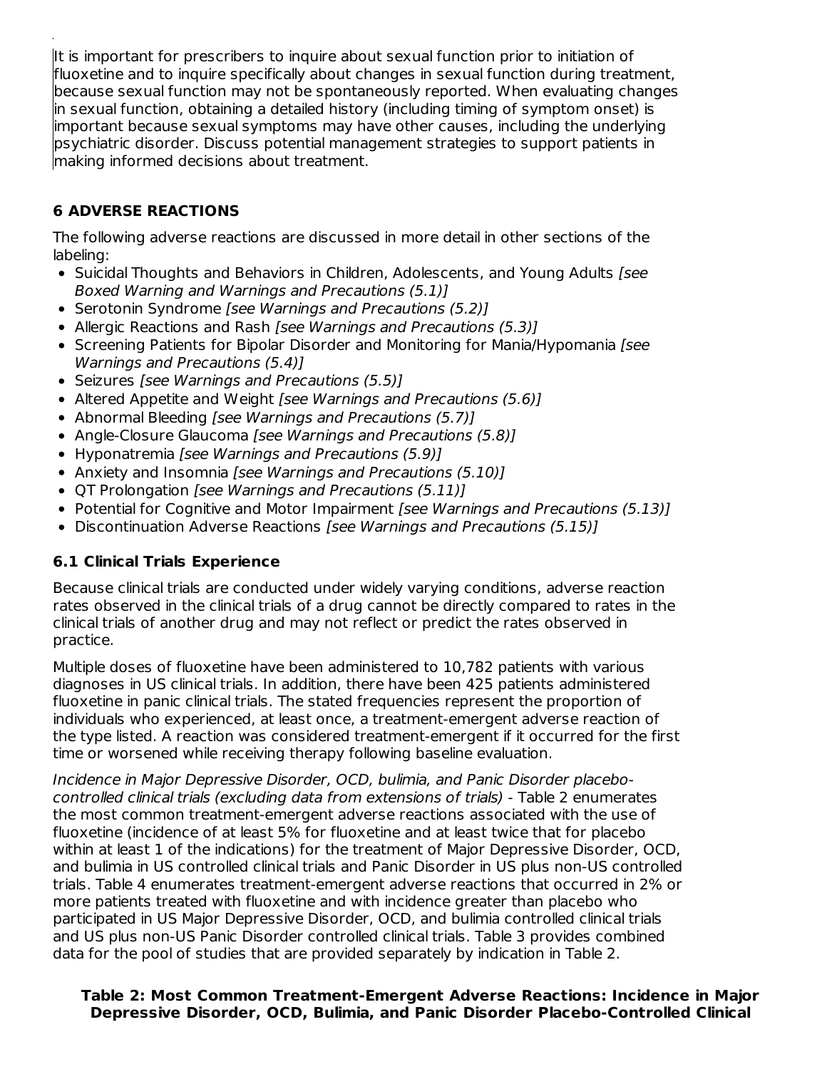It is important for prescribers to inquire about sexual function prior to initiation of fluoxetine and to inquire specifically about changes in sexual function during treatment, because sexual function may not be spontaneously reported. When evaluating changes in sexual function, obtaining a detailed history (including timing of symptom onset) is important because sexual symptoms may have other causes, including the underlying psychiatric disorder. Discuss potential management strategies to support patients in making informed decisions about treatment.

## **6 ADVERSE REACTIONS**

The following adverse reactions are discussed in more detail in other sections of the labeling:

- Suicidal Thoughts and Behaviors in Children, Adolescents, and Young Adults [see Boxed Warning and Warnings and Precautions (5.1)]
- Serotonin Syndrome [see Warnings and Precautions (5.2)]
- Allergic Reactions and Rash [see Warnings and Precautions (5.3)]
- Screening Patients for Bipolar Disorder and Monitoring for Mania/Hypomania [see Warnings and Precautions (5.4)]
- Seizures [see Warnings and Precautions (5.5)]
- Altered Appetite and Weight [see Warnings and Precautions (5.6)]
- Abnormal Bleeding [see Warnings and Precautions (5.7)]
- Angle-Closure Glaucoma [see Warnings and Precautions (5.8)]
- Hyponatremia [see Warnings and Precautions (5.9)]
- Anxiety and Insomnia [see Warnings and Precautions (5.10)]
- QT Prolongation [see Warnings and Precautions (5.11)]
- Potential for Cognitive and Motor Impairment [see Warnings and Precautions (5.13)]
- Discontinuation Adverse Reactions [see Warnings and Precautions (5.15)]

## **6.1 Clinical Trials Experience**

Because clinical trials are conducted under widely varying conditions, adverse reaction rates observed in the clinical trials of a drug cannot be directly compared to rates in the clinical trials of another drug and may not reflect or predict the rates observed in practice.

Multiple doses of fluoxetine have been administered to 10,782 patients with various diagnoses in US clinical trials. In addition, there have been 425 patients administered fluoxetine in panic clinical trials. The stated frequencies represent the proportion of individuals who experienced, at least once, a treatment-emergent adverse reaction of the type listed. A reaction was considered treatment-emergent if it occurred for the first time or worsened while receiving therapy following baseline evaluation.

Incidence in Major Depressive Disorder, OCD, bulimia, and Panic Disorder placebocontrolled clinical trials (excluding data from extensions of trials) - Table 2 enumerates the most common treatment-emergent adverse reactions associated with the use of fluoxetine (incidence of at least 5% for fluoxetine and at least twice that for placebo within at least 1 of the indications) for the treatment of Major Depressive Disorder, OCD, and bulimia in US controlled clinical trials and Panic Disorder in US plus non-US controlled trials. Table 4 enumerates treatment-emergent adverse reactions that occurred in 2% or more patients treated with fluoxetine and with incidence greater than placebo who participated in US Major Depressive Disorder, OCD, and bulimia controlled clinical trials and US plus non-US Panic Disorder controlled clinical trials. Table 3 provides combined data for the pool of studies that are provided separately by indication in Table 2.

#### **Table 2: Most Common Treatment-Emergent Adverse Reactions: Incidence in Major Depressive Disorder, OCD, Bulimia, and Panic Disorder Placebo-Controlled Clinical**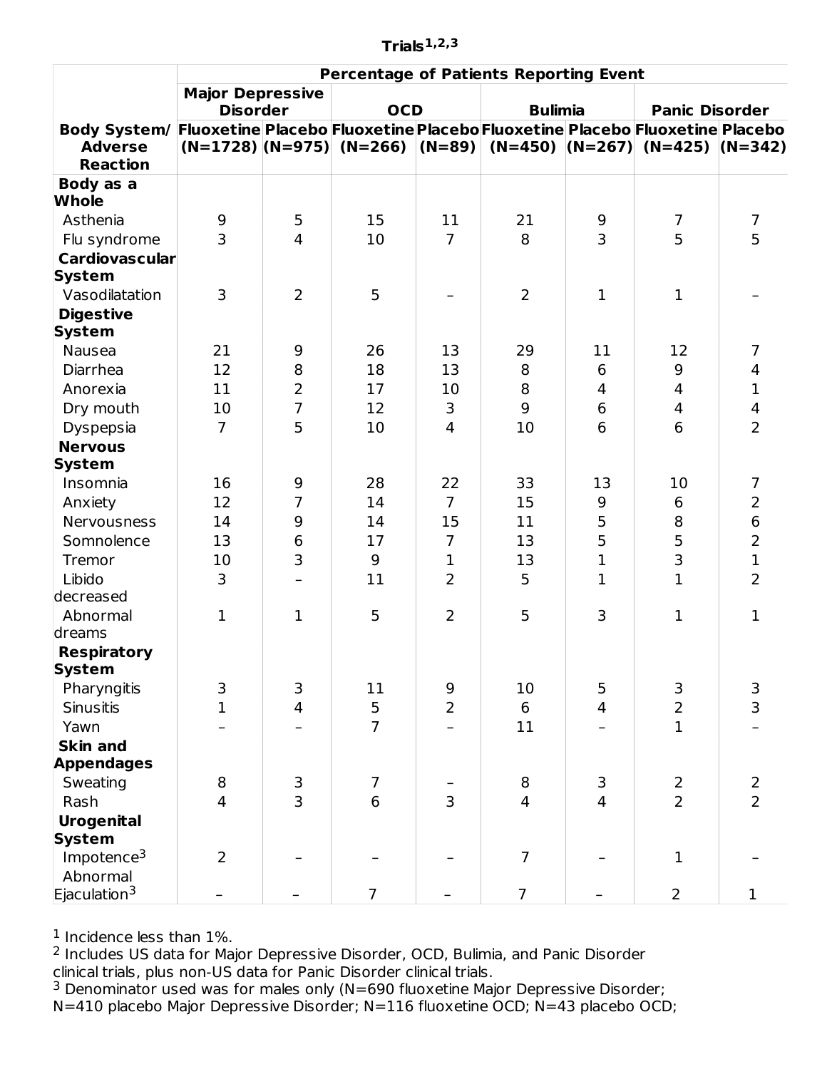|                                                                                          | <b>Percentage of Patients Reporting Event</b> |                |                                |                |                         |                |                                     |                         |  |
|------------------------------------------------------------------------------------------|-----------------------------------------------|----------------|--------------------------------|----------------|-------------------------|----------------|-------------------------------------|-------------------------|--|
|                                                                                          | <b>Major Depressive</b>                       |                |                                |                |                         |                |                                     |                         |  |
|                                                                                          | <b>Disorder</b>                               |                | <b>OCD</b>                     |                | <b>Bulimia</b>          |                | <b>Panic Disorder</b>               |                         |  |
| Body System/ Fluoxetine Placebo Fluoxetine Placebo Fluoxetine Placebo Fluoxetine Placebo |                                               |                |                                |                |                         |                |                                     |                         |  |
| <b>Adverse</b><br><b>Reaction</b>                                                        |                                               |                | $(N=1728)$ $(N=975)$ $(N=266)$ | $(N=89)$       |                         |                | (N=450) $ N=267 $ (N=425) $ N=342 $ |                         |  |
| Body as a                                                                                |                                               |                |                                |                |                         |                |                                     |                         |  |
| <b>Whole</b>                                                                             |                                               |                |                                |                |                         |                |                                     |                         |  |
| Asthenia                                                                                 | 9                                             | 5              | 15                             | 11             | 21                      | 9              | $\overline{7}$                      | $\overline{7}$          |  |
| Flu syndrome                                                                             | $\overline{3}$                                | 4              | 10                             | $\overline{7}$ | 8                       | 3              | 5                                   | 5                       |  |
| Cardiovascular                                                                           |                                               |                |                                |                |                         |                |                                     |                         |  |
| <b>System</b>                                                                            |                                               |                |                                |                |                         |                |                                     |                         |  |
| Vasodilatation                                                                           | 3                                             | 2              | 5                              |                | $\overline{2}$          | 1              | $\mathbf 1$                         |                         |  |
| <b>Digestive</b>                                                                         |                                               |                |                                |                |                         |                |                                     |                         |  |
| <b>System</b>                                                                            |                                               |                |                                |                |                         |                |                                     |                         |  |
| Nausea                                                                                   | 21                                            | 9              | 26                             | 13             | 29                      | 11             | 12                                  | 7                       |  |
| Diarrhea                                                                                 | 12                                            | 8              | 18                             | 13             | 8                       | 6              | 9                                   | $\overline{\mathbf{4}}$ |  |
| Anorexia                                                                                 | 11                                            | $\overline{2}$ | 17                             | 10             | 8                       | 4              | 4                                   | $\mathbf 1$             |  |
| Dry mouth                                                                                | 10                                            | $\overline{7}$ | 12                             | 3              | 9                       | 6              | 4                                   | $\overline{\mathbf{4}}$ |  |
| Dyspepsia                                                                                | $\overline{7}$                                | 5              | 10                             | 4              | 10                      | 6              | 6                                   | $\overline{2}$          |  |
| <b>Nervous</b>                                                                           |                                               |                |                                |                |                         |                |                                     |                         |  |
| <b>System</b>                                                                            |                                               |                |                                |                |                         |                |                                     |                         |  |
| Insomnia                                                                                 | 16                                            | 9              | 28                             | 22             | 33                      | 13             | 10                                  | $\overline{7}$          |  |
| Anxiety                                                                                  | 12                                            | $\overline{7}$ | 14                             | $\overline{7}$ | 15                      | 9              | 6                                   | $\overline{2}$          |  |
| Nervousness                                                                              | 14                                            | 9              | 14                             | 15             | 11                      | 5              | 8                                   | $\boldsymbol{6}$        |  |
| Somnolence                                                                               | 13                                            | 6              | 17                             | $\overline{7}$ | 13                      | 5              | 5                                   | $\overline{2}$          |  |
| Tremor                                                                                   | 10                                            | 3              | 9                              | 1              | 13                      | $\mathbf 1$    | $\overline{3}$                      | $\mathbf{1}$            |  |
| Libido                                                                                   | 3                                             |                | 11                             | $\overline{2}$ | 5                       | 1              | $\mathbf{1}$                        | $\overline{2}$          |  |
| decreased                                                                                |                                               |                |                                |                |                         |                |                                     |                         |  |
| Abnormal                                                                                 | 1                                             | 1              | 5                              | $\overline{2}$ | 5                       | 3              | $\mathbf 1$                         | $\mathbf 1$             |  |
| dreams                                                                                   |                                               |                |                                |                |                         |                |                                     |                         |  |
| <b>Respiratory</b>                                                                       |                                               |                |                                |                |                         |                |                                     |                         |  |
| <b>System</b>                                                                            |                                               |                |                                |                |                         |                |                                     |                         |  |
| Pharyngitis                                                                              | 3                                             | 3              | 11                             | 9              | 10                      | 5              | 3                                   | 3                       |  |
| <b>Sinusitis</b>                                                                         | $\mathbf{1}$                                  | $\overline{4}$ | 5                              | $\overline{2}$ | 6                       | 4              | $\overline{c}$                      | $\overline{3}$          |  |
| Yawn                                                                                     |                                               |                | $\overline{7}$                 |                | 11                      |                | $\mathbf{1}$                        |                         |  |
| <b>Skin and</b>                                                                          |                                               |                |                                |                |                         |                |                                     |                         |  |
| <b>Appendages</b>                                                                        |                                               |                |                                |                |                         |                |                                     |                         |  |
| Sweating                                                                                 | 8                                             | 3              | $\overline{7}$                 |                | 8                       | 3              | $\overline{2}$                      | $\overline{2}$          |  |
| Rash                                                                                     | $\overline{4}$                                | $\overline{3}$ | 6                              | 3              | $\overline{\mathbf{4}}$ | $\overline{4}$ | $\overline{2}$                      | $\overline{2}$          |  |
| <b>Urogenital</b>                                                                        |                                               |                |                                |                |                         |                |                                     |                         |  |
| <b>System</b>                                                                            |                                               |                |                                |                |                         |                |                                     |                         |  |
| Impotence <sup>3</sup>                                                                   | $\overline{2}$                                |                |                                |                | $\overline{7}$          |                | $\mathbf{1}$                        |                         |  |
| Abnormal                                                                                 |                                               |                |                                |                |                         |                |                                     |                         |  |
| Ejaculation <sup>3</sup>                                                                 |                                               |                | $\overline{7}$                 |                | $\overline{7}$          |                | $\overline{2}$                      | $\mathbf{1}$            |  |

**Trials 1,2,3**

 $<sup>1</sup>$  Incidence less than 1%.</sup>

<sup>2</sup> Includes US data for Major Depressive Disorder, OCD, Bulimia, and Panic Disorder clinical trials, plus non-US data for Panic Disorder clinical trials.

 $3$  Denominator used was for males only (N=690 fluoxetine Major Depressive Disorder; N=410 placebo Major Depressive Disorder; N=116 fluoxetine OCD; N=43 placebo OCD;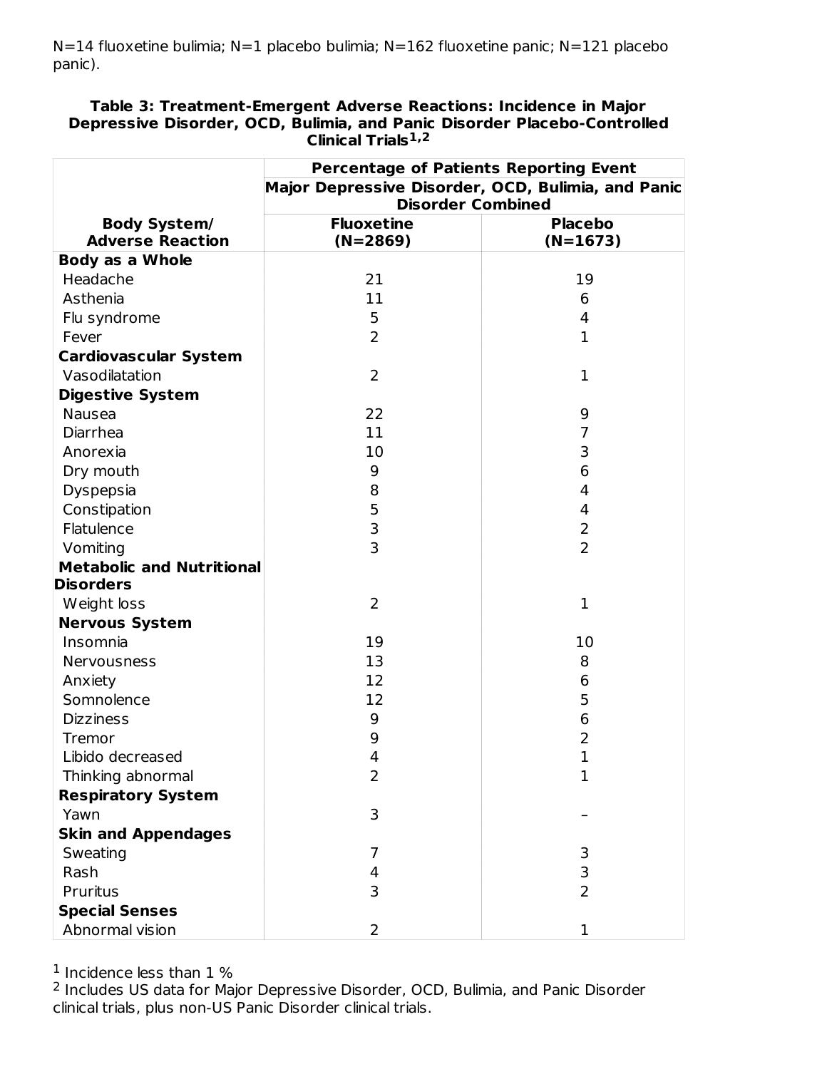N=14 fluoxetine bulimia; N=1 placebo bulimia; N=162 fluoxetine panic; N=121 placebo panic).

|                                  | <b>Percentage of Patients Reporting Event</b>      |                |
|----------------------------------|----------------------------------------------------|----------------|
|                                  | Major Depressive Disorder, OCD, Bulimia, and Panic |                |
|                                  | <b>Disorder Combined</b>                           |                |
| <b>Body System/</b>              | <b>Fluoxetine</b>                                  | <b>Placebo</b> |
| <b>Adverse Reaction</b>          | $(N=2869)$                                         | $(N=1673)$     |
| <b>Body as a Whole</b>           |                                                    |                |
| Headache                         | 21                                                 | 19             |
| Asthenia                         | 11                                                 | 6              |
| Flu syndrome                     | 5                                                  | 4              |
| Fever                            | $\overline{2}$                                     | 1              |
| <b>Cardiovascular System</b>     |                                                    |                |
| Vasodilatation                   | $\overline{2}$                                     | 1              |
| <b>Digestive System</b>          |                                                    |                |
| Nausea                           | 22                                                 | 9              |
| Diarrhea                         | 11                                                 | 7              |
| Anorexia                         | 10                                                 | 3              |
| Dry mouth                        | 9                                                  | 6              |
| Dyspepsia                        | 8                                                  | 4              |
| Constipation                     | 5                                                  | 4              |
| Flatulence                       | 3                                                  | $\overline{2}$ |
| Vomiting                         | $\overline{3}$                                     | $\overline{2}$ |
| <b>Metabolic and Nutritional</b> |                                                    |                |
| <b>Disorders</b>                 |                                                    |                |
| Weight loss                      | $\overline{2}$                                     | 1              |
| <b>Nervous System</b>            |                                                    |                |
| Insomnia                         | 19                                                 | 10             |
| Nervousness                      | 13                                                 | 8              |
| Anxiety                          | 12                                                 | 6              |
| Somnolence                       | 12                                                 | 5              |
| <b>Dizziness</b>                 | 9                                                  | 6              |
| Tremor                           | 9                                                  | $\overline{2}$ |
| Libido decreased                 | 4                                                  | 1              |
| Thinking abnormal                | $\overline{2}$                                     | 1              |
| <b>Respiratory System</b>        |                                                    |                |
| Yawn                             | 3                                                  |                |
| <b>Skin and Appendages</b>       |                                                    |                |
| Sweating                         | 7                                                  | 3              |
| Rash                             | 4                                                  | 3              |
| Pruritus                         | 3                                                  | $\overline{2}$ |
| <b>Special Senses</b>            |                                                    |                |
| Abnormal vision                  | 2                                                  | 1              |

#### **Table 3: Treatment-Emergent Adverse Reactions: Incidence in Major Depressive Disorder, OCD, Bulimia, and Panic Disorder Placebo-Controlled Clinical Trials 1,2**

 $^1$  Incidence less than 1  $\%$ 

<sup>2</sup> Includes US data for Major Depressive Disorder, OCD, Bulimia, and Panic Disorder clinical trials, plus non-US Panic Disorder clinical trials.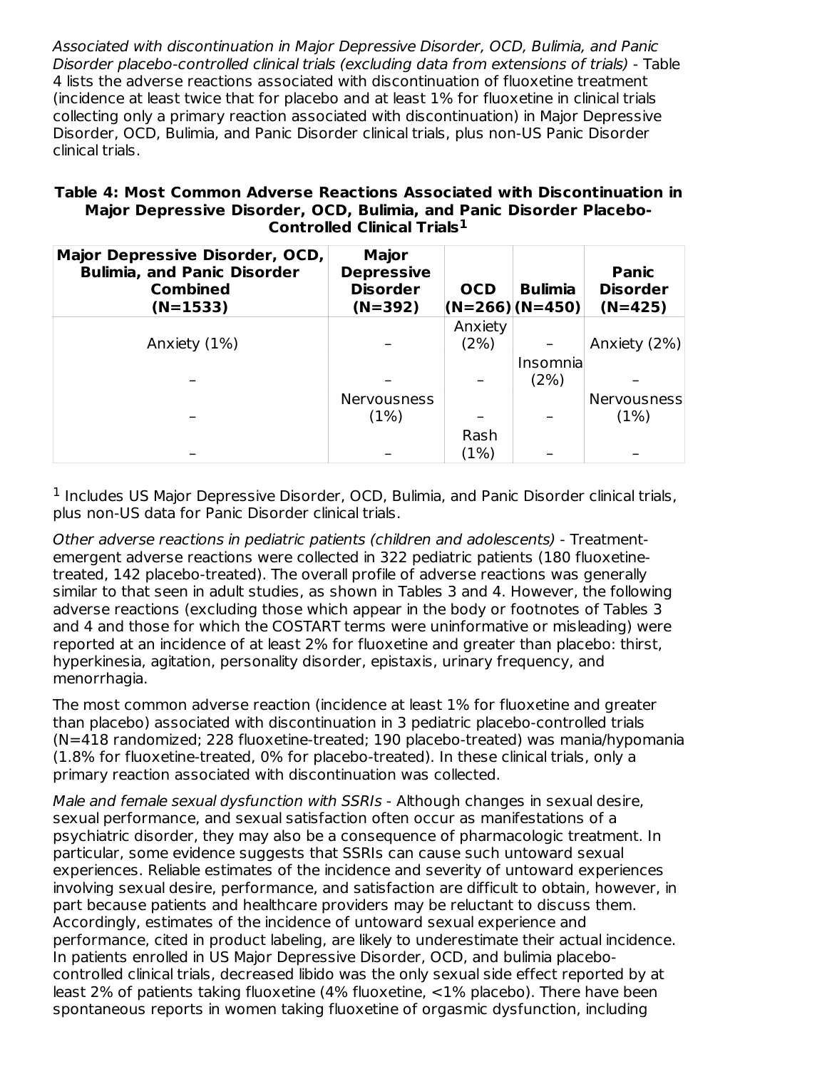Associated with discontinuation in Major Depressive Disorder, OCD, Bulimia, and Panic Disorder placebo-controlled clinical trials (excluding data from extensions of trials) - Table 4 lists the adverse reactions associated with discontinuation of fluoxetine treatment (incidence at least twice that for placebo and at least 1% for fluoxetine in clinical trials collecting only a primary reaction associated with discontinuation) in Major Depressive Disorder, OCD, Bulimia, and Panic Disorder clinical trials, plus non-US Panic Disorder clinical trials.

| Table 4: Most Common Adverse Reactions Associated with Discontinuation in |
|---------------------------------------------------------------------------|
| Major Depressive Disorder, OCD, Bulimia, and Panic Disorder Placebo-      |
| Controlled Clinical Trials <sup>1</sup>                                   |

| Major Depressive Disorder, OCD,<br><b>Bulimia, and Panic Disorder</b><br><b>Combined</b><br>$(N=1533)$ | <b>Major</b><br><b>Depressive</b><br><b>Disorder</b><br>$(N=392)$ | <b>OCD</b>      | <b>Bulimia</b><br>$(N=266) (N=450) $ | Panic<br><b>Disorder</b><br>$(N=425)$ |
|--------------------------------------------------------------------------------------------------------|-------------------------------------------------------------------|-----------------|--------------------------------------|---------------------------------------|
| Anxiety (1%)                                                                                           |                                                                   | Anxiety<br>(2%) |                                      | Anxiety (2%)                          |
|                                                                                                        |                                                                   |                 | Insomnia<br>(2%)                     |                                       |
|                                                                                                        | <b>Nervousness</b><br>(1%)                                        |                 |                                      | Nervousness<br>(1%)                   |
|                                                                                                        |                                                                   | Rash<br>(1%)    |                                      |                                       |

<sup>1</sup> Includes US Major Depressive Disorder, OCD, Bulimia, and Panic Disorder clinical trials, plus non-US data for Panic Disorder clinical trials.

Other adverse reactions in pediatric patients (children and adolescents) - Treatmentemergent adverse reactions were collected in 322 pediatric patients (180 fluoxetinetreated, 142 placebo-treated). The overall profile of adverse reactions was generally similar to that seen in adult studies, as shown in Tables 3 and 4. However, the following adverse reactions (excluding those which appear in the body or footnotes of Tables 3 and 4 and those for which the COSTART terms were uninformative or misleading) were reported at an incidence of at least 2% for fluoxetine and greater than placebo: thirst, hyperkinesia, agitation, personality disorder, epistaxis, urinary frequency, and menorrhagia.

The most common adverse reaction (incidence at least 1% for fluoxetine and greater than placebo) associated with discontinuation in 3 pediatric placebo-controlled trials (N=418 randomized; 228 fluoxetine-treated; 190 placebo-treated) was mania/hypomania (1.8% for fluoxetine-treated, 0% for placebo-treated). In these clinical trials, only a primary reaction associated with discontinuation was collected.

Male and female sexual dysfunction with SSRIs - Although changes in sexual desire, sexual performance, and sexual satisfaction often occur as manifestations of a psychiatric disorder, they may also be a consequence of pharmacologic treatment. In particular, some evidence suggests that SSRIs can cause such untoward sexual experiences. Reliable estimates of the incidence and severity of untoward experiences involving sexual desire, performance, and satisfaction are difficult to obtain, however, in part because patients and healthcare providers may be reluctant to discuss them. Accordingly, estimates of the incidence of untoward sexual experience and performance, cited in product labeling, are likely to underestimate their actual incidence. In patients enrolled in US Major Depressive Disorder, OCD, and bulimia placebocontrolled clinical trials, decreased libido was the only sexual side effect reported by at least 2% of patients taking fluoxetine (4% fluoxetine, <1% placebo). There have been spontaneous reports in women taking fluoxetine of orgasmic dysfunction, including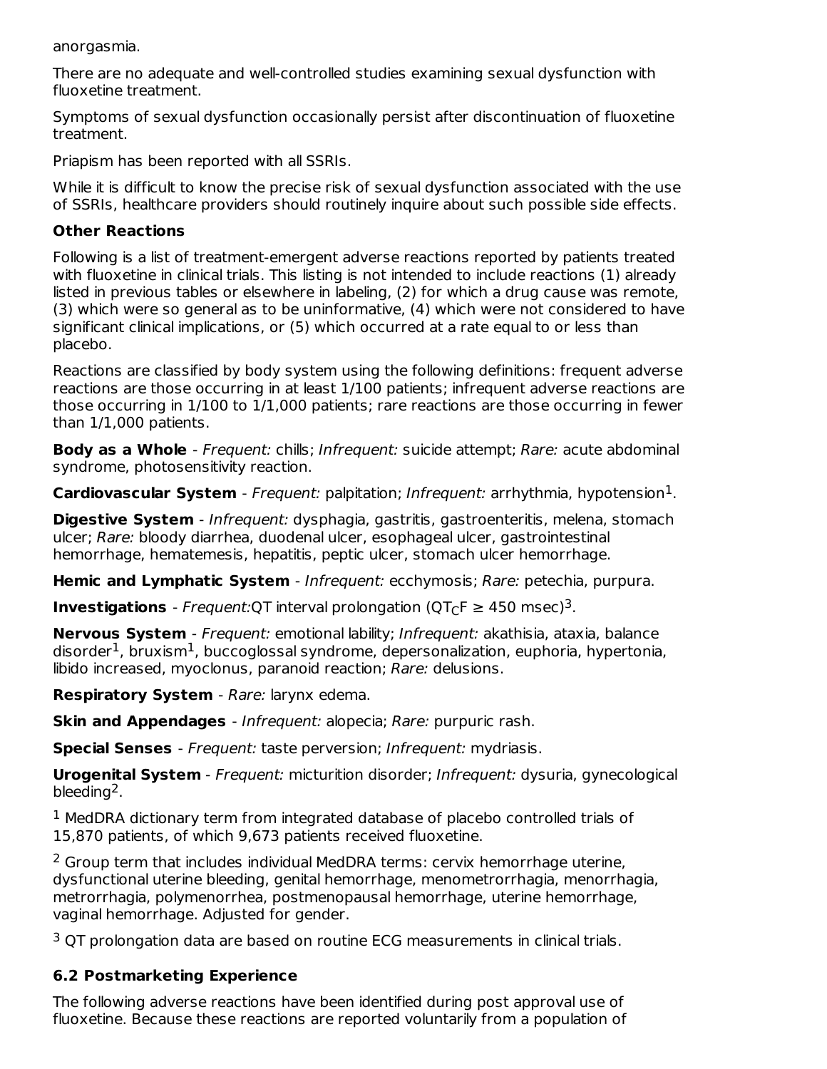anorgasmia.

There are no adequate and well-controlled studies examining sexual dysfunction with fluoxetine treatment.

Symptoms of sexual dysfunction occasionally persist after discontinuation of fluoxetine treatment.

Priapism has been reported with all SSRIs.

While it is difficult to know the precise risk of sexual dysfunction associated with the use of SSRIs, healthcare providers should routinely inquire about such possible side effects.

#### **Other Reactions**

Following is a list of treatment-emergent adverse reactions reported by patients treated with fluoxetine in clinical trials. This listing is not intended to include reactions (1) already listed in previous tables or elsewhere in labeling, (2) for which a drug cause was remote, (3) which were so general as to be uninformative, (4) which were not considered to have significant clinical implications, or (5) which occurred at a rate equal to or less than placebo.

Reactions are classified by body system using the following definitions: frequent adverse reactions are those occurring in at least 1/100 patients; infrequent adverse reactions are those occurring in 1/100 to 1/1,000 patients; rare reactions are those occurring in fewer than 1/1,000 patients.

**Body as a Whole** - Frequent: chills; Infrequent: suicide attempt; Rare: acute abdominal syndrome, photosensitivity reaction.

**Cardiovascular System** - Frequent: palpitation; Infrequent: arrhythmia, hypotension<sup>1</sup>.

**Digestive System** - *Infrequent:* dysphagia, gastritis, gastroenteritis, melena, stomach ulcer; Rare: bloody diarrhea, duodenal ulcer, esophageal ulcer, gastrointestinal hemorrhage, hematemesis, hepatitis, peptic ulcer, stomach ulcer hemorrhage.

**Hemic and Lymphatic System** - Infrequent: ecchymosis; Rare: petechia, purpura.

**Investigations** - Frequent:QT interval prolongation (QT<sub>C</sub>F  $\geq$  450 msec)<sup>3</sup>.

**Nervous System** - Frequent: emotional lability; Infrequent: akathisia, ataxia, balance disorder<sup>1</sup>, bruxism<sup>1</sup>, buccoglossal syndrome, depersonalization, euphoria, hypertonia, libido increased, myoclonus, paranoid reaction; Rare: delusions.

**Respiratory System** - Rare: larynx edema.

**Skin and Appendages** - Infrequent: alopecia; Rare: purpuric rash.

**Special Senses** - Frequent: taste perversion; Infrequent: mydriasis.

**Urogenital System** - Frequent: micturition disorder; Infrequent: dysuria, gynecological bleeding<sup>2</sup>.

 $1$  MedDRA dictionary term from integrated database of placebo controlled trials of 15,870 patients, of which 9,673 patients received fluoxetine.

 $2$  Group term that includes individual MedDRA terms: cervix hemorrhage uterine, dysfunctional uterine bleeding, genital hemorrhage, menometrorrhagia, menorrhagia, metrorrhagia, polymenorrhea, postmenopausal hemorrhage, uterine hemorrhage, vaginal hemorrhage. Adjusted for gender.

 $3$  QT prolongation data are based on routine ECG measurements in clinical trials.

### **6.2 Postmarketing Experience**

The following adverse reactions have been identified during post approval use of fluoxetine. Because these reactions are reported voluntarily from a population of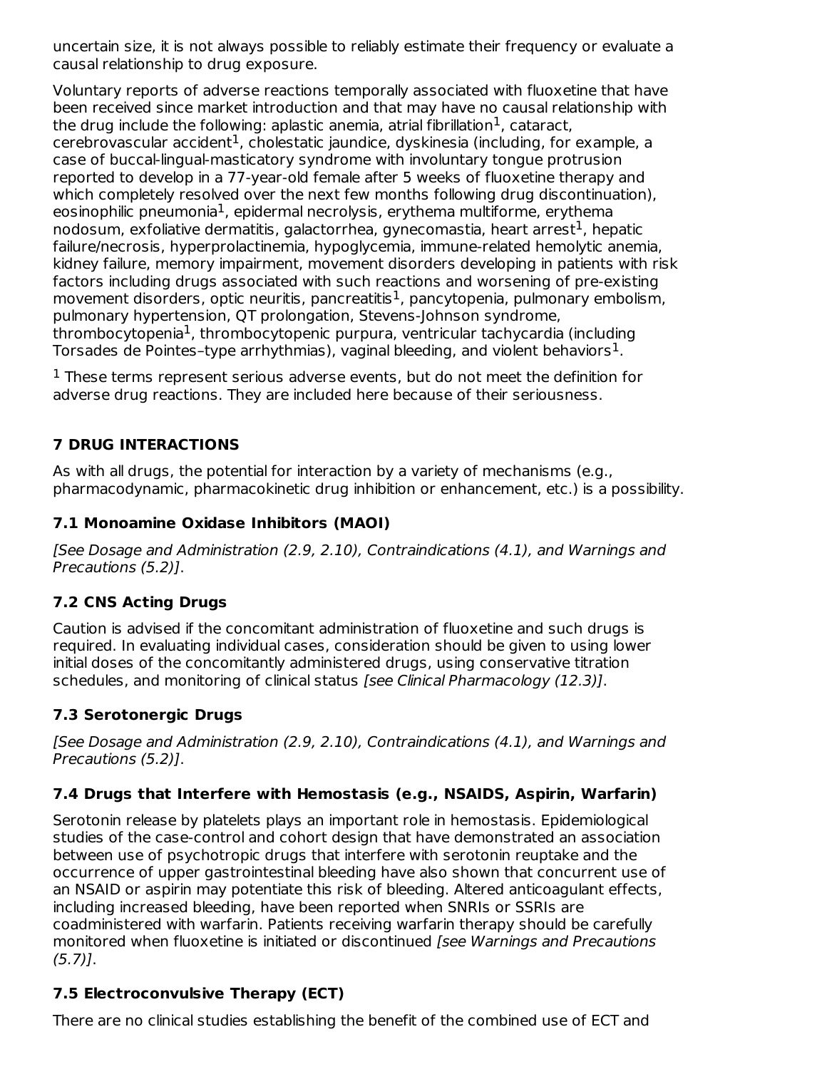uncertain size, it is not always possible to reliably estimate their frequency or evaluate a causal relationship to drug exposure.

Voluntary reports of adverse reactions temporally associated with fluoxetine that have been received since market introduction and that may have no causal relationship with the drug include the following: aplastic anemia, atrial fibrillation $^1$ , cataract, cerebrovascular accident $^1$ , cholestatic jaundice, dyskinesia (including, for example, a case of buccal-lingual-masticatory syndrome with involuntary tongue protrusion reported to develop in a 77-year-old female after 5 weeks of fluoxetine therapy and which completely resolved over the next few months following drug discontinuation), eosinophilic pneumonia<sup>1</sup>, epidermal necrolysis, erythema multiforme, erythema nodosum, exfoliative dermatitis, galactorrhea, gynecomastia, heart arrest $^{\rm 1}$ , hepatic failure/necrosis, hyperprolactinemia, hypoglycemia, immune-related hemolytic anemia, kidney failure, memory impairment, movement disorders developing in patients with risk factors including drugs associated with such reactions and worsening of pre-existing movement disorders, optic neuritis, pancreatitis<sup>1</sup>, pancytopenia, pulmonary embolism, pulmonary hypertension, QT prolongation, Stevens-Johnson syndrome, thrombocytopenia<sup>1</sup>, thrombocytopenic purpura, ventricular tachycardia (including Torsades de Pointes-type arrhythmias), vaginal bleeding, and violent behaviors<sup>1</sup>.

 $1$  These terms represent serious adverse events, but do not meet the definition for adverse drug reactions. They are included here because of their seriousness.

## **7 DRUG INTERACTIONS**

As with all drugs, the potential for interaction by a variety of mechanisms (e.g., pharmacodynamic, pharmacokinetic drug inhibition or enhancement, etc.) is a possibility.

## **7.1 Monoamine Oxidase Inhibitors (MAOI)**

[See Dosage and Administration (2.9, 2.10), Contraindications (4.1), and Warnings and Precautions (5.2)].

## **7.2 CNS Acting Drugs**

Caution is advised if the concomitant administration of fluoxetine and such drugs is required. In evaluating individual cases, consideration should be given to using lower initial doses of the concomitantly administered drugs, using conservative titration schedules, and monitoring of clinical status [see Clinical Pharmacology (12.3)].

## **7.3 Serotonergic Drugs**

[See Dosage and Administration (2.9, 2.10), Contraindications (4.1), and Warnings and Precautions (5.2)].

## **7.4 Drugs that Interfere with Hemostasis (e.g., NSAIDS, Aspirin, Warfarin)**

Serotonin release by platelets plays an important role in hemostasis. Epidemiological studies of the case-control and cohort design that have demonstrated an association between use of psychotropic drugs that interfere with serotonin reuptake and the occurrence of upper gastrointestinal bleeding have also shown that concurrent use of an NSAID or aspirin may potentiate this risk of bleeding. Altered anticoagulant effects, including increased bleeding, have been reported when SNRIs or SSRIs are coadministered with warfarin. Patients receiving warfarin therapy should be carefully monitored when fluoxetine is initiated or discontinued [see Warnings and Precautions (5.7)].

## **7.5 Electroconvulsive Therapy (ECT)**

There are no clinical studies establishing the benefit of the combined use of ECT and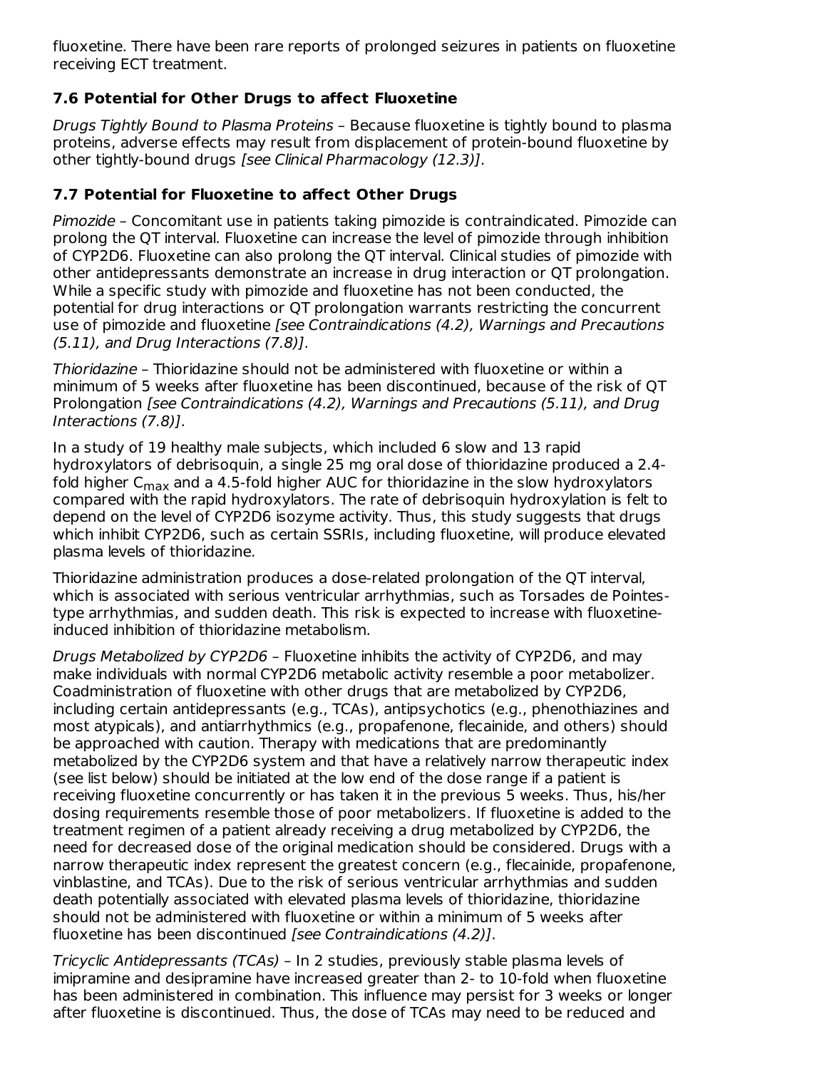fluoxetine. There have been rare reports of prolonged seizures in patients on fluoxetine receiving ECT treatment.

## **7.6 Potential for Other Drugs to affect Fluoxetine**

Drugs Tightly Bound to Plasma Proteins – Because fluoxetine is tightly bound to plasma proteins, adverse effects may result from displacement of protein-bound fluoxetine by other tightly-bound drugs [see Clinical Pharmacology (12.3)].

## **7.7 Potential for Fluoxetine to affect Other Drugs**

Pimozide – Concomitant use in patients taking pimozide is contraindicated. Pimozide can prolong the QT interval. Fluoxetine can increase the level of pimozide through inhibition of CYP2D6. Fluoxetine can also prolong the QT interval. Clinical studies of pimozide with other antidepressants demonstrate an increase in drug interaction or QT prolongation. While a specific study with pimozide and fluoxetine has not been conducted, the potential for drug interactions or QT prolongation warrants restricting the concurrent use of pimozide and fluoxetine [see Contraindications (4.2), Warnings and Precautions (5.11), and Drug Interactions (7.8)].

Thioridazine – Thioridazine should not be administered with fluoxetine or within a minimum of 5 weeks after fluoxetine has been discontinued, because of the risk of QT Prolongation [see Contraindications (4.2), Warnings and Precautions (5.11), and Drug Interactions (7.8)].

In a study of 19 healthy male subjects, which included 6 slow and 13 rapid hydroxylators of debrisoquin, a single 25 mg oral dose of thioridazine produced a 2.4 fold higher C<sub>max</sub> and a 4.5-fold higher AUC for thioridazine in the slow hydroxylators compared with the rapid hydroxylators. The rate of debrisoquin hydroxylation is felt to depend on the level of CYP2D6 isozyme activity. Thus, this study suggests that drugs which inhibit CYP2D6, such as certain SSRIs, including fluoxetine, will produce elevated plasma levels of thioridazine.

Thioridazine administration produces a dose-related prolongation of the QT interval, which is associated with serious ventricular arrhythmias, such as Torsades de Pointestype arrhythmias, and sudden death. This risk is expected to increase with fluoxetineinduced inhibition of thioridazine metabolism.

Drugs Metabolized by CYP2D6 – Fluoxetine inhibits the activity of CYP2D6, and may make individuals with normal CYP2D6 metabolic activity resemble a poor metabolizer. Coadministration of fluoxetine with other drugs that are metabolized by CYP2D6, including certain antidepressants (e.g., TCAs), antipsychotics (e.g., phenothiazines and most atypicals), and antiarrhythmics (e.g., propafenone, flecainide, and others) should be approached with caution. Therapy with medications that are predominantly metabolized by the CYP2D6 system and that have a relatively narrow therapeutic index (see list below) should be initiated at the low end of the dose range if a patient is receiving fluoxetine concurrently or has taken it in the previous 5 weeks. Thus, his/her dosing requirements resemble those of poor metabolizers. If fluoxetine is added to the treatment regimen of a patient already receiving a drug metabolized by CYP2D6, the need for decreased dose of the original medication should be considered. Drugs with a narrow therapeutic index represent the greatest concern (e.g., flecainide, propafenone, vinblastine, and TCAs). Due to the risk of serious ventricular arrhythmias and sudden death potentially associated with elevated plasma levels of thioridazine, thioridazine should not be administered with fluoxetine or within a minimum of 5 weeks after fluoxetine has been discontinued [see Contraindications (4.2)].

Tricyclic Antidepressants (TCAs) – In 2 studies, previously stable plasma levels of imipramine and desipramine have increased greater than 2- to 10-fold when fluoxetine has been administered in combination. This influence may persist for 3 weeks or longer after fluoxetine is discontinued. Thus, the dose of TCAs may need to be reduced and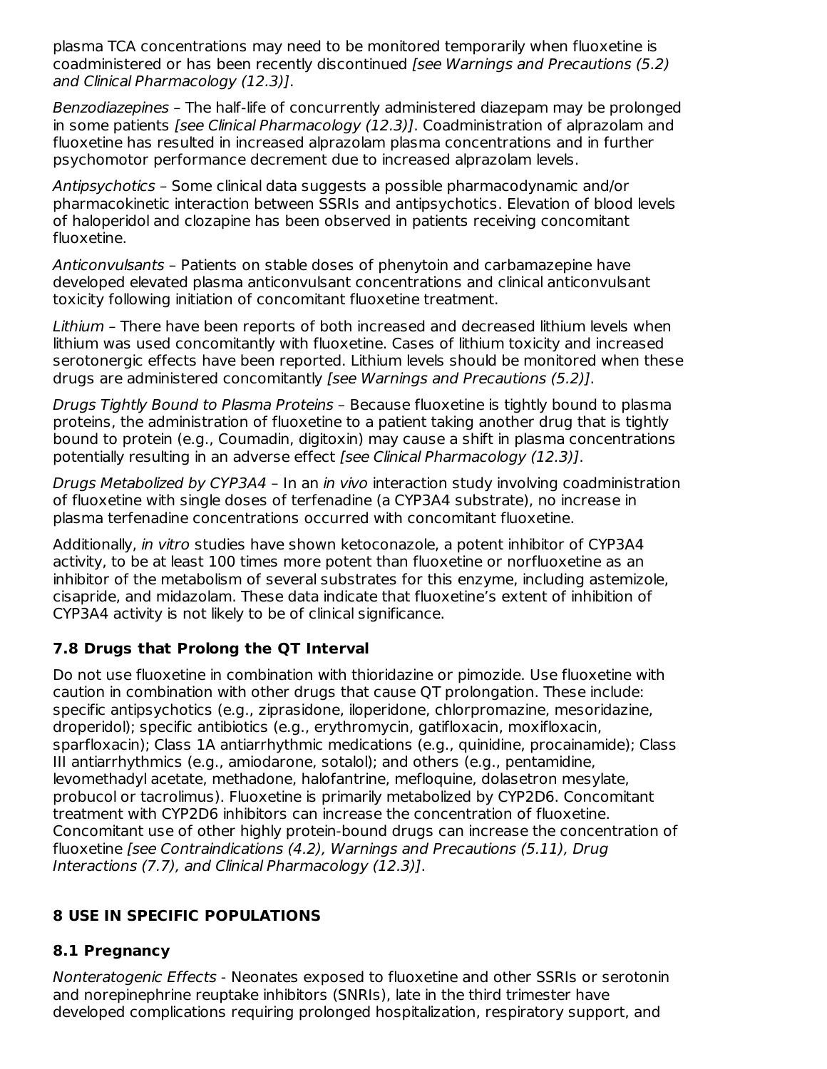plasma TCA concentrations may need to be monitored temporarily when fluoxetine is coadministered or has been recently discontinued [see Warnings and Precautions (5.2) and Clinical Pharmacology (12.3)].

Benzodiazepines – The half-life of concurrently administered diazepam may be prolonged in some patients [see Clinical Pharmacology (12.3)]. Coadministration of alprazolam and fluoxetine has resulted in increased alprazolam plasma concentrations and in further psychomotor performance decrement due to increased alprazolam levels.

Antipsychotics – Some clinical data suggests a possible pharmacodynamic and/or pharmacokinetic interaction between SSRIs and antipsychotics. Elevation of blood levels of haloperidol and clozapine has been observed in patients receiving concomitant fluoxetine.

Anticonvulsants – Patients on stable doses of phenytoin and carbamazepine have developed elevated plasma anticonvulsant concentrations and clinical anticonvulsant toxicity following initiation of concomitant fluoxetine treatment.

Lithium - There have been reports of both increased and decreased lithium levels when lithium was used concomitantly with fluoxetine. Cases of lithium toxicity and increased serotonergic effects have been reported. Lithium levels should be monitored when these drugs are administered concomitantly [see Warnings and Precautions (5.2)].

Drugs Tightly Bound to Plasma Proteins – Because fluoxetine is tightly bound to plasma proteins, the administration of fluoxetine to a patient taking another drug that is tightly bound to protein (e.g., Coumadin, digitoxin) may cause a shift in plasma concentrations potentially resulting in an adverse effect [see Clinical Pharmacology (12.3)].

Drugs Metabolized by CYP3A4 - In an in vivo interaction study involving coadministration of fluoxetine with single doses of terfenadine (a CYP3A4 substrate), no increase in plasma terfenadine concentrations occurred with concomitant fluoxetine.

Additionally, in vitro studies have shown ketoconazole, a potent inhibitor of CYP3A4 activity, to be at least 100 times more potent than fluoxetine or norfluoxetine as an inhibitor of the metabolism of several substrates for this enzyme, including astemizole, cisapride, and midazolam. These data indicate that fluoxetine's extent of inhibition of CYP3A4 activity is not likely to be of clinical significance.

## **7.8 Drugs that Prolong the QT Interval**

Do not use fluoxetine in combination with thioridazine or pimozide. Use fluoxetine with caution in combination with other drugs that cause QT prolongation. These include: specific antipsychotics (e.g., ziprasidone, iloperidone, chlorpromazine, mesoridazine, droperidol); specific antibiotics (e.g., erythromycin, gatifloxacin, moxifloxacin, sparfloxacin); Class 1A antiarrhythmic medications (e.g., quinidine, procainamide); Class III antiarrhythmics (e.g., amiodarone, sotalol); and others (e.g., pentamidine, levomethadyl acetate, methadone, halofantrine, mefloquine, dolasetron mesylate, probucol or tacrolimus). Fluoxetine is primarily metabolized by CYP2D6. Concomitant treatment with CYP2D6 inhibitors can increase the concentration of fluoxetine. Concomitant use of other highly protein-bound drugs can increase the concentration of fluoxetine [see Contraindications (4.2), Warnings and Precautions (5.11), Drug Interactions (7.7), and Clinical Pharmacology (12.3)].

# **8 USE IN SPECIFIC POPULATIONS**

## **8.1 Pregnancy**

Nonteratogenic Effects - Neonates exposed to fluoxetine and other SSRIs or serotonin and norepinephrine reuptake inhibitors (SNRIs), late in the third trimester have developed complications requiring prolonged hospitalization, respiratory support, and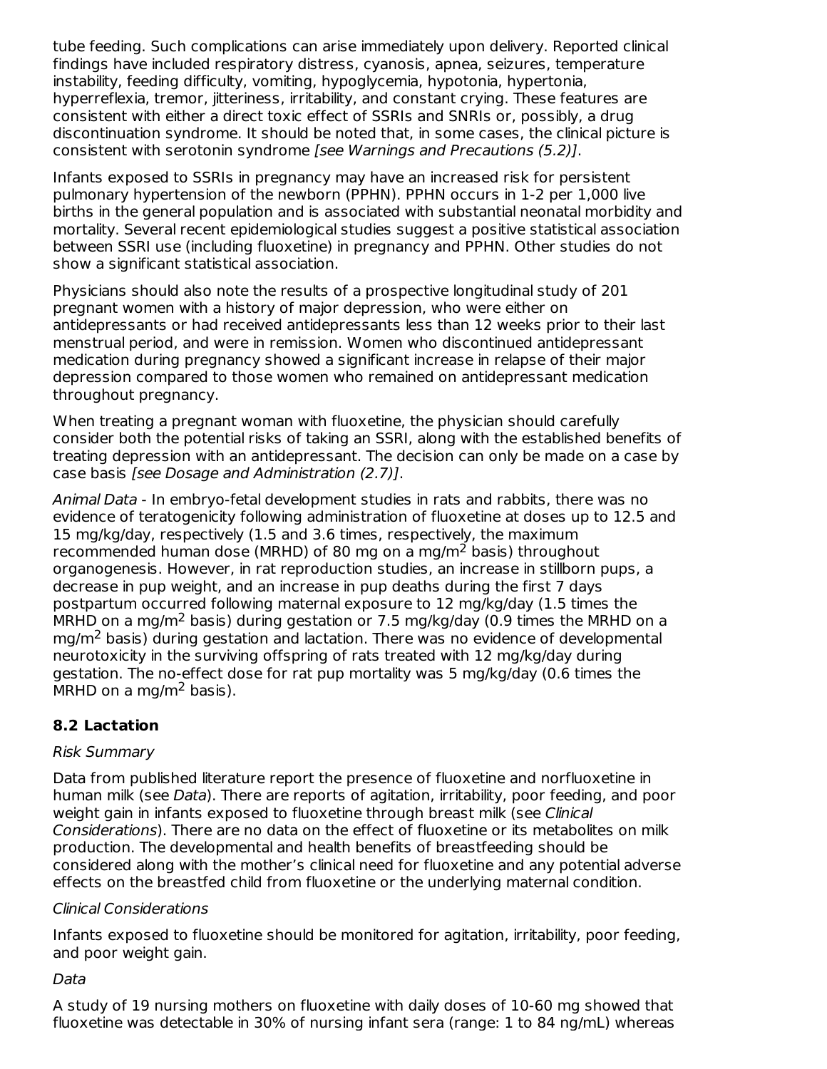tube feeding. Such complications can arise immediately upon delivery. Reported clinical findings have included respiratory distress, cyanosis, apnea, seizures, temperature instability, feeding difficulty, vomiting, hypoglycemia, hypotonia, hypertonia, hyperreflexia, tremor, jitteriness, irritability, and constant crying. These features are consistent with either a direct toxic effect of SSRIs and SNRIs or, possibly, a drug discontinuation syndrome. It should be noted that, in some cases, the clinical picture is consistent with serotonin syndrome [see Warnings and Precautions (5.2)].

Infants exposed to SSRIs in pregnancy may have an increased risk for persistent pulmonary hypertension of the newborn (PPHN). PPHN occurs in 1-2 per 1,000 live births in the general population and is associated with substantial neonatal morbidity and mortality. Several recent epidemiological studies suggest a positive statistical association between SSRI use (including fluoxetine) in pregnancy and PPHN. Other studies do not show a significant statistical association.

Physicians should also note the results of a prospective longitudinal study of 201 pregnant women with a history of major depression, who were either on antidepressants or had received antidepressants less than 12 weeks prior to their last menstrual period, and were in remission. Women who discontinued antidepressant medication during pregnancy showed a significant increase in relapse of their major depression compared to those women who remained on antidepressant medication throughout pregnancy.

When treating a pregnant woman with fluoxetine, the physician should carefully consider both the potential risks of taking an SSRI, along with the established benefits of treating depression with an antidepressant. The decision can only be made on a case by case basis [see Dosage and Administration (2.7)].

Animal Data - In embryo-fetal development studies in rats and rabbits, there was no evidence of teratogenicity following administration of fluoxetine at doses up to 12.5 and 15 mg/kg/day, respectively (1.5 and 3.6 times, respectively, the maximum recommended human dose (MRHD) of 80 mg on a mg/m<sup>2</sup> basis) throughout organogenesis. However, in rat reproduction studies, an increase in stillborn pups, a decrease in pup weight, and an increase in pup deaths during the first 7 days postpartum occurred following maternal exposure to 12 mg/kg/day (1.5 times the MRHD on a mg/m<sup>2</sup> basis) during gestation or 7.5 mg/kg/day (0.9 times the MRHD on a  $mg/m<sup>2</sup>$  basis) during gestation and lactation. There was no evidence of developmental neurotoxicity in the surviving offspring of rats treated with 12 mg/kg/day during gestation. The no-effect dose for rat pup mortality was 5 mg/kg/day (0.6 times the MRHD on a mg/m<sup>2</sup> basis).

## **8.2 Lactation**

### Risk Summary

Data from published literature report the presence of fluoxetine and norfluoxetine in human milk (see Data). There are reports of agitation, irritability, poor feeding, and poor weight gain in infants exposed to fluoxetine through breast milk (see Clinical Considerations). There are no data on the effect of fluoxetine or its metabolites on milk production. The developmental and health benefits of breastfeeding should be considered along with the mother's clinical need for fluoxetine and any potential adverse effects on the breastfed child from fluoxetine or the underlying maternal condition.

### Clinical Considerations

Infants exposed to fluoxetine should be monitored for agitation, irritability, poor feeding, and poor weight gain.

Data

A study of 19 nursing mothers on fluoxetine with daily doses of 10-60 mg showed that fluoxetine was detectable in 30% of nursing infant sera (range: 1 to 84 ng/mL) whereas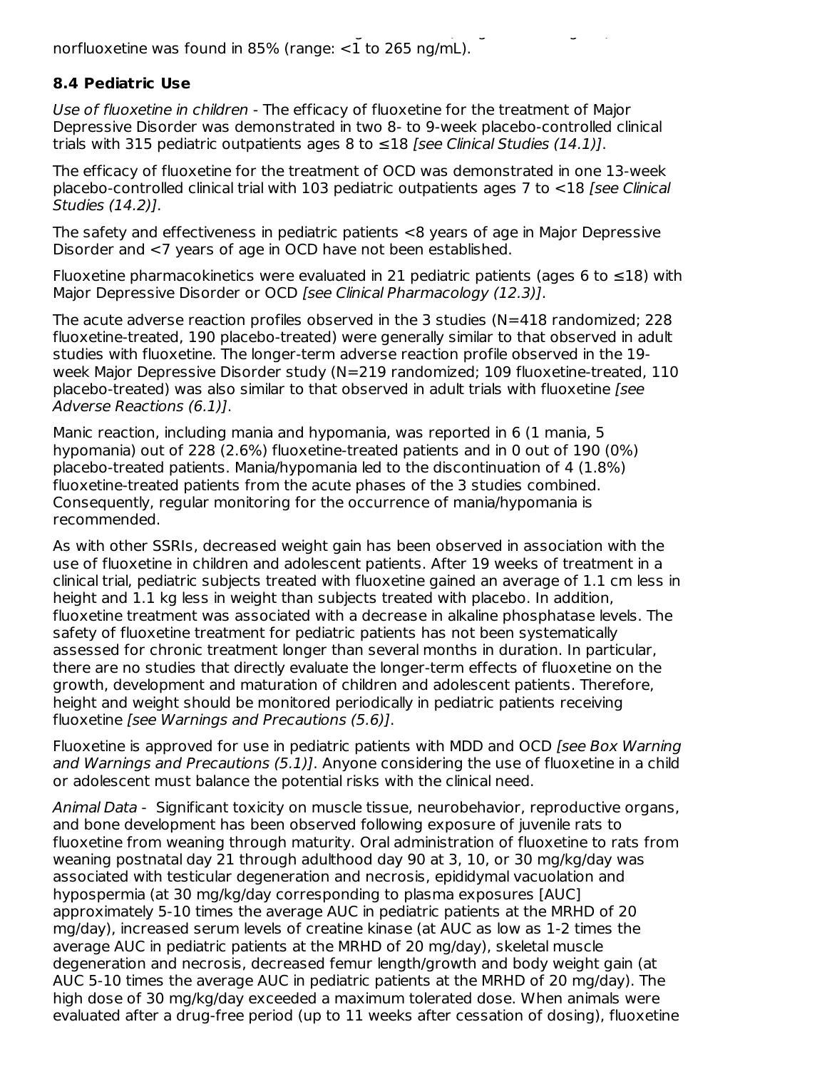fluoxetine was detectable in 30% of nursing infant sera (range: 1 to 84 ng/mL) whereas norfluoxetine was found in 85% (range: <1 to 265 ng/mL).

## **8.4 Pediatric Use**

Use of fluoxetine in children - The efficacy of fluoxetine for the treatment of Major Depressive Disorder was demonstrated in two 8- to 9-week placebo-controlled clinical trials with 315 pediatric outpatients ages 8 to  $\leq$ 18 [see Clinical Studies (14.1)].

The efficacy of fluoxetine for the treatment of OCD was demonstrated in one 13-week placebo-controlled clinical trial with 103 pediatric outpatients ages 7 to  $\lt 18$  [see Clinical Studies (14.2)].

The safety and effectiveness in pediatric patients <8 years of age in Major Depressive Disorder and <7 years of age in OCD have not been established.

Fluoxetine pharmacokinetics were evaluated in 21 pediatric patients (ages 6 to  $\leq$ 18) with Major Depressive Disorder or OCD [see Clinical Pharmacology (12.3)].

The acute adverse reaction profiles observed in the 3 studies (N=418 randomized; 228 fluoxetine-treated, 190 placebo-treated) were generally similar to that observed in adult studies with fluoxetine. The longer-term adverse reaction profile observed in the 19 week Major Depressive Disorder study (N=219 randomized; 109 fluoxetine-treated, 110 placebo-treated) was also similar to that observed in adult trials with fluoxetine [see Adverse Reactions (6.1)].

Manic reaction, including mania and hypomania, was reported in 6 (1 mania, 5 hypomania) out of 228 (2.6%) fluoxetine-treated patients and in 0 out of 190 (0%) placebo-treated patients. Mania/hypomania led to the discontinuation of 4 (1.8%) fluoxetine-treated patients from the acute phases of the 3 studies combined. Consequently, regular monitoring for the occurrence of mania/hypomania is recommended.

As with other SSRIs, decreased weight gain has been observed in association with the use of fluoxetine in children and adolescent patients. After 19 weeks of treatment in a clinical trial, pediatric subjects treated with fluoxetine gained an average of 1.1 cm less in height and 1.1 kg less in weight than subjects treated with placebo. In addition, fluoxetine treatment was associated with a decrease in alkaline phosphatase levels. The safety of fluoxetine treatment for pediatric patients has not been systematically assessed for chronic treatment longer than several months in duration. In particular, there are no studies that directly evaluate the longer-term effects of fluoxetine on the growth, development and maturation of children and adolescent patients. Therefore, height and weight should be monitored periodically in pediatric patients receiving fluoxetine [see Warnings and Precautions (5.6)].

Fluoxetine is approved for use in pediatric patients with MDD and OCD [see Box Warning] and Warnings and Precautions (5.1)]. Anyone considering the use of fluoxetine in a child or adolescent must balance the potential risks with the clinical need.

Animal Data - Significant toxicity on muscle tissue, neurobehavior, reproductive organs, and bone development has been observed following exposure of juvenile rats to fluoxetine from weaning through maturity. Oral administration of fluoxetine to rats from weaning postnatal day 21 through adulthood day 90 at 3, 10, or 30 mg/kg/day was associated with testicular degeneration and necrosis, epididymal vacuolation and hypospermia (at 30 mg/kg/day corresponding to plasma exposures [AUC] approximately 5-10 times the average AUC in pediatric patients at the MRHD of 20 mg/day), increased serum levels of creatine kinase (at AUC as low as 1-2 times the average AUC in pediatric patients at the MRHD of 20 mg/day), skeletal muscle degeneration and necrosis, decreased femur length/growth and body weight gain (at AUC 5-10 times the average AUC in pediatric patients at the MRHD of 20 mg/day). The high dose of 30 mg/kg/day exceeded a maximum tolerated dose. When animals were evaluated after a drug-free period (up to 11 weeks after cessation of dosing), fluoxetine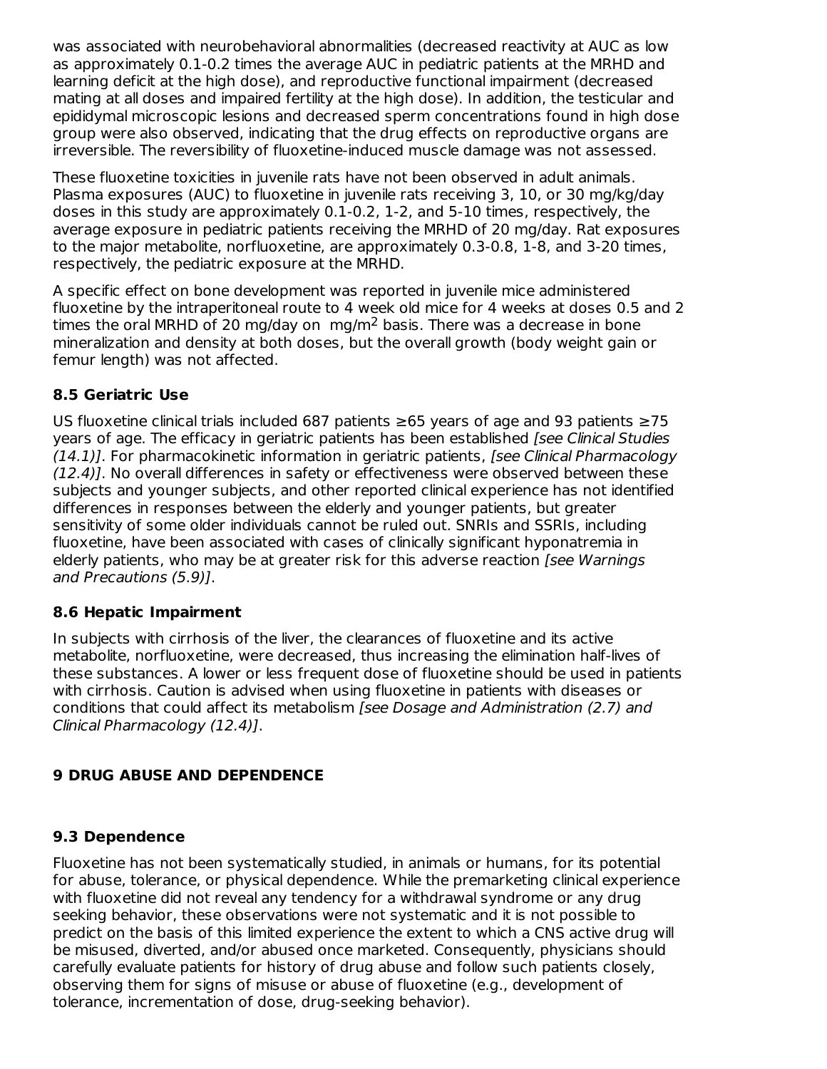was associated with neurobehavioral abnormalities (decreased reactivity at AUC as low as approximately 0.1-0.2 times the average AUC in pediatric patients at the MRHD and learning deficit at the high dose), and reproductive functional impairment (decreased mating at all doses and impaired fertility at the high dose). In addition, the testicular and epididymal microscopic lesions and decreased sperm concentrations found in high dose group were also observed, indicating that the drug effects on reproductive organs are irreversible. The reversibility of fluoxetine-induced muscle damage was not assessed.

These fluoxetine toxicities in juvenile rats have not been observed in adult animals. Plasma exposures (AUC) to fluoxetine in juvenile rats receiving 3, 10, or 30 mg/kg/day doses in this study are approximately 0.1-0.2, 1-2, and 5-10 times, respectively, the average exposure in pediatric patients receiving the MRHD of 20 mg/day. Rat exposures to the major metabolite, norfluoxetine, are approximately 0.3-0.8, 1-8, and 3-20 times, respectively, the pediatric exposure at the MRHD.

A specific effect on bone development was reported in juvenile mice administered fluoxetine by the intraperitoneal route to 4 week old mice for 4 weeks at doses 0.5 and 2 times the oral MRHD of 20 mg/day on  $mg/m<sup>2</sup>$  basis. There was a decrease in bone mineralization and density at both doses, but the overall growth (body weight gain or femur length) was not affected.

## **8.5 Geriatric Use**

US fluoxetine clinical trials included 687 patients ≥65 years of age and 93 patients ≥75 years of age. The efficacy in geriatric patients has been established [see Clinical Studies (14.1)]. For pharmacokinetic information in geriatric patients, [see Clinical Pharmacology  $(12.4)$ ]. No overall differences in safety or effectiveness were observed between these subjects and younger subjects, and other reported clinical experience has not identified differences in responses between the elderly and younger patients, but greater sensitivity of some older individuals cannot be ruled out. SNRIs and SSRIs, including fluoxetine, have been associated with cases of clinically significant hyponatremia in elderly patients, who may be at greater risk for this adverse reaction *[see Warnings* and Precautions (5.9)].

### **8.6 Hepatic Impairment**

In subjects with cirrhosis of the liver, the clearances of fluoxetine and its active metabolite, norfluoxetine, were decreased, thus increasing the elimination half-lives of these substances. A lower or less frequent dose of fluoxetine should be used in patients with cirrhosis. Caution is advised when using fluoxetine in patients with diseases or conditions that could affect its metabolism [see Dosage and Administration (2.7) and Clinical Pharmacology (12.4)].

### **9 DRUG ABUSE AND DEPENDENCE**

### **9.3 Dependence**

Fluoxetine has not been systematically studied, in animals or humans, for its potential for abuse, tolerance, or physical dependence. While the premarketing clinical experience with fluoxetine did not reveal any tendency for a withdrawal syndrome or any drug seeking behavior, these observations were not systematic and it is not possible to predict on the basis of this limited experience the extent to which a CNS active drug will be misused, diverted, and/or abused once marketed. Consequently, physicians should carefully evaluate patients for history of drug abuse and follow such patients closely, observing them for signs of misuse or abuse of fluoxetine (e.g., development of tolerance, incrementation of dose, drug-seeking behavior).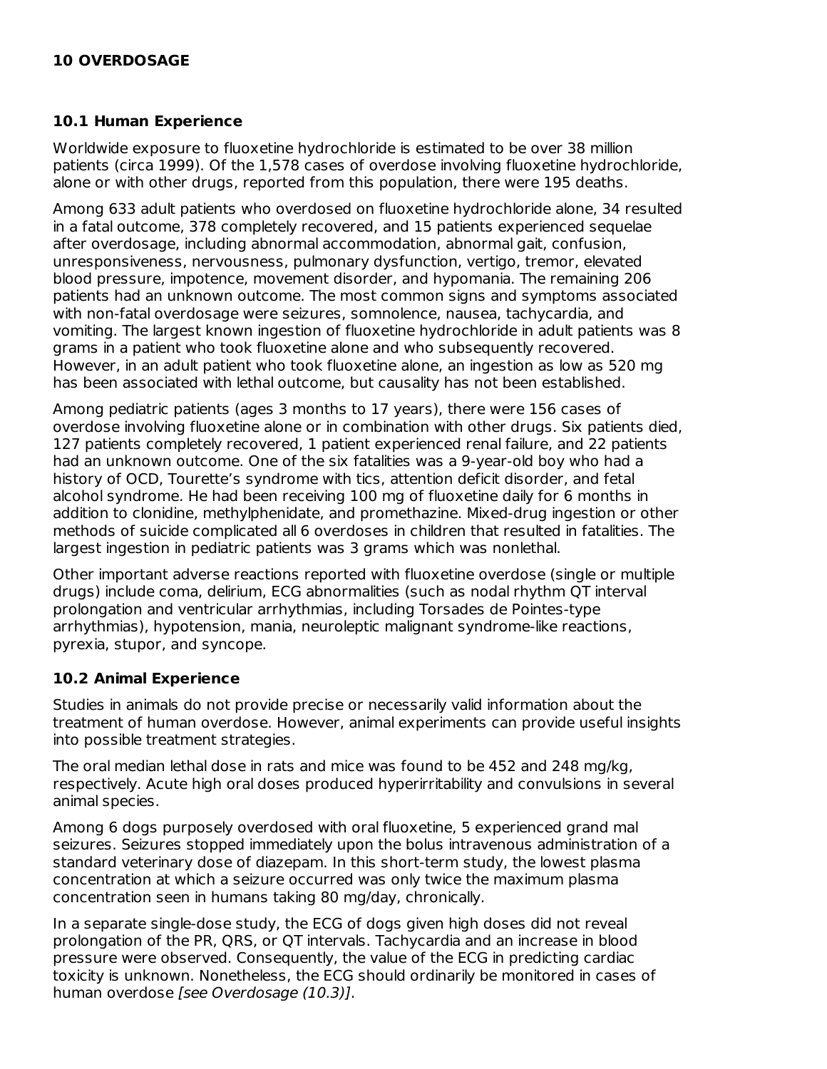#### **10 OVERDOSAGE**

#### **10.1 Human Experience**

Worldwide exposure to fluoxetine hydrochloride is estimated to be over 38 million patients (circa 1999). Of the 1,578 cases of overdose involving fluoxetine hydrochloride, alone or with other drugs, reported from this population, there were 195 deaths.

Among 633 adult patients who overdosed on fluoxetine hydrochloride alone, 34 resulted in a fatal outcome, 378 completely recovered, and 15 patients experienced sequelae after overdosage, including abnormal accommodation, abnormal gait, confusion, unresponsiveness, nervousness, pulmonary dysfunction, vertigo, tremor, elevated blood pressure, impotence, movement disorder, and hypomania. The remaining 206 patients had an unknown outcome. The most common signs and symptoms associated with non-fatal overdosage were seizures, somnolence, nausea, tachycardia, and vomiting. The largest known ingestion of fluoxetine hydrochloride in adult patients was 8 grams in a patient who took fluoxetine alone and who subsequently recovered. However, in an adult patient who took fluoxetine alone, an ingestion as low as 520 mg has been associated with lethal outcome, but causality has not been established.

Among pediatric patients (ages 3 months to 17 years), there were 156 cases of overdose involving fluoxetine alone or in combination with other drugs. Six patients died, 127 patients completely recovered, 1 patient experienced renal failure, and 22 patients had an unknown outcome. One of the six fatalities was a 9-year-old boy who had a history of OCD, Tourette's syndrome with tics, attention deficit disorder, and fetal alcohol syndrome. He had been receiving 100 mg of fluoxetine daily for 6 months in addition to clonidine, methylphenidate, and promethazine. Mixed-drug ingestion or other methods of suicide complicated all 6 overdoses in children that resulted in fatalities. The largest ingestion in pediatric patients was 3 grams which was nonlethal.

Other important adverse reactions reported with fluoxetine overdose (single or multiple drugs) include coma, delirium, ECG abnormalities (such as nodal rhythm QT interval prolongation and ventricular arrhythmias, including Torsades de Pointes-type arrhythmias), hypotension, mania, neuroleptic malignant syndrome-like reactions, pyrexia, stupor, and syncope.

#### **10.2 Animal Experience**

Studies in animals do not provide precise or necessarily valid information about the treatment of human overdose. However, animal experiments can provide useful insights into possible treatment strategies.

The oral median lethal dose in rats and mice was found to be 452 and 248 mg/kg, respectively. Acute high oral doses produced hyperirritability and convulsions in several animal species.

Among 6 dogs purposely overdosed with oral fluoxetine, 5 experienced grand mal seizures. Seizures stopped immediately upon the bolus intravenous administration of a standard veterinary dose of diazepam. In this short-term study, the lowest plasma concentration at which a seizure occurred was only twice the maximum plasma concentration seen in humans taking 80 mg/day, chronically.

In a separate single-dose study, the ECG of dogs given high doses did not reveal prolongation of the PR, QRS, or QT intervals. Tachycardia and an increase in blood pressure were observed. Consequently, the value of the ECG in predicting cardiac toxicity is unknown. Nonetheless, the ECG should ordinarily be monitored in cases of human overdose [see Overdosage (10.3)].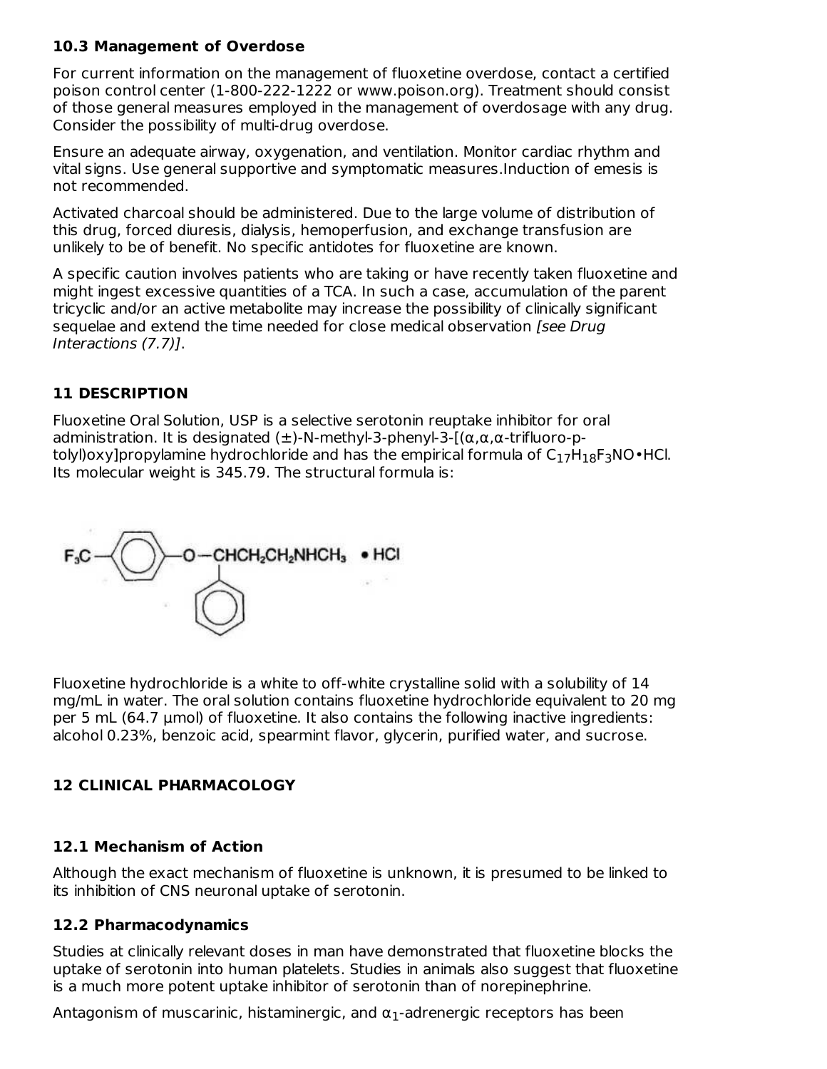### **10.3 Management of Overdose**

For current information on the management of fluoxetine overdose, contact a certified poison control center (1-800-222-1222 or www.poison.org). Treatment should consist of those general measures employed in the management of overdosage with any drug. Consider the possibility of multi-drug overdose.

Ensure an adequate airway, oxygenation, and ventilation. Monitor cardiac rhythm and vital signs. Use general supportive and symptomatic measures.Induction of emesis is not recommended.

Activated charcoal should be administered. Due to the large volume of distribution of this drug, forced diuresis, dialysis, hemoperfusion, and exchange transfusion are unlikely to be of benefit. No specific antidotes for fluoxetine are known.

A specific caution involves patients who are taking or have recently taken fluoxetine and might ingest excessive quantities of a TCA. In such a case, accumulation of the parent tricyclic and/or an active metabolite may increase the possibility of clinically significant sequelae and extend the time needed for close medical observation [see Drug Interactions (7.7)].

## **11 DESCRIPTION**

Fluoxetine Oral Solution, USP is a selective serotonin reuptake inhibitor for oral administration. It is designated (±)-N-methyl-3-phenyl-3-[(α,α,α-trifluoro-ptolyl)oxy]propylamine hydrochloride and has the empirical formula of  $\mathsf{C}_{\bf 17}\mathsf{H}_{\bf 18}\mathsf{F}_{\bf 3}$ NO•HCl. Its molecular weight is 345.79. The structural formula is:



Fluoxetine hydrochloride is a white to off-white crystalline solid with a solubility of 14 mg/mL in water. The oral solution contains fluoxetine hydrochloride equivalent to 20 mg per 5 mL (64.7 µmol) of fluoxetine. It also contains the following inactive ingredients: alcohol 0.23%, benzoic acid, spearmint flavor, glycerin, purified water, and sucrose.

## **12 CLINICAL PHARMACOLOGY**

## **12.1 Mechanism of Action**

Although the exact mechanism of fluoxetine is unknown, it is presumed to be linked to its inhibition of CNS neuronal uptake of serotonin.

## **12.2 Pharmacodynamics**

Studies at clinically relevant doses in man have demonstrated that fluoxetine blocks the uptake of serotonin into human platelets. Studies in animals also suggest that fluoxetine is a much more potent uptake inhibitor of serotonin than of norepinephrine.

Antagonism of muscarinic, histaminergic, and  $\alpha_1$ -adrenergic receptors has been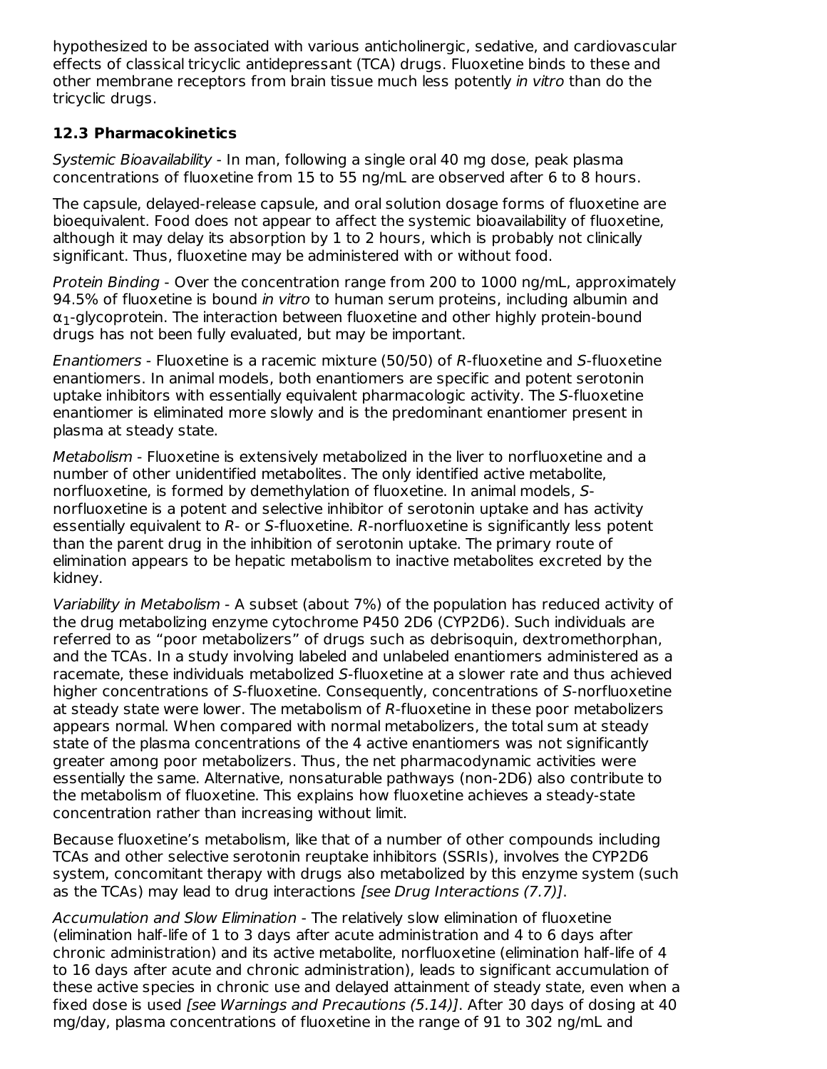hypothesized to be associated with various anticholinergic, sedative, and cardiovascular effects of classical tricyclic antidepressant (TCA) drugs. Fluoxetine binds to these and other membrane receptors from brain tissue much less potently in vitro than do the tricyclic drugs.

### **12.3 Pharmacokinetics**

Systemic Bioavailability - In man, following a single oral 40 mg dose, peak plasma concentrations of fluoxetine from 15 to 55 ng/mL are observed after 6 to 8 hours.

The capsule, delayed-release capsule, and oral solution dosage forms of fluoxetine are bioequivalent. Food does not appear to affect the systemic bioavailability of fluoxetine, although it may delay its absorption by 1 to 2 hours, which is probably not clinically significant. Thus, fluoxetine may be administered with or without food.

Protein Binding - Over the concentration range from 200 to 1000 ng/mL, approximately 94.5% of fluoxetine is bound in vitro to human serum proteins, including albumin and  $\alpha_1$ -glycoprotein. The interaction between fluoxetine and other highly protein-bound drugs has not been fully evaluated, but may be important.

Enantiomers - Fluoxetine is a racemic mixture (50/50) of R-fluoxetine and S-fluoxetine enantiomers. In animal models, both enantiomers are specific and potent serotonin uptake inhibitors with essentially equivalent pharmacologic activity. The S-fluoxetine enantiomer is eliminated more slowly and is the predominant enantiomer present in plasma at steady state.

Metabolism - Fluoxetine is extensively metabolized in the liver to norfluoxetine and a number of other unidentified metabolites. The only identified active metabolite, norfluoxetine, is formed by demethylation of fluoxetine. In animal models, Snorfluoxetine is a potent and selective inhibitor of serotonin uptake and has activity essentially equivalent to R- or S-fluoxetine. R-norfluoxetine is significantly less potent than the parent drug in the inhibition of serotonin uptake. The primary route of elimination appears to be hepatic metabolism to inactive metabolites excreted by the kidney.

Variability in Metabolism - A subset (about 7%) of the population has reduced activity of the drug metabolizing enzyme cytochrome P450 2D6 (CYP2D6). Such individuals are referred to as "poor metabolizers" of drugs such as debrisoquin, dextromethorphan, and the TCAs. In a study involving labeled and unlabeled enantiomers administered as a racemate, these individuals metabolized S-fluoxetine at a slower rate and thus achieved higher concentrations of S-fluoxetine. Consequently, concentrations of S-norfluoxetine at steady state were lower. The metabolism of R-fluoxetine in these poor metabolizers appears normal. When compared with normal metabolizers, the total sum at steady state of the plasma concentrations of the 4 active enantiomers was not significantly greater among poor metabolizers. Thus, the net pharmacodynamic activities were essentially the same. Alternative, nonsaturable pathways (non-2D6) also contribute to the metabolism of fluoxetine. This explains how fluoxetine achieves a steady-state concentration rather than increasing without limit.

Because fluoxetine's metabolism, like that of a number of other compounds including TCAs and other selective serotonin reuptake inhibitors (SSRIs), involves the CYP2D6 system, concomitant therapy with drugs also metabolized by this enzyme system (such as the TCAs) may lead to drug interactions [see Drug Interactions (7.7)].

Accumulation and Slow Elimination - The relatively slow elimination of fluoxetine (elimination half-life of 1 to 3 days after acute administration and 4 to 6 days after chronic administration) and its active metabolite, norfluoxetine (elimination half-life of 4 to 16 days after acute and chronic administration), leads to significant accumulation of these active species in chronic use and delayed attainment of steady state, even when a fixed dose is used *[see Warnings and Precautions*  $(5.14)$ *]*. After 30 days of dosing at 40 mg/day, plasma concentrations of fluoxetine in the range of 91 to 302 ng/mL and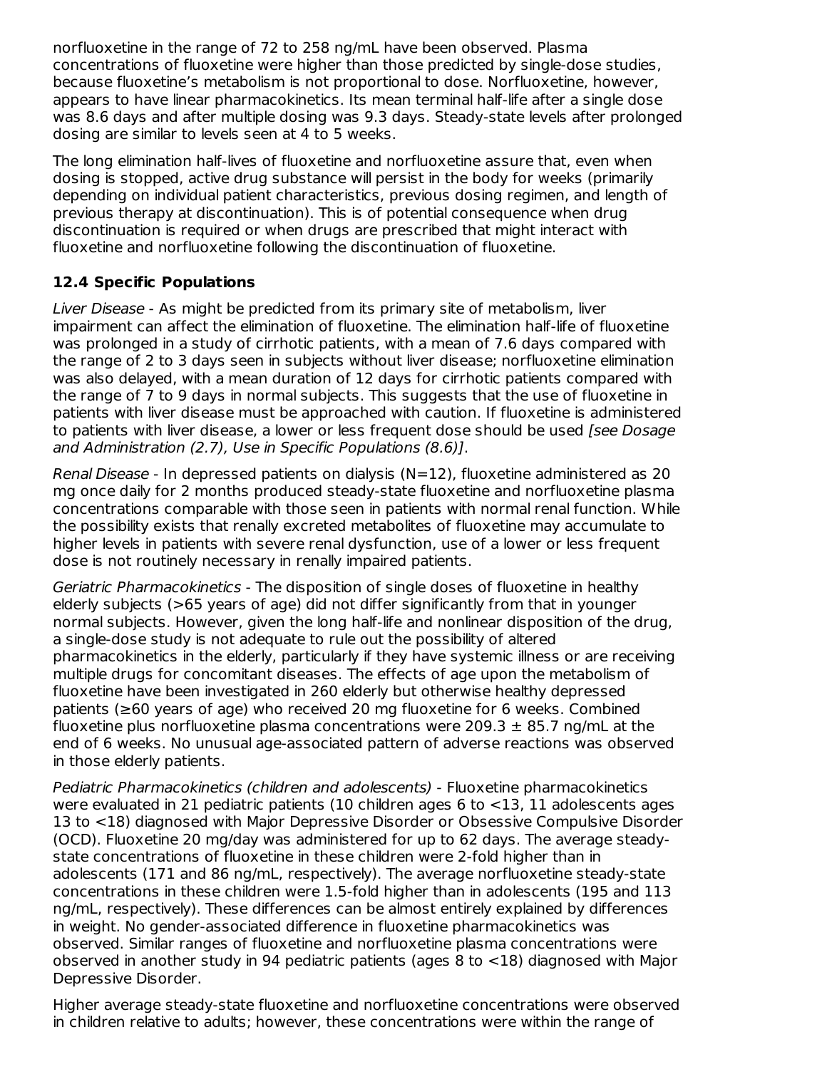norfluoxetine in the range of 72 to 258 ng/mL have been observed. Plasma concentrations of fluoxetine were higher than those predicted by single-dose studies, because fluoxetine's metabolism is not proportional to dose. Norfluoxetine, however, appears to have linear pharmacokinetics. Its mean terminal half-life after a single dose was 8.6 days and after multiple dosing was 9.3 days. Steady-state levels after prolonged dosing are similar to levels seen at 4 to 5 weeks.

The long elimination half-lives of fluoxetine and norfluoxetine assure that, even when dosing is stopped, active drug substance will persist in the body for weeks (primarily depending on individual patient characteristics, previous dosing regimen, and length of previous therapy at discontinuation). This is of potential consequence when drug discontinuation is required or when drugs are prescribed that might interact with fluoxetine and norfluoxetine following the discontinuation of fluoxetine.

## **12.4 Specific Populations**

Liver Disease - As might be predicted from its primary site of metabolism, liver impairment can affect the elimination of fluoxetine. The elimination half-life of fluoxetine was prolonged in a study of cirrhotic patients, with a mean of 7.6 days compared with the range of 2 to 3 days seen in subjects without liver disease; norfluoxetine elimination was also delayed, with a mean duration of 12 days for cirrhotic patients compared with the range of 7 to 9 days in normal subjects. This suggests that the use of fluoxetine in patients with liver disease must be approached with caution. If fluoxetine is administered to patients with liver disease, a lower or less frequent dose should be used [see Dosage and Administration (2.7), Use in Specific Populations (8.6)].

Renal Disease - In depressed patients on dialysis (N=12), fluoxetine administered as 20 mg once daily for 2 months produced steady-state fluoxetine and norfluoxetine plasma concentrations comparable with those seen in patients with normal renal function. While the possibility exists that renally excreted metabolites of fluoxetine may accumulate to higher levels in patients with severe renal dysfunction, use of a lower or less frequent dose is not routinely necessary in renally impaired patients.

Geriatric Pharmacokinetics - The disposition of single doses of fluoxetine in healthy elderly subjects (>65 years of age) did not differ significantly from that in younger normal subjects. However, given the long half-life and nonlinear disposition of the drug, a single-dose study is not adequate to rule out the possibility of altered pharmacokinetics in the elderly, particularly if they have systemic illness or are receiving multiple drugs for concomitant diseases. The effects of age upon the metabolism of fluoxetine have been investigated in 260 elderly but otherwise healthy depressed patients (≥60 years of age) who received 20 mg fluoxetine for 6 weeks. Combined fluoxetine plus norfluoxetine plasma concentrations were 209.3  $\pm$  85.7 ng/mL at the end of 6 weeks. No unusual age-associated pattern of adverse reactions was observed in those elderly patients.

Pediatric Pharmacokinetics (children and adolescents) - Fluoxetine pharmacokinetics were evaluated in 21 pediatric patients (10 children ages 6 to  $\lt 13$ , 11 adolescents ages 13 to <18) diagnosed with Major Depressive Disorder or Obsessive Compulsive Disorder (OCD). Fluoxetine 20 mg/day was administered for up to 62 days. The average steadystate concentrations of fluoxetine in these children were 2-fold higher than in adolescents (171 and 86 ng/mL, respectively). The average norfluoxetine steady-state concentrations in these children were 1.5-fold higher than in adolescents (195 and 113 ng/mL, respectively). These differences can be almost entirely explained by differences in weight. No gender-associated difference in fluoxetine pharmacokinetics was observed. Similar ranges of fluoxetine and norfluoxetine plasma concentrations were observed in another study in 94 pediatric patients (ages 8 to <18) diagnosed with Major Depressive Disorder.

Higher average steady-state fluoxetine and norfluoxetine concentrations were observed in children relative to adults; however, these concentrations were within the range of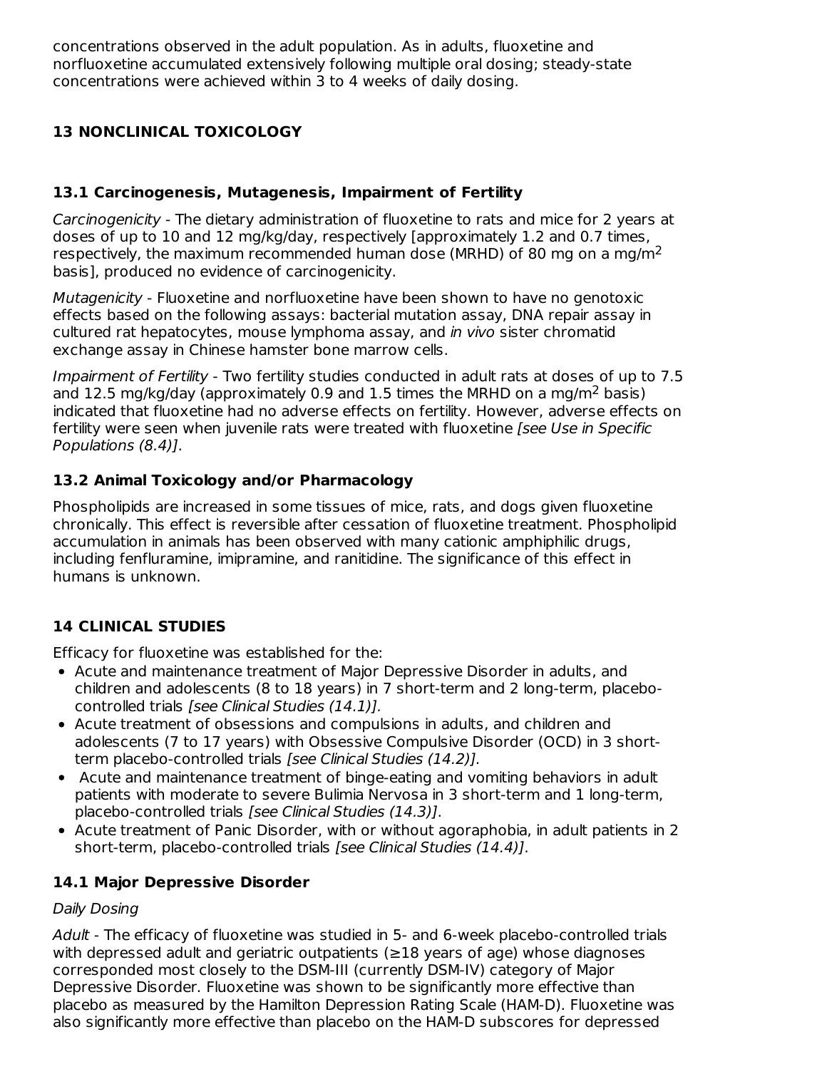concentrations observed in the adult population. As in adults, fluoxetine and norfluoxetine accumulated extensively following multiple oral dosing; steady-state concentrations were achieved within 3 to 4 weeks of daily dosing.

## **13 NONCLINICAL TOXICOLOGY**

## **13.1 Carcinogenesis, Mutagenesis, Impairment of Fertility**

Carcinogenicity - The dietary administration of fluoxetine to rats and mice for 2 years at doses of up to 10 and 12 mg/kg/day, respectively [approximately 1.2 and 0.7 times, respectively, the maximum recommended human dose (MRHD) of 80 mg on a mg/m<sup>2</sup> basis], produced no evidence of carcinogenicity.

Mutagenicity - Fluoxetine and norfluoxetine have been shown to have no genotoxic effects based on the following assays: bacterial mutation assay, DNA repair assay in cultured rat hepatocytes, mouse lymphoma assay, and in vivo sister chromatid exchange assay in Chinese hamster bone marrow cells.

Impairment of Fertility - Two fertility studies conducted in adult rats at doses of up to 7.5 and 12.5 mg/kg/day (approximately 0.9 and 1.5 times the MRHD on a mg/m<sup>2</sup> basis) indicated that fluoxetine had no adverse effects on fertility. However, adverse effects on fertility were seen when juvenile rats were treated with fluoxetine [see Use in Specific Populations (8.4)].

### **13.2 Animal Toxicology and/or Pharmacology**

Phospholipids are increased in some tissues of mice, rats, and dogs given fluoxetine chronically. This effect is reversible after cessation of fluoxetine treatment. Phospholipid accumulation in animals has been observed with many cationic amphiphilic drugs, including fenfluramine, imipramine, and ranitidine. The significance of this effect in humans is unknown.

## **14 CLINICAL STUDIES**

Efficacy for fluoxetine was established for the:

- Acute and maintenance treatment of Major Depressive Disorder in adults, and children and adolescents (8 to 18 years) in 7 short-term and 2 long-term, placebocontrolled trials [see Clinical Studies (14.1)].
- Acute treatment of obsessions and compulsions in adults, and children and adolescents (7 to 17 years) with Obsessive Compulsive Disorder (OCD) in 3 shortterm placebo-controlled trials [see Clinical Studies (14.2)].
- Acute and maintenance treatment of binge-eating and vomiting behaviors in adult patients with moderate to severe Bulimia Nervosa in 3 short-term and 1 long-term, placebo-controlled trials [see Clinical Studies (14.3)].
- Acute treatment of Panic Disorder, with or without agoraphobia, in adult patients in 2 short-term, placebo-controlled trials [see Clinical Studies (14.4)].

### **14.1 Major Depressive Disorder**

### Daily Dosing

Adult - The efficacy of fluoxetine was studied in 5- and 6-week placebo-controlled trials with depressed adult and geriatric outpatients  $(\geq 18$  years of age) whose diagnoses corresponded most closely to the DSM-III (currently DSM-IV) category of Major Depressive Disorder. Fluoxetine was shown to be significantly more effective than placebo as measured by the Hamilton Depression Rating Scale (HAM-D). Fluoxetine was also significantly more effective than placebo on the HAM-D subscores for depressed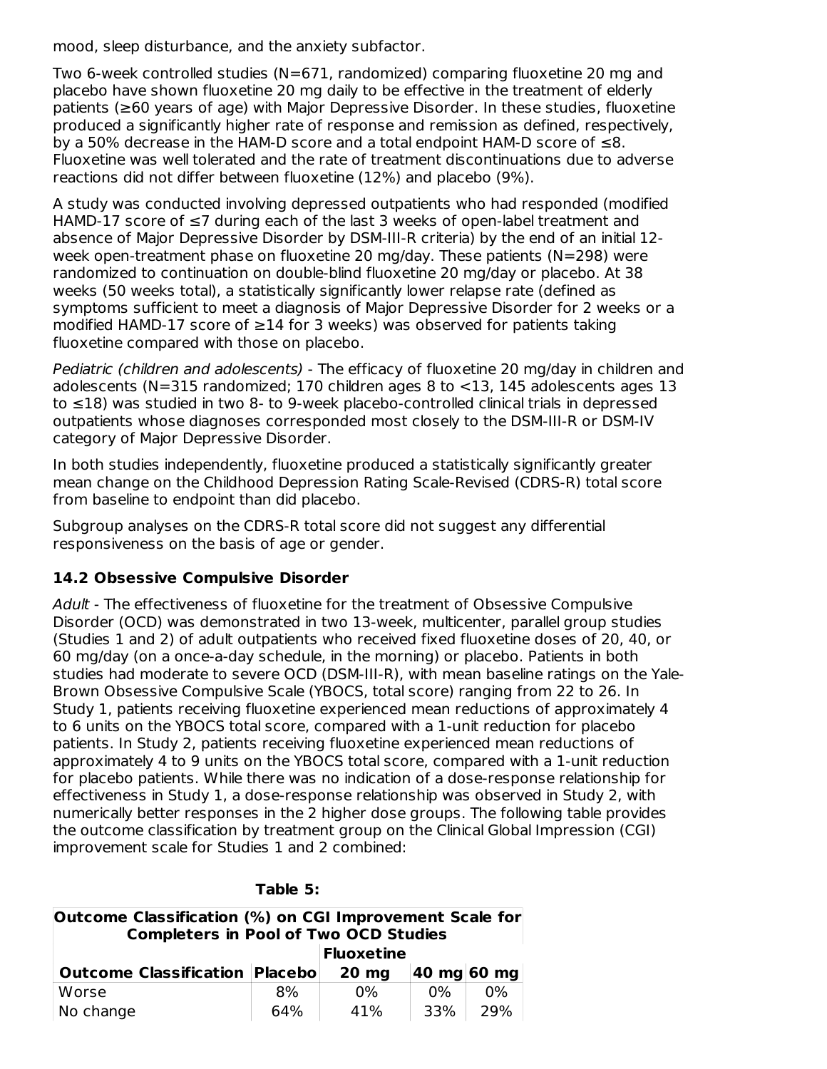mood, sleep disturbance, and the anxiety subfactor.

Two 6-week controlled studies (N=671, randomized) comparing fluoxetine 20 mg and placebo have shown fluoxetine 20 mg daily to be effective in the treatment of elderly patients (≥60 years of age) with Major Depressive Disorder. In these studies, fluoxetine produced a significantly higher rate of response and remission as defined, respectively, by a 50% decrease in the HAM-D score and a total endpoint HAM-D score of ≤8. Fluoxetine was well tolerated and the rate of treatment discontinuations due to adverse reactions did not differ between fluoxetine (12%) and placebo (9%).

A study was conducted involving depressed outpatients who had responded (modified HAMD-17 score of ≤7 during each of the last 3 weeks of open-label treatment and absence of Major Depressive Disorder by DSM-III-R criteria) by the end of an initial 12 week open-treatment phase on fluoxetine 20 mg/day. These patients (N=298) were randomized to continuation on double-blind fluoxetine 20 mg/day or placebo. At 38 weeks (50 weeks total), a statistically significantly lower relapse rate (defined as symptoms sufficient to meet a diagnosis of Major Depressive Disorder for 2 weeks or a modified HAMD-17 score of  $\geq$ 14 for 3 weeks) was observed for patients taking fluoxetine compared with those on placebo.

Pediatric (children and adolescents) - The efficacy of fluoxetine 20 mg/day in children and adolescents (N=315 randomized; 170 children ages 8 to <13, 145 adolescents ages 13 to ≤18) was studied in two 8- to 9-week placebo-controlled clinical trials in depressed outpatients whose diagnoses corresponded most closely to the DSM-III-R or DSM-IV category of Major Depressive Disorder.

In both studies independently, fluoxetine produced a statistically significantly greater mean change on the Childhood Depression Rating Scale-Revised (CDRS-R) total score from baseline to endpoint than did placebo.

Subgroup analyses on the CDRS-R total score did not suggest any differential responsiveness on the basis of age or gender.

### **14.2 Obsessive Compulsive Disorder**

Adult - The effectiveness of fluoxetine for the treatment of Obsessive Compulsive Disorder (OCD) was demonstrated in two 13-week, multicenter, parallel group studies (Studies 1 and 2) of adult outpatients who received fixed fluoxetine doses of 20, 40, or 60 mg/day (on a once-a-day schedule, in the morning) or placebo. Patients in both studies had moderate to severe OCD (DSM-III-R), with mean baseline ratings on the Yale-Brown Obsessive Compulsive Scale (YBOCS, total score) ranging from 22 to 26. In Study 1, patients receiving fluoxetine experienced mean reductions of approximately 4 to 6 units on the YBOCS total score, compared with a 1-unit reduction for placebo patients. In Study 2, patients receiving fluoxetine experienced mean reductions of approximately 4 to 9 units on the YBOCS total score, compared with a 1-unit reduction for placebo patients. While there was no indication of a dose-response relationship for effectiveness in Study 1, a dose-response relationship was observed in Study 2, with numerically better responses in the 2 higher dose groups. The following table provides the outcome classification by treatment group on the Clinical Global Impression (CGI) improvement scale for Studies 1 and 2 combined:

#### **Table 5:**

| Outcome Classification (%) on CGI Improvement Scale for           |     |       |       |             |  |  |  |  |
|-------------------------------------------------------------------|-----|-------|-------|-------------|--|--|--|--|
| <b>Completers in Pool of Two OCD Studies</b><br><b>Fluoxetine</b> |     |       |       |             |  |  |  |  |
| <b>Outcome Classification Placebo</b>                             |     | 20 mg |       | 40 mg 60 mg |  |  |  |  |
| Worse                                                             | 8%  | 0%    | $0\%$ | $0\%$       |  |  |  |  |
| No change                                                         | 64% | 41%   | 33%   | 29%         |  |  |  |  |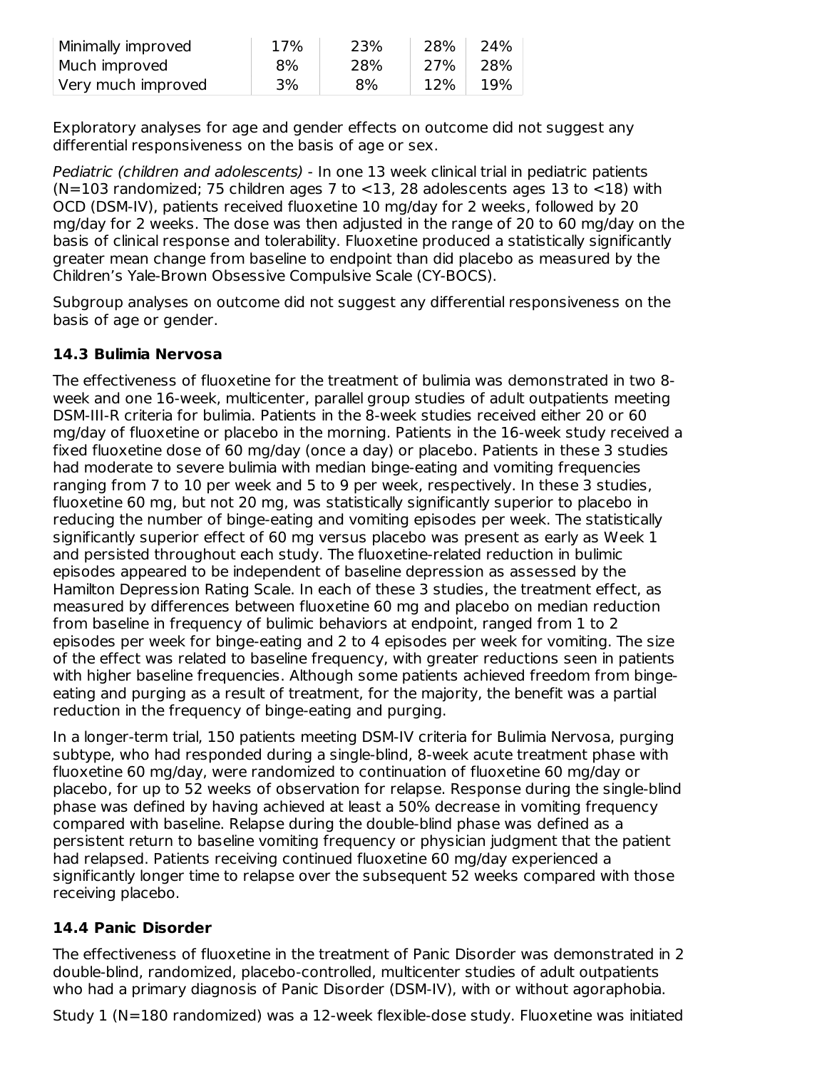| Minimally improved | 17% | 23% | 28%        | 24% |
|--------------------|-----|-----|------------|-----|
| Much improved      | 8%  | 28% | 27%        | 28% |
| Very much improved | 3%  | 8%  | <b>12%</b> | 19% |

Exploratory analyses for age and gender effects on outcome did not suggest any differential responsiveness on the basis of age or sex.

Pediatric (children and adolescents) - In one 13 week clinical trial in pediatric patients  $(N=103$  randomized; 75 children ages 7 to  $<$ 13, 28 adolescents ages 13 to  $<$ 18) with OCD (DSM-IV), patients received fluoxetine 10 mg/day for 2 weeks, followed by 20 mg/day for 2 weeks. The dose was then adjusted in the range of 20 to 60 mg/day on the basis of clinical response and tolerability. Fluoxetine produced a statistically significantly greater mean change from baseline to endpoint than did placebo as measured by the Children's Yale-Brown Obsessive Compulsive Scale (CY-BOCS).

Subgroup analyses on outcome did not suggest any differential responsiveness on the basis of age or gender.

### **14.3 Bulimia Nervosa**

The effectiveness of fluoxetine for the treatment of bulimia was demonstrated in two 8 week and one 16-week, multicenter, parallel group studies of adult outpatients meeting DSM-III-R criteria for bulimia. Patients in the 8-week studies received either 20 or 60 mg/day of fluoxetine or placebo in the morning. Patients in the 16-week study received a fixed fluoxetine dose of 60 mg/day (once a day) or placebo. Patients in these 3 studies had moderate to severe bulimia with median binge-eating and vomiting frequencies ranging from 7 to 10 per week and 5 to 9 per week, respectively. In these 3 studies, fluoxetine 60 mg, but not 20 mg, was statistically significantly superior to placebo in reducing the number of binge-eating and vomiting episodes per week. The statistically significantly superior effect of 60 mg versus placebo was present as early as Week 1 and persisted throughout each study. The fluoxetine-related reduction in bulimic episodes appeared to be independent of baseline depression as assessed by the Hamilton Depression Rating Scale. In each of these 3 studies, the treatment effect, as measured by differences between fluoxetine 60 mg and placebo on median reduction from baseline in frequency of bulimic behaviors at endpoint, ranged from 1 to 2 episodes per week for binge-eating and 2 to 4 episodes per week for vomiting. The size of the effect was related to baseline frequency, with greater reductions seen in patients with higher baseline frequencies. Although some patients achieved freedom from bingeeating and purging as a result of treatment, for the majority, the benefit was a partial reduction in the frequency of binge-eating and purging.

In a longer-term trial, 150 patients meeting DSM-IV criteria for Bulimia Nervosa, purging subtype, who had responded during a single-blind, 8-week acute treatment phase with fluoxetine 60 mg/day, were randomized to continuation of fluoxetine 60 mg/day or placebo, for up to 52 weeks of observation for relapse. Response during the single-blind phase was defined by having achieved at least a 50% decrease in vomiting frequency compared with baseline. Relapse during the double-blind phase was defined as a persistent return to baseline vomiting frequency or physician judgment that the patient had relapsed. Patients receiving continued fluoxetine 60 mg/day experienced a significantly longer time to relapse over the subsequent 52 weeks compared with those receiving placebo.

## **14.4 Panic Disorder**

The effectiveness of fluoxetine in the treatment of Panic Disorder was demonstrated in 2 double-blind, randomized, placebo-controlled, multicenter studies of adult outpatients who had a primary diagnosis of Panic Disorder (DSM-IV), with or without agoraphobia.

Study 1 (N=180 randomized) was a 12-week flexible-dose study. Fluoxetine was initiated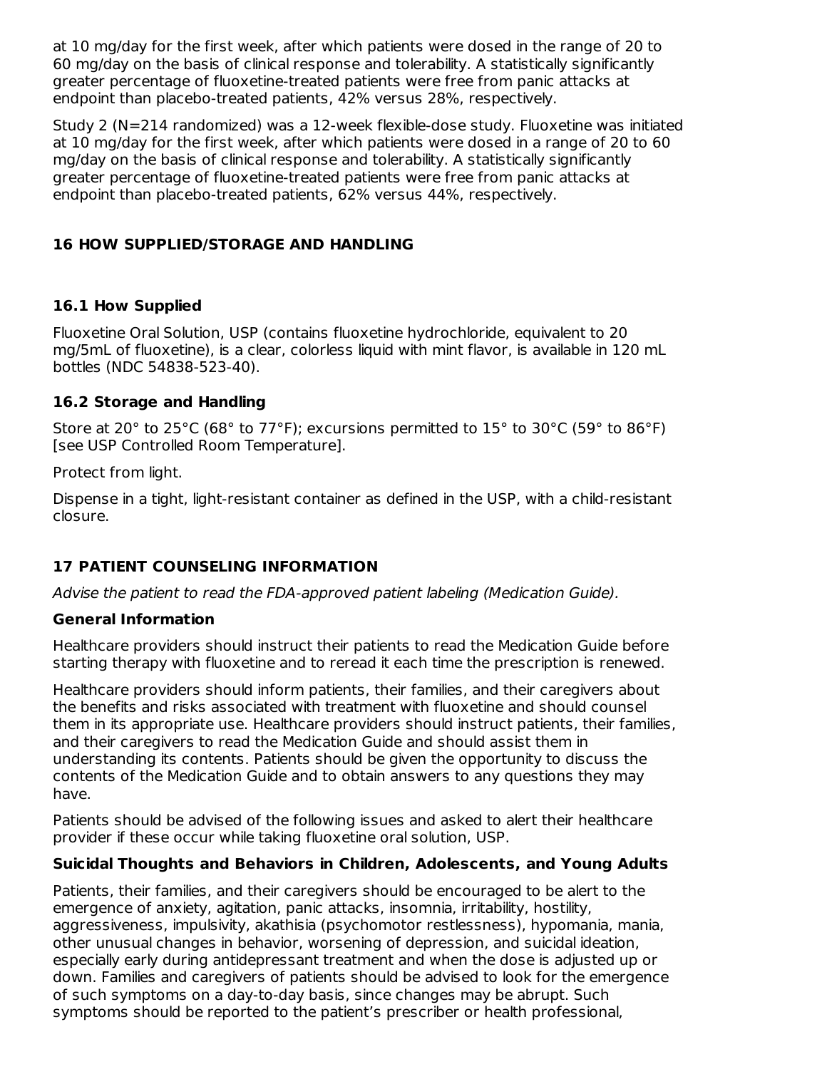at 10 mg/day for the first week, after which patients were dosed in the range of 20 to 60 mg/day on the basis of clinical response and tolerability. A statistically significantly greater percentage of fluoxetine-treated patients were free from panic attacks at endpoint than placebo-treated patients, 42% versus 28%, respectively.

Study 2 (N=214 randomized) was a 12-week flexible-dose study. Fluoxetine was initiated at 10 mg/day for the first week, after which patients were dosed in a range of 20 to 60 mg/day on the basis of clinical response and tolerability. A statistically significantly greater percentage of fluoxetine-treated patients were free from panic attacks at endpoint than placebo-treated patients, 62% versus 44%, respectively.

## **16 HOW SUPPLIED/STORAGE AND HANDLING**

#### **16.1 How Supplied**

Fluoxetine Oral Solution, USP (contains fluoxetine hydrochloride, equivalent to 20 mg/5mL of fluoxetine), is a clear, colorless liquid with mint flavor, is available in 120 mL bottles (NDC 54838-523-40).

#### **16.2 Storage and Handling**

Store at 20 $^{\circ}$  to 25 $^{\circ}$ C (68 $^{\circ}$  to 77 $^{\circ}$ F); excursions permitted to 15 $^{\circ}$  to 30 $^{\circ}$ C (59 $^{\circ}$  to 86 $^{\circ}$ F) [see USP Controlled Room Temperature].

Protect from light.

Dispense in a tight, light-resistant container as defined in the USP, with a child-resistant closure.

## **17 PATIENT COUNSELING INFORMATION**

Advise the patient to read the FDA-approved patient labeling (Medication Guide).

### **General Information**

Healthcare providers should instruct their patients to read the Medication Guide before starting therapy with fluoxetine and to reread it each time the prescription is renewed.

Healthcare providers should inform patients, their families, and their caregivers about the benefits and risks associated with treatment with fluoxetine and should counsel them in its appropriate use. Healthcare providers should instruct patients, their families, and their caregivers to read the Medication Guide and should assist them in understanding its contents. Patients should be given the opportunity to discuss the contents of the Medication Guide and to obtain answers to any questions they may have.

Patients should be advised of the following issues and asked to alert their healthcare provider if these occur while taking fluoxetine oral solution, USP.

#### **Suicidal Thoughts and Behaviors in Children, Adolescents, and Young Adults**

Patients, their families, and their caregivers should be encouraged to be alert to the emergence of anxiety, agitation, panic attacks, insomnia, irritability, hostility, aggressiveness, impulsivity, akathisia (psychomotor restlessness), hypomania, mania, other unusual changes in behavior, worsening of depression, and suicidal ideation, especially early during antidepressant treatment and when the dose is adjusted up or down. Families and caregivers of patients should be advised to look for the emergence of such symptoms on a day-to-day basis, since changes may be abrupt. Such symptoms should be reported to the patient's prescriber or health professional,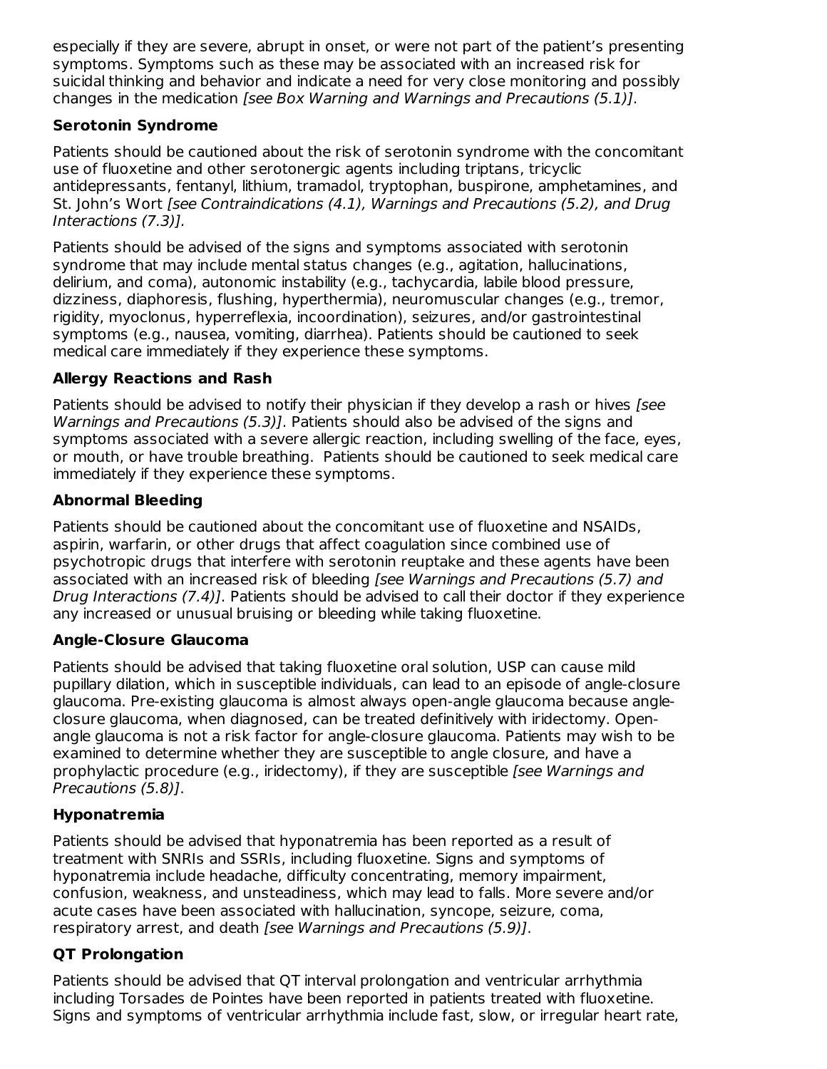especially if they are severe, abrupt in onset, or were not part of the patient's presenting symptoms. Symptoms such as these may be associated with an increased risk for suicidal thinking and behavior and indicate a need for very close monitoring and possibly changes in the medication [see Box Warning and Warnings and Precautions (5.1)].

## **Serotonin Syndrome**

Patients should be cautioned about the risk of serotonin syndrome with the concomitant use of fluoxetine and other serotonergic agents including triptans, tricyclic antidepressants, fentanyl, lithium, tramadol, tryptophan, buspirone, amphetamines, and St. John's Wort [see Contraindications (4.1), Warnings and Precautions (5.2), and Drug Interactions (7.3)].

Patients should be advised of the signs and symptoms associated with serotonin syndrome that may include mental status changes (e.g., agitation, hallucinations, delirium, and coma), autonomic instability (e.g., tachycardia, labile blood pressure, dizziness, diaphoresis, flushing, hyperthermia), neuromuscular changes (e.g., tremor, rigidity, myoclonus, hyperreflexia, incoordination), seizures, and/or gastrointestinal symptoms (e.g., nausea, vomiting, diarrhea). Patients should be cautioned to seek medical care immediately if they experience these symptoms.

## **Allergy Reactions and Rash**

Patients should be advised to notify their physician if they develop a rash or hives [see Warnings and Precautions (5.3)]. Patients should also be advised of the signs and symptoms associated with a severe allergic reaction, including swelling of the face, eyes, or mouth, or have trouble breathing. Patients should be cautioned to seek medical care immediately if they experience these symptoms.

## **Abnormal Bleeding**

Patients should be cautioned about the concomitant use of fluoxetine and NSAIDs, aspirin, warfarin, or other drugs that affect coagulation since combined use of psychotropic drugs that interfere with serotonin reuptake and these agents have been associated with an increased risk of bleeding [see Warnings and Precautions (5.7) and Drug Interactions (7.4)]. Patients should be advised to call their doctor if they experience any increased or unusual bruising or bleeding while taking fluoxetine.

### **Angle-Closure Glaucoma**

Patients should be advised that taking fluoxetine oral solution, USP can cause mild pupillary dilation, which in susceptible individuals, can lead to an episode of angle-closure glaucoma. Pre-existing glaucoma is almost always open-angle glaucoma because angleclosure glaucoma, when diagnosed, can be treated definitively with iridectomy. Openangle glaucoma is not a risk factor for angle-closure glaucoma. Patients may wish to be examined to determine whether they are susceptible to angle closure, and have a prophylactic procedure (e.g., iridectomy), if they are susceptible [see Warnings and Precautions (5.8)].

### **Hyponatremia**

Patients should be advised that hyponatremia has been reported as a result of treatment with SNRIs and SSRIs, including fluoxetine. Signs and symptoms of hyponatremia include headache, difficulty concentrating, memory impairment, confusion, weakness, and unsteadiness, which may lead to falls. More severe and/or acute cases have been associated with hallucination, syncope, seizure, coma, respiratory arrest, and death [see Warnings and Precautions (5.9)].

## **QT Prolongation**

Patients should be advised that QT interval prolongation and ventricular arrhythmia including Torsades de Pointes have been reported in patients treated with fluoxetine. Signs and symptoms of ventricular arrhythmia include fast, slow, or irregular heart rate,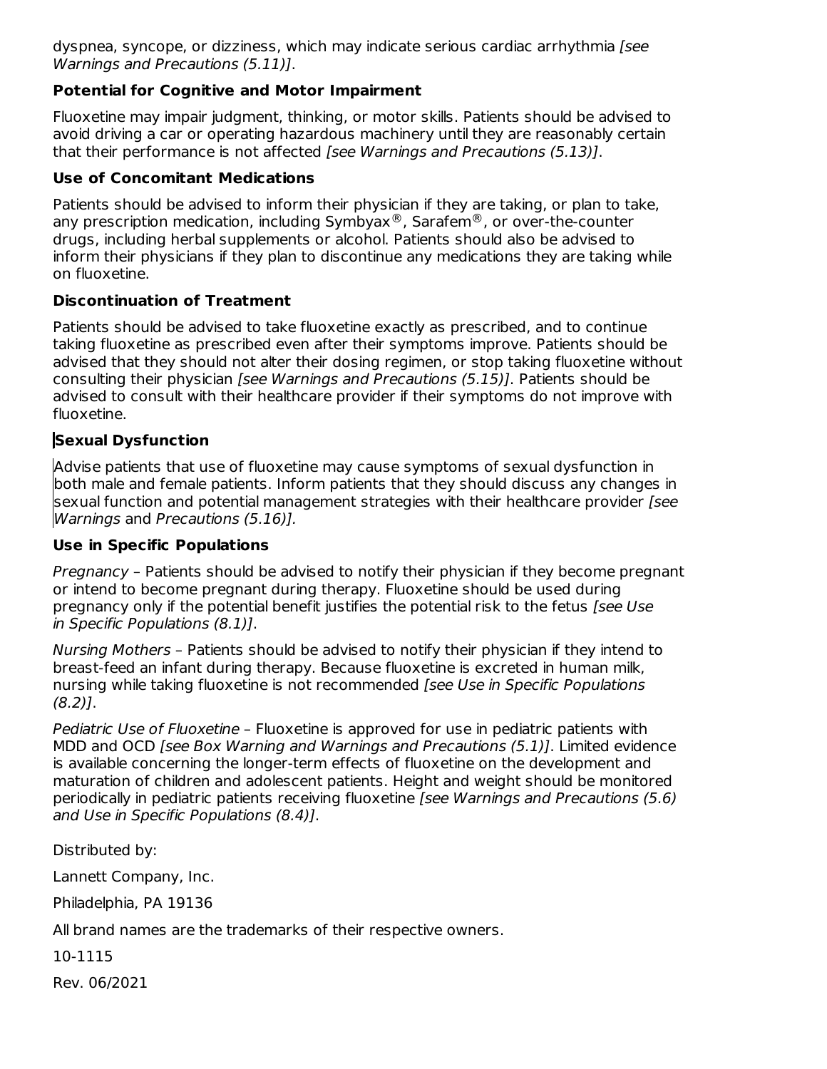dyspnea, syncope, or dizziness, which may indicate serious cardiac arrhythmia [see Warnings and Precautions (5.11)].

### **Potential for Cognitive and Motor Impairment**

Fluoxetine may impair judgment, thinking, or motor skills. Patients should be advised to avoid driving a car or operating hazardous machinery until they are reasonably certain that their performance is not affected [see Warnings and Precautions (5.13)].

### **Use of Concomitant Medications**

Patients should be advised to inform their physician if they are taking, or plan to take, any prescription medication, including Symbyax $^{\circledR}$ , Sarafem $^{\circledR}$ , or over-the-counter drugs, including herbal supplements or alcohol. Patients should also be advised to inform their physicians if they plan to discontinue any medications they are taking while on fluoxetine.

## **Discontinuation of Treatment**

Patients should be advised to take fluoxetine exactly as prescribed, and to continue taking fluoxetine as prescribed even after their symptoms improve. Patients should be advised that they should not alter their dosing regimen, or stop taking fluoxetine without consulting their physician [see Warnings and Precautions (5.15)]. Patients should be advised to consult with their healthcare provider if their symptoms do not improve with fluoxetine.

## **Sexual Dysfunction**

Advise patients that use of fluoxetine may cause symptoms of sexual dysfunction in both male and female patients. Inform patients that they should discuss any changes in sexual function and potential management strategies with their healthcare provider *[see*] Warnings and Precautions (5.16)].

### **Use in Specific Populations**

Pregnancy - Patients should be advised to notify their physician if they become pregnant or intend to become pregnant during therapy. Fluoxetine should be used during pregnancy only if the potential benefit justifies the potential risk to the fetus [see Use] in Specific Populations (8.1)].

Nursing Mothers – Patients should be advised to notify their physician if they intend to breast-feed an infant during therapy. Because fluoxetine is excreted in human milk, nursing while taking fluoxetine is not recommended [see Use in Specific Populations  $(8.2)$ ].

Pediatric Use of Fluoxetine - Fluoxetine is approved for use in pediatric patients with MDD and OCD [see Box Warning and Warnings and Precautions (5.1)]. Limited evidence is available concerning the longer-term effects of fluoxetine on the development and maturation of children and adolescent patients. Height and weight should be monitored periodically in pediatric patients receiving fluoxetine [see Warnings and Precautions (5.6) and Use in Specific Populations (8.4)].

Distributed by:

Lannett Company, Inc.

Philadelphia, PA 19136

All brand names are the trademarks of their respective owners.

10-1115

Rev. 06/2021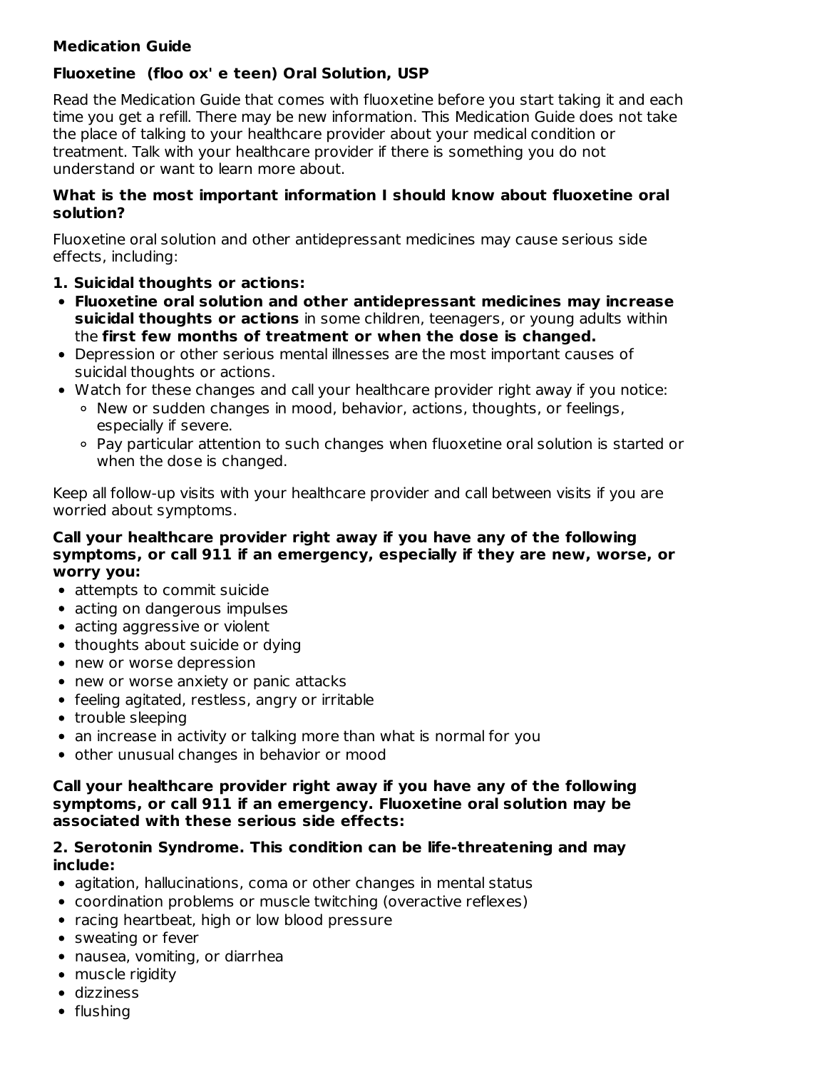#### **Medication Guide**

### **Fluoxetine (floo ox' e teen) Oral Solution, USP**

Read the Medication Guide that comes with fluoxetine before you start taking it and each time you get a refill. There may be new information. This Medication Guide does not take the place of talking to your healthcare provider about your medical condition or treatment. Talk with your healthcare provider if there is something you do not understand or want to learn more about.

#### **What is the most important information I should know about fluoxetine oral solution?**

Fluoxetine oral solution and other antidepressant medicines may cause serious side effects, including:

- **1. Suicidal thoughts or actions:**
- **Fluoxetine oral solution and other antidepressant medicines may increase suicidal thoughts or actions** in some children, teenagers, or young adults within the **first few months of treatment or when the dose is changed.**
- Depression or other serious mental illnesses are the most important causes of suicidal thoughts or actions.
- Watch for these changes and call your healthcare provider right away if you notice:
	- New or sudden changes in mood, behavior, actions, thoughts, or feelings, especially if severe.
	- Pay particular attention to such changes when fluoxetine oral solution is started or when the dose is changed.

Keep all follow-up visits with your healthcare provider and call between visits if you are worried about symptoms.

#### **Call your healthcare provider right away if you have any of the following symptoms, or call 911 if an emergency, especially if they are new, worse, or worry you:**

- attempts to commit suicide
- acting on dangerous impulses
- acting aggressive or violent
- thoughts about suicide or dying
- new or worse depression
- new or worse anxiety or panic attacks
- feeling agitated, restless, angry or irritable
- trouble sleeping
- an increase in activity or talking more than what is normal for you
- other unusual changes in behavior or mood

**Call your healthcare provider right away if you have any of the following symptoms, or call 911 if an emergency. Fluoxetine oral solution may be associated with these serious side effects:**

#### **2. Serotonin Syndrome. This condition can be life-threatening and may include:**

- agitation, hallucinations, coma or other changes in mental status
- coordination problems or muscle twitching (overactive reflexes)
- racing heartbeat, high or low blood pressure
- sweating or fever
- nausea, vomiting, or diarrhea
- muscle rigidity
- dizziness
- flushing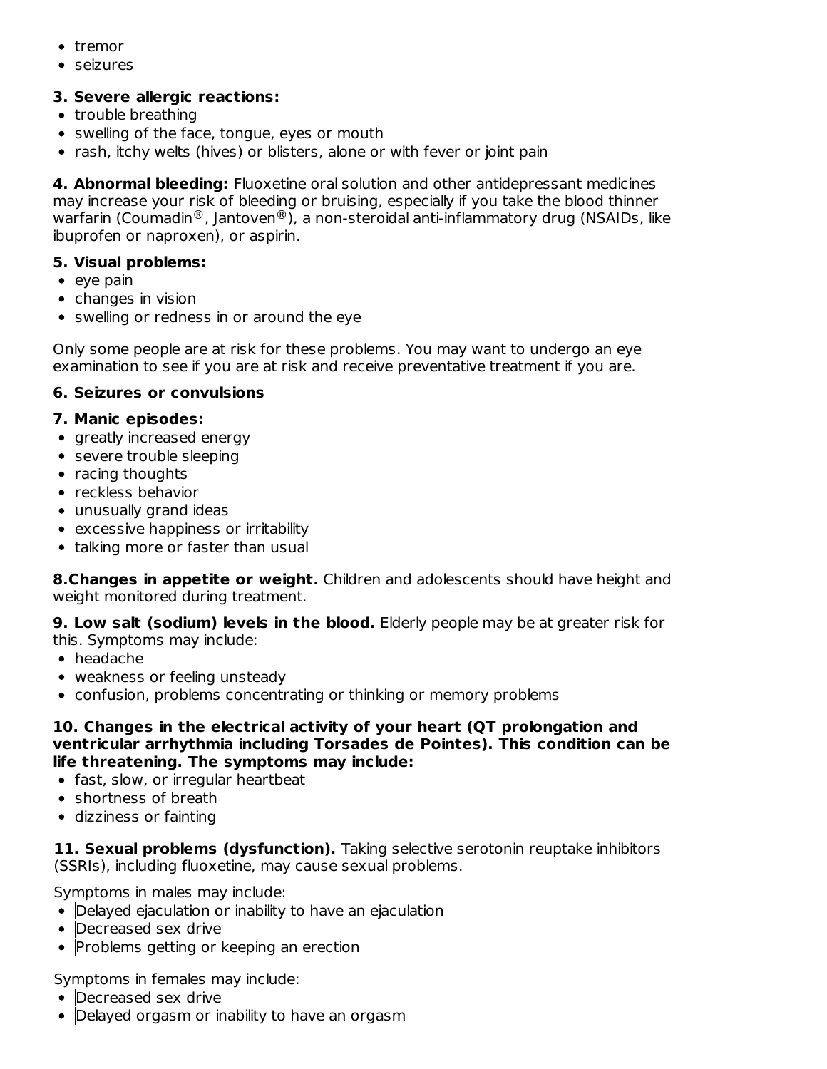- tremor
- seizures

## **3. Severe allergic reactions:**

- trouble breathing
- swelling of the face, tongue, eyes or mouth
- rash, itchy welts (hives) or blisters, alone or with fever or joint pain

**4. Abnormal bleeding:** Fluoxetine oral solution and other antidepressant medicines may increase your risk of bleeding or bruising, especially if you take the blood thinner warfarin (Coumadin®, Jantoven®), a non-steroidal anti-inflammatory drug (NSAIDs, like ibuprofen or naproxen), or aspirin.

## **5. Visual problems:**

- $\bullet$  eye pain
- changes in vision
- swelling or redness in or around the eye

Only some people are at risk for these problems. You may want to undergo an eye examination to see if you are at risk and receive preventative treatment if you are.

## **6. Seizures or convulsions**

### **7. Manic episodes:**

- greatly increased energy
- severe trouble sleeping
- racing thoughts
- reckless behavior
- unusually grand ideas
- excessive happiness or irritability
- talking more or faster than usual

**8.Changes in appetite or weight.** Children and adolescents should have height and weight monitored during treatment.

**9. Low salt (sodium) levels in the blood.** Elderly people may be at greater risk for

- this. Symptoms may include:
- headache
- weakness or feeling unsteady
- confusion, problems concentrating or thinking or memory problems

#### **10. Changes in the electrical activity of your heart (QT prolongation and ventricular arrhythmia including Torsades de Pointes). This condition can be life threatening. The symptoms may include:**

- fast, slow, or irregular heartbeat
- shortness of breath
- dizziness or fainting

**11. Sexual problems (dysfunction).** Taking selective serotonin reuptake inhibitors (SSRIs), including fluoxetine, may cause sexual problems.

Symptoms in males may include:

- Delayed ejaculation or inability to have an ejaculation
- Decreased sex drive
- Problems getting or keeping an erection

Symptoms in females may include:

- Decreased sex drive
- Delayed orgasm or inability to have an orgasm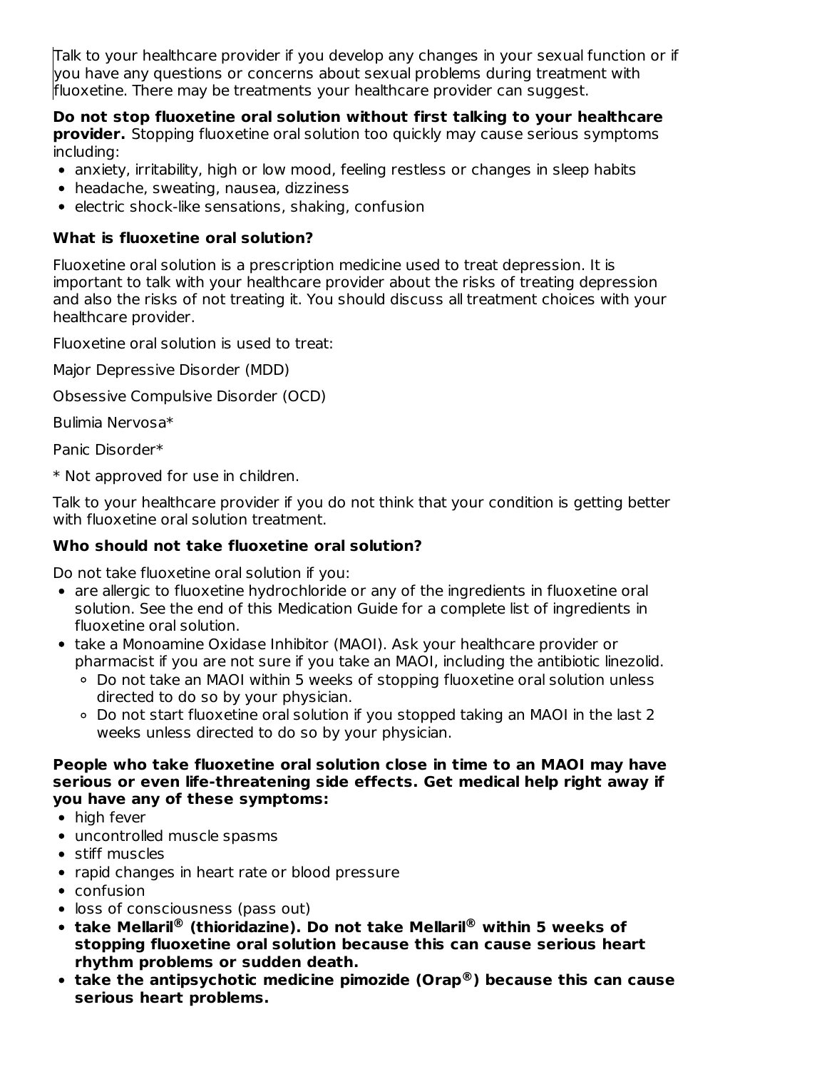Talk to your healthcare provider if you develop any changes in your sexual function or if you have any questions or concerns about sexual problems during treatment with fluoxetine. There may be treatments your healthcare provider can suggest.

**Do not stop fluoxetine oral solution without first talking to your healthcare provider.** Stopping fluoxetine oral solution too quickly may cause serious symptoms including:

- anxiety, irritability, high or low mood, feeling restless or changes in sleep habits
- headache, sweating, nausea, dizziness
- $\bullet$  electric shock-like sensations, shaking, confusion

#### **What is fluoxetine oral solution?**

Fluoxetine oral solution is a prescription medicine used to treat depression. It is important to talk with your healthcare provider about the risks of treating depression and also the risks of not treating it. You should discuss all treatment choices with your healthcare provider.

Fluoxetine oral solution is used to treat:

Major Depressive Disorder (MDD)

Obsessive Compulsive Disorder (OCD)

Bulimia Nervosa\*

Panic Disorder\*

\* Not approved for use in children.

Talk to your healthcare provider if you do not think that your condition is getting better with fluoxetine oral solution treatment.

### **Who should not take fluoxetine oral solution?**

Do not take fluoxetine oral solution if you:

- are allergic to fluoxetine hydrochloride or any of the ingredients in fluoxetine oral solution. See the end of this Medication Guide for a complete list of ingredients in fluoxetine oral solution.
- take a Monoamine Oxidase Inhibitor (MAOI). Ask your healthcare provider or pharmacist if you are not sure if you take an MAOI, including the antibiotic linezolid.
	- Do not take an MAOI within 5 weeks of stopping fluoxetine oral solution unless directed to do so by your physician.
	- Do not start fluoxetine oral solution if you stopped taking an MAOI in the last 2 weeks unless directed to do so by your physician.

#### **People who take fluoxetine oral solution close in time to an MAOI may have serious or even life-threatening side effects. Get medical help right away if you have any of these symptoms:**

- high fever
- uncontrolled muscle spasms
- stiff muscles
- rapid changes in heart rate or blood pressure
- confusion
- loss of consciousness (pass out)
- **take Mellaril (thioridazine). Do not take Mellaril within 5 weeks of ® ® stopping fluoxetine oral solution because this can cause serious heart rhythm problems or sudden death.**
- **take the antipsychotic medicine pimozide (Orap ) because this can cause ®serious heart problems.**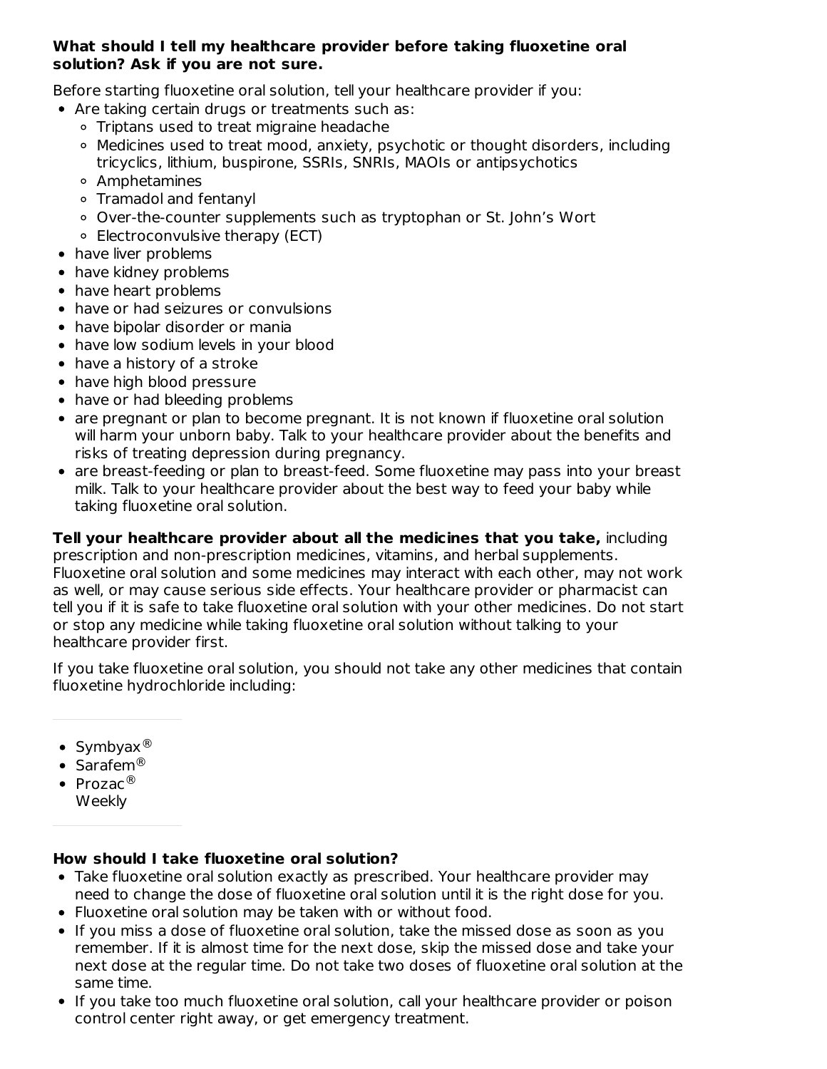#### **What should I tell my healthcare provider before taking fluoxetine oral solution? Ask if you are not sure.**

Before starting fluoxetine oral solution, tell your healthcare provider if you:

- Are taking certain drugs or treatments such as:
	- Triptans used to treat migraine headache
	- Medicines used to treat mood, anxiety, psychotic or thought disorders, including tricyclics, lithium, buspirone, SSRIs, SNRIs, MAOIs or antipsychotics
	- Amphetamines
	- Tramadol and fentanyl
	- Over-the-counter supplements such as tryptophan or St. John's Wort
	- Electroconvulsive therapy (ECT)
- have liver problems
- have kidney problems
- have heart problems
- have or had seizures or convulsions
- have bipolar disorder or mania
- have low sodium levels in your blood
- have a history of a stroke
- have high blood pressure
- have or had bleeding problems
- are pregnant or plan to become pregnant. It is not known if fluoxetine oral solution will harm your unborn baby. Talk to your healthcare provider about the benefits and risks of treating depression during pregnancy.
- are breast-feeding or plan to breast-feed. Some fluoxetine may pass into your breast milk. Talk to your healthcare provider about the best way to feed your baby while taking fluoxetine oral solution.

**Tell your healthcare provider about all the medicines that you take,** including prescription and non-prescription medicines, vitamins, and herbal supplements. Fluoxetine oral solution and some medicines may interact with each other, may not work as well, or may cause serious side effects. Your healthcare provider or pharmacist can tell you if it is safe to take fluoxetine oral solution with your other medicines. Do not start or stop any medicine while taking fluoxetine oral solution without talking to your healthcare provider first.

If you take fluoxetine oral solution, you should not take any other medicines that contain fluoxetine hydrochloride including:

- Symbyax ®
- Sarafem ®
- Prozac ®**Weekly**

## **How should I take fluoxetine oral solution?**

- Take fluoxetine oral solution exactly as prescribed. Your healthcare provider may need to change the dose of fluoxetine oral solution until it is the right dose for you.
- Fluoxetine oral solution may be taken with or without food.
- If you miss a dose of fluoxetine oral solution, take the missed dose as soon as you remember. If it is almost time for the next dose, skip the missed dose and take your next dose at the regular time. Do not take two doses of fluoxetine oral solution at the same time.
- If you take too much fluoxetine oral solution, call your healthcare provider or poison control center right away, or get emergency treatment.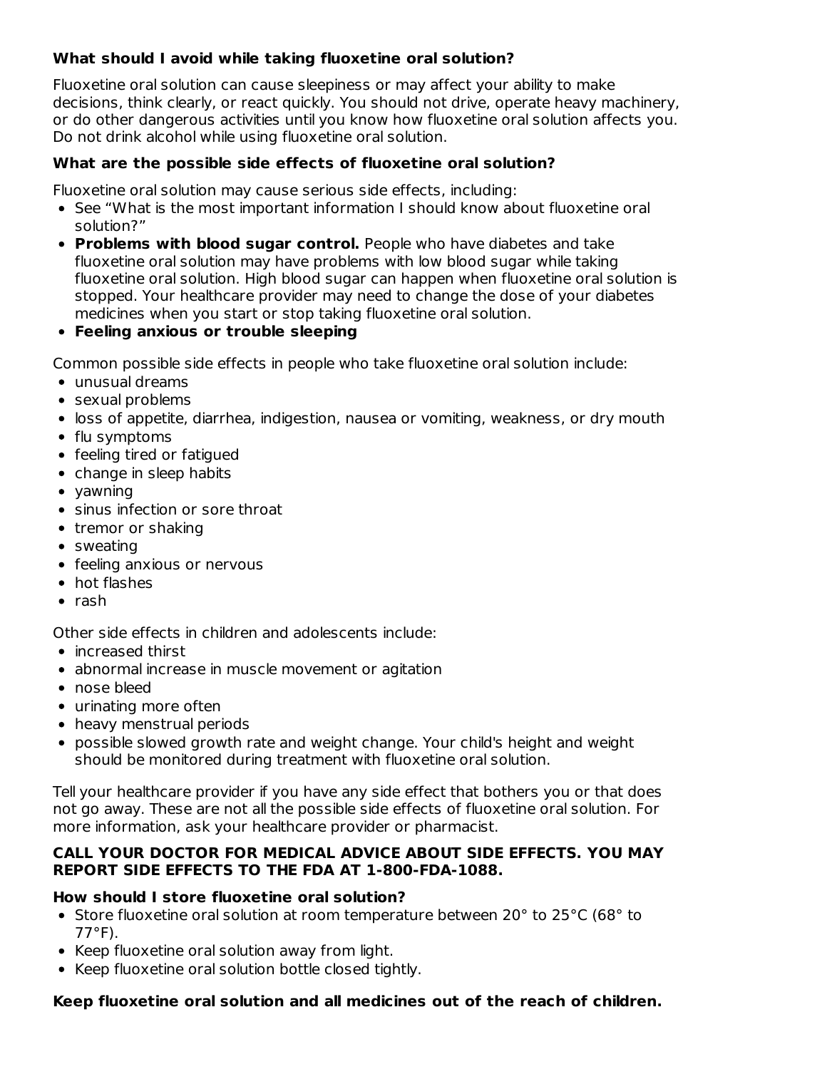## **What should I avoid while taking fluoxetine oral solution?**

Fluoxetine oral solution can cause sleepiness or may affect your ability to make decisions, think clearly, or react quickly. You should not drive, operate heavy machinery, or do other dangerous activities until you know how fluoxetine oral solution affects you. Do not drink alcohol while using fluoxetine oral solution.

### **What are the possible side effects of fluoxetine oral solution?**

Fluoxetine oral solution may cause serious side effects, including:

- See "What is the most important information I should know about fluoxetine oral solution?"
- **Problems with blood sugar control.** People who have diabetes and take fluoxetine oral solution may have problems with low blood sugar while taking fluoxetine oral solution. High blood sugar can happen when fluoxetine oral solution is stopped. Your healthcare provider may need to change the dose of your diabetes medicines when you start or stop taking fluoxetine oral solution.
- **Feeling anxious or trouble sleeping**

Common possible side effects in people who take fluoxetine oral solution include:

- unusual dreams
- sexual problems
- loss of appetite, diarrhea, indigestion, nausea or vomiting, weakness, or dry mouth
- flu symptoms
- feeling tired or fatigued
- change in sleep habits
- yawning
- sinus infection or sore throat
- tremor or shaking
- sweating
- feeling anxious or nervous
- hot flashes
- $\bullet$  rash

Other side effects in children and adolescents include:

- increased thirst
- abnormal increase in muscle movement or agitation
- nose bleed
- urinating more often
- heavy menstrual periods
- possible slowed growth rate and weight change. Your child's height and weight should be monitored during treatment with fluoxetine oral solution.

Tell your healthcare provider if you have any side effect that bothers you or that does not go away. These are not all the possible side effects of fluoxetine oral solution. For more information, ask your healthcare provider or pharmacist.

#### **CALL YOUR DOCTOR FOR MEDICAL ADVICE ABOUT SIDE EFFECTS. YOU MAY REPORT SIDE EFFECTS TO THE FDA AT 1-800-FDA-1088.**

### **How should I store fluoxetine oral solution?**

- Store fluoxetine oral solution at room temperature between 20 $^{\circ}$  to 25 $^{\circ}$ C (68 $^{\circ}$  to 77°F).
- Keep fluoxetine oral solution away from light.
- Keep fluoxetine oral solution bottle closed tightly.

# **Keep fluoxetine oral solution and all medicines out of the reach of children.**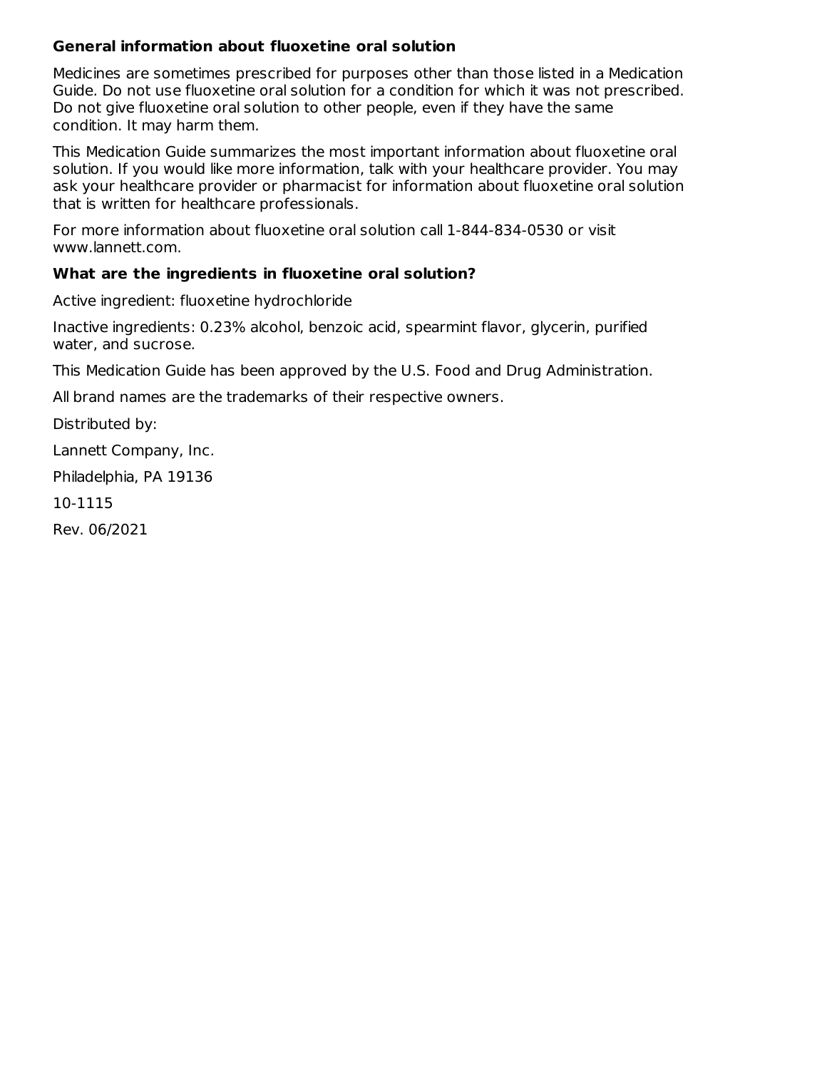### **General information about fluoxetine oral solution**

Medicines are sometimes prescribed for purposes other than those listed in a Medication Guide. Do not use fluoxetine oral solution for a condition for which it was not prescribed. Do not give fluoxetine oral solution to other people, even if they have the same condition. It may harm them.

This Medication Guide summarizes the most important information about fluoxetine oral solution. If you would like more information, talk with your healthcare provider. You may ask your healthcare provider or pharmacist for information about fluoxetine oral solution that is written for healthcare professionals.

For more information about fluoxetine oral solution call 1-844-834-0530 or visit www.lannett.com.

### **What are the ingredients in fluoxetine oral solution?**

Active ingredient: fluoxetine hydrochloride

Inactive ingredients: 0.23% alcohol, benzoic acid, spearmint flavor, glycerin, purified water, and sucrose.

This Medication Guide has been approved by the U.S. Food and Drug Administration.

All brand names are the trademarks of their respective owners.

Distributed by:

Lannett Company, Inc.

Philadelphia, PA 19136

10-1115

Rev. 06/2021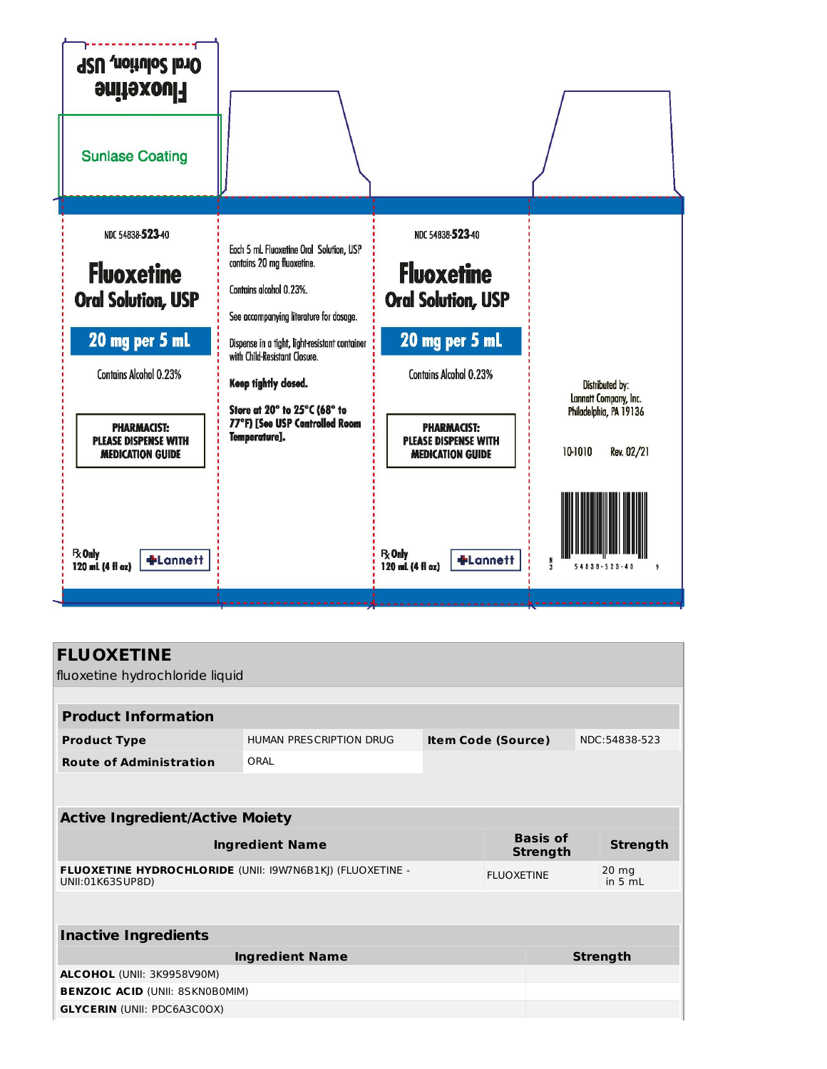

| <b>FLUOXETINE</b>                                                             |                                                                                 |                           |  |  |  |                              |  |
|-------------------------------------------------------------------------------|---------------------------------------------------------------------------------|---------------------------|--|--|--|------------------------------|--|
| fluoxetine hydrochloride liquid                                               |                                                                                 |                           |  |  |  |                              |  |
|                                                                               |                                                                                 |                           |  |  |  |                              |  |
| <b>Product Information</b>                                                    |                                                                                 |                           |  |  |  |                              |  |
| <b>Product Type</b>                                                           | HUMAN PRESCRIPTION DRUG                                                         | <b>Item Code (Source)</b> |  |  |  | NDC:54838-523                |  |
| <b>Route of Administration</b>                                                | ORAL                                                                            |                           |  |  |  |                              |  |
|                                                                               |                                                                                 |                           |  |  |  |                              |  |
| <b>Active Ingredient/Active Moiety</b>                                        |                                                                                 |                           |  |  |  |                              |  |
|                                                                               | <b>Basis of</b><br><b>Ingredient Name</b><br><b>Strength</b><br><b>Strength</b> |                           |  |  |  |                              |  |
| FLUOXETINE HYDROCHLORIDE (UNII: I9W7N6B1KJ) (FLUOXETINE -<br>UNII:01K63SUP8D) |                                                                                 | <b>FLUOXETINE</b>         |  |  |  | $20 \text{ mg}$<br>in $5 mL$ |  |
|                                                                               |                                                                                 |                           |  |  |  |                              |  |
| <b>Inactive Ingredients</b>                                                   |                                                                                 |                           |  |  |  |                              |  |
| <b>Ingredient Name</b>                                                        |                                                                                 |                           |  |  |  | <b>Strength</b>              |  |
| ALCOHOL (UNII: 3K9958V90M)                                                    |                                                                                 |                           |  |  |  |                              |  |
|                                                                               |                                                                                 |                           |  |  |  |                              |  |
| <b>BENZOIC ACID (UNII: 8SKN0B0MIM)</b>                                        |                                                                                 |                           |  |  |  |                              |  |